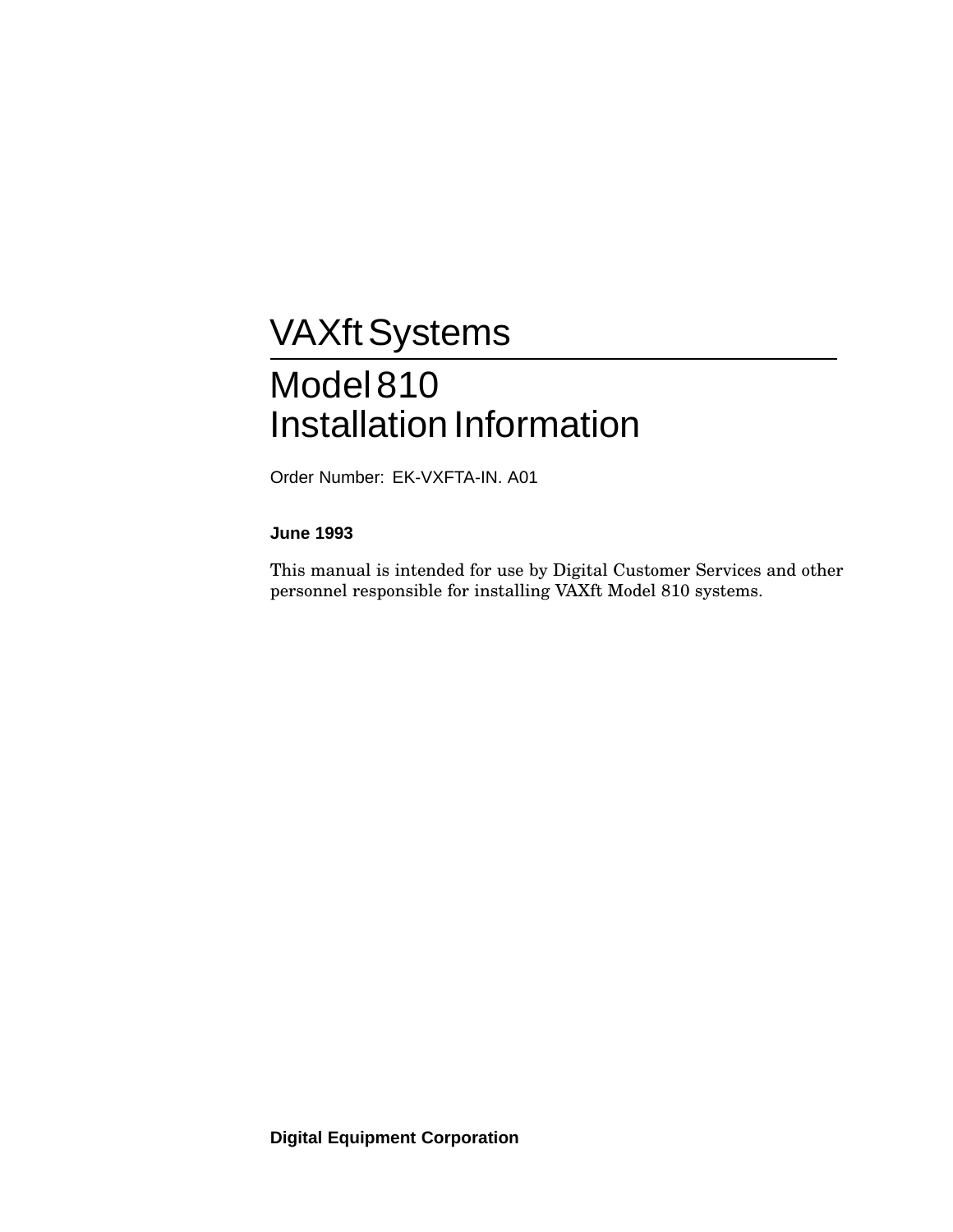# **VAXft Systems**

# Model810 Installation Information

Order Number: EK-VXFTA-IN. A01

#### **June 1993**

This manual is intended for use by Digital Customer Services and other personnel responsible for installing VAXft Model 810 systems.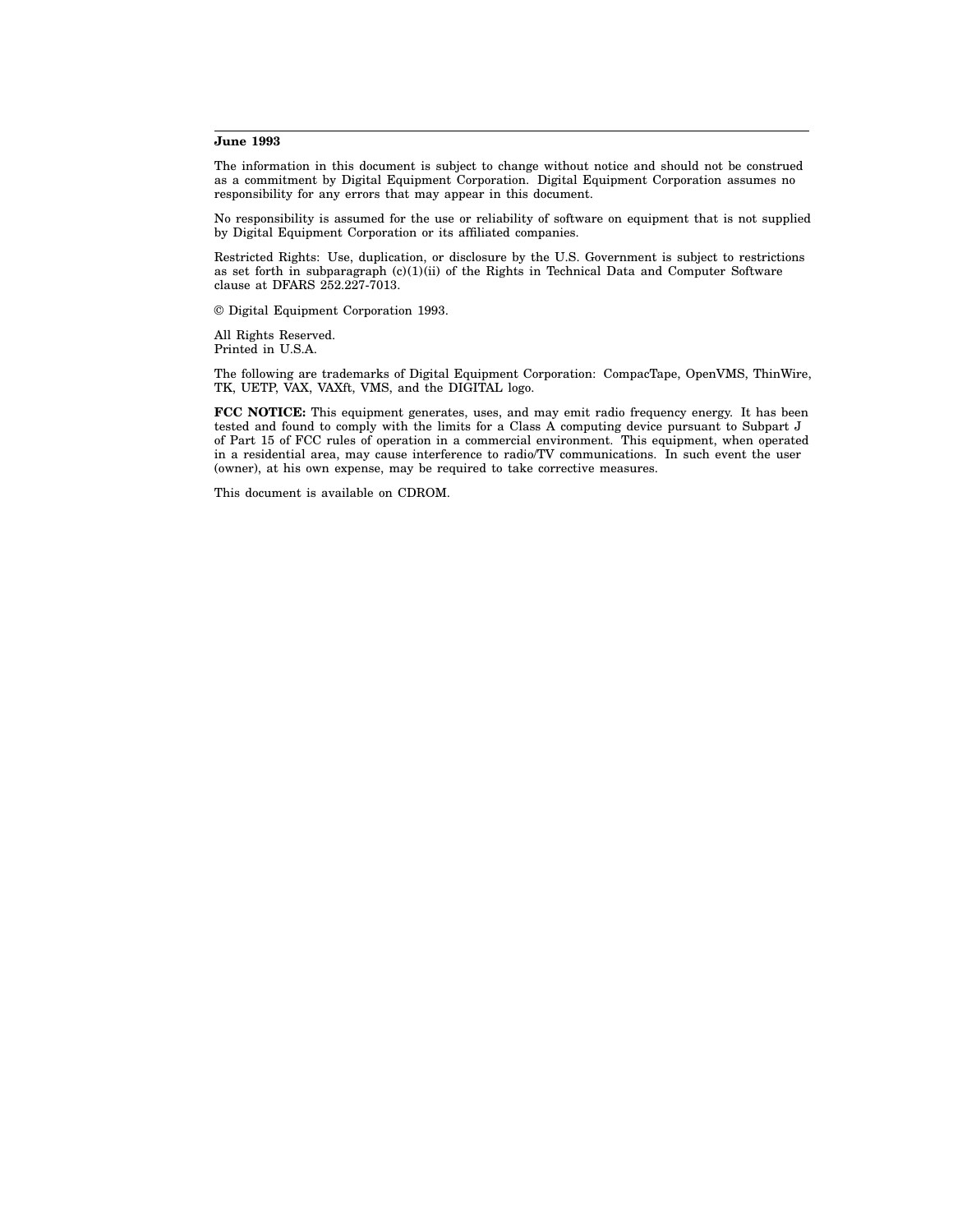#### **June 1993**

The information in this document is subject to change without notice and should not be construed as a commitment by Digital Equipment Corporation. Digital Equipment Corporation assumes no responsibility for any errors that may appear in this document.

No responsibility is assumed for the use or reliability of software on equipment that is not supplied by Digital Equipment Corporation or its affiliated companies.

Restricted Rights: Use, duplication, or disclosure by the U.S. Government is subject to restrictions as set forth in subparagraph  $(c)(1)(ii)$  of the Rights in Technical Data and Computer Software clause at DFARS 252.227-7013.

© Digital Equipment Corporation 1993.

All Rights Reserved. Printed in U.S.A.

The following are trademarks of Digital Equipment Corporation: CompacTape, OpenVMS, ThinWire, TK, UETP, VAX, VAXft, VMS, and the DIGITAL logo.

**FCC NOTICE:** This equipment generates, uses, and may emit radio frequency energy. It has been tested and found to comply with the limits for a Class A computing device pursuant to Subpart J of Part 15 of FCC rules of operation in a commercial environment. This equipment, when operated in a residential area, may cause interference to radio/TV communications. In such event the user (owner), at his own expense, may be required to take corrective measures.

This document is available on CDROM.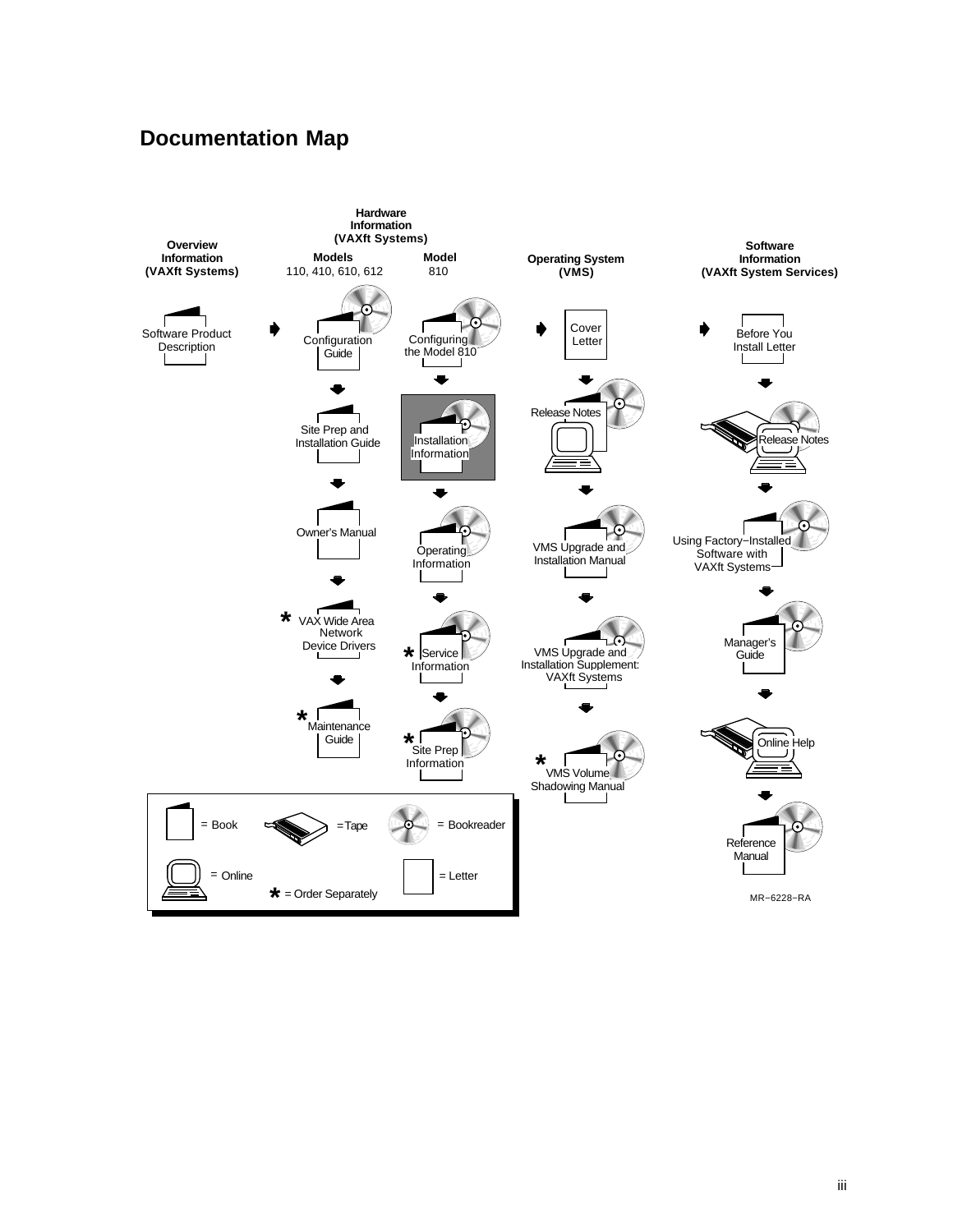#### **Documentation Map**

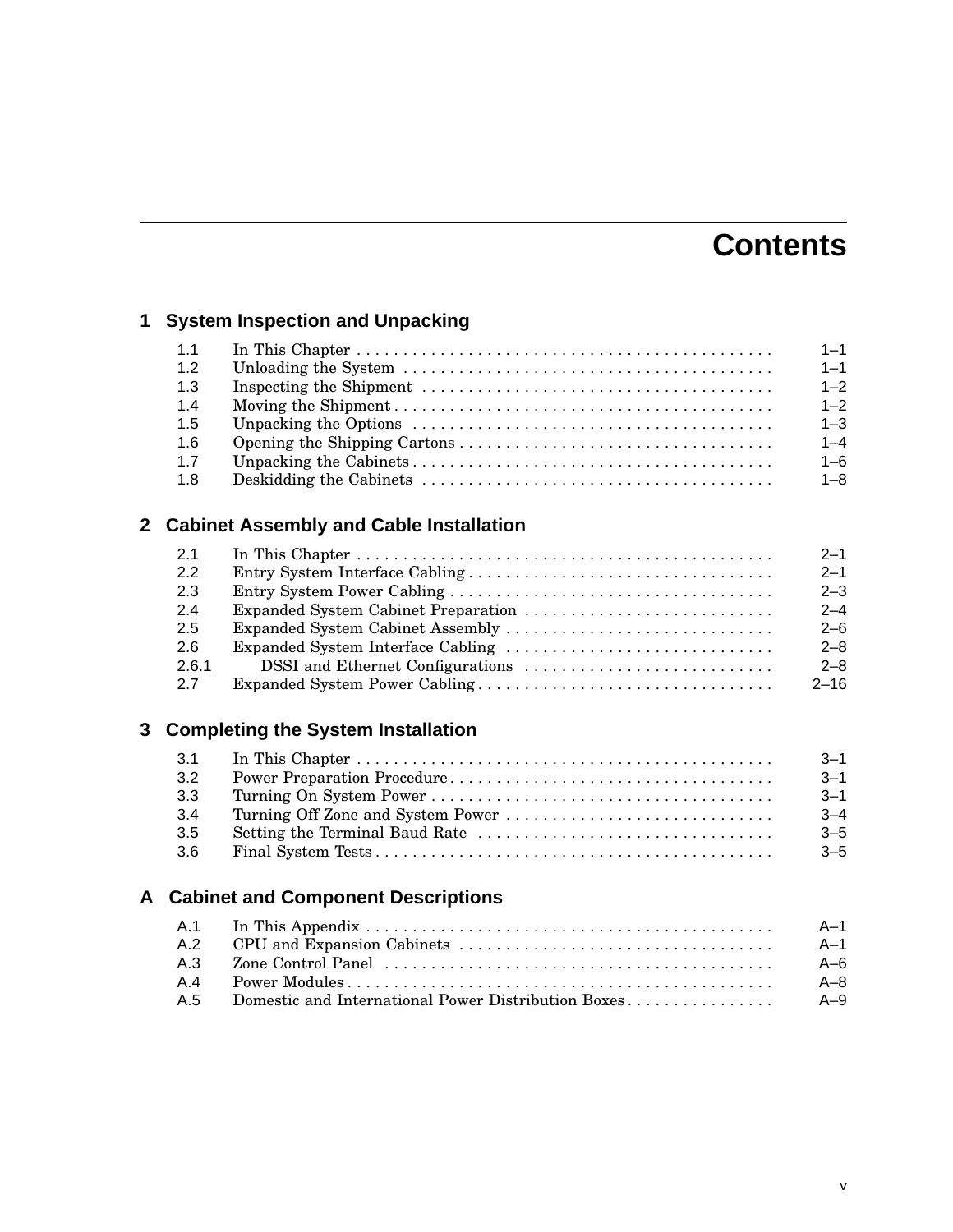## **Contents**

## **1 System Inspection and Unpacking**

| 1.1 | $1 - 1$ |
|-----|---------|
| 1.2 | $1 - 1$ |
| 1.3 | $1 - 2$ |
| 1.4 | $1 - 2$ |
| 1.5 | $1 - 3$ |
| 1.6 | $1 - 4$ |
| 1.7 | $1 - 6$ |
| 1.8 | $1 - 8$ |

## **2 Cabinet Assembly and Cable Installation**

| 2.1   | $2 - 1$  |
|-------|----------|
| 2.2   | $2 - 1$  |
| 2.3   | $2 - 3$  |
| 2.4   | $2 - 4$  |
| 2.5   | $2 - 6$  |
| 2.6   | $2 - 8$  |
| 2.6.1 | $2 - 8$  |
| 2.7   | $2 - 16$ |

#### **3 Completing the System Installation**

|     | $-3 - 1$ |
|-----|----------|
| 3.2 | $-3 - 1$ |
| 3.3 | $3 - 1$  |
| 3.4 | $3 - 4$  |
| 3.5 | $-5$     |
| 3.6 | $-5$     |

#### **A Cabinet and Component Descriptions**

|  | - A-1 |
|--|-------|
|  | - A-1 |
|  | - A-6 |
|  | - A–8 |
|  |       |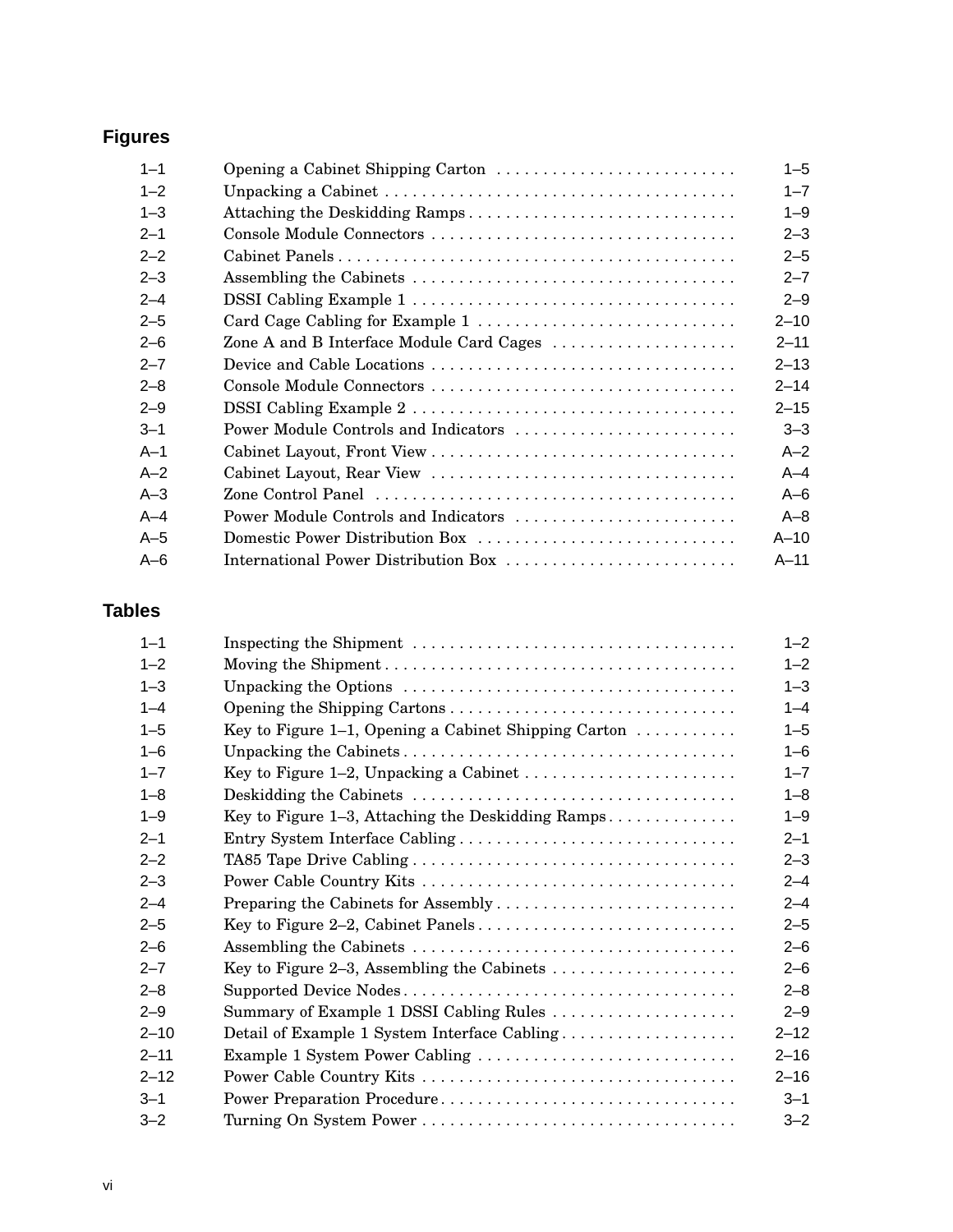## **Figures**

| $1 - 1$ | Opening a Cabinet Shipping Carton        | $1 - 5$  |
|---------|------------------------------------------|----------|
| $1 - 2$ |                                          | $1 - 7$  |
| $1 - 3$ | Attaching the Deskidding Ramps           | $1 - 9$  |
| $2 - 1$ |                                          | $2 - 3$  |
| $2 - 2$ |                                          | $2 - 5$  |
| $2 - 3$ |                                          | $2 - 7$  |
| $2 - 4$ |                                          | $2 - 9$  |
| $2 - 5$ |                                          | $2 - 10$ |
| $2 - 6$ | Zone A and B Interface Module Card Cages | $2 - 11$ |
| $2 - 7$ |                                          | $2 - 13$ |
| $2 - 8$ | Console Module Connectors                | $2 - 14$ |
| $2 - 9$ |                                          | $2 - 15$ |
| $3 - 1$ | Power Module Controls and Indicators     | $3 - 3$  |
| $A-1$   |                                          | $A-2$    |
| $A-2$   |                                          | $A - 4$  |
| $A-3$   |                                          | $A-6$    |
| $A-4$   | Power Module Controls and Indicators     | $A - 8$  |
| $A-5$   | Domestic Power Distribution Box          | $A-10$   |
| $A-6$   | International Power Distribution Box     | $A-11$   |

#### **Tables**

| $1 - 1$  |                                                                                  | $1 - 2$  |
|----------|----------------------------------------------------------------------------------|----------|
| $1 - 2$  |                                                                                  | $1 - 2$  |
| $1 - 3$  |                                                                                  | $1 - 3$  |
| $1 - 4$  |                                                                                  | $1 - 4$  |
| $1 - 5$  | Key to Figure 1–1, Opening a Cabinet Shipping Carton $\dots\dots\dots\dots$      | $1 - 5$  |
| $1 - 6$  |                                                                                  | $1 - 6$  |
| $1 - 7$  |                                                                                  | $1 - 7$  |
| $1 - 8$  |                                                                                  | $1 - 8$  |
| $1 - 9$  | Key to Figure 1–3, Attaching the Deskidding Ramps                                | $1 - 9$  |
| $2 - 1$  | Entry System Interface Cabling                                                   | $2 - 1$  |
| $2 - 2$  |                                                                                  | $2 - 3$  |
| $2 - 3$  |                                                                                  | $2 - 4$  |
| $2 - 4$  |                                                                                  | $2 - 4$  |
| $2 - 5$  |                                                                                  | $2 - 5$  |
| $2 - 6$  |                                                                                  | $2 - 6$  |
| $2 - 7$  | Key to Figure 2–3, Assembling the Cabinets $\dots\dots\dots\dots\dots\dots\dots$ | $2 - 6$  |
| $2 - 8$  |                                                                                  | $2 - 8$  |
| $2 - 9$  | Summary of Example 1 DSSI Cabling Rules                                          | $2 - 9$  |
| $2 - 10$ |                                                                                  | $2 - 12$ |
| $2 - 11$ | Example 1 System Power Cabling                                                   | $2 - 16$ |
| $2 - 12$ |                                                                                  | $2 - 16$ |
| $3 - 1$  |                                                                                  | $3 - 1$  |
| $3 - 2$  |                                                                                  | $3 - 2$  |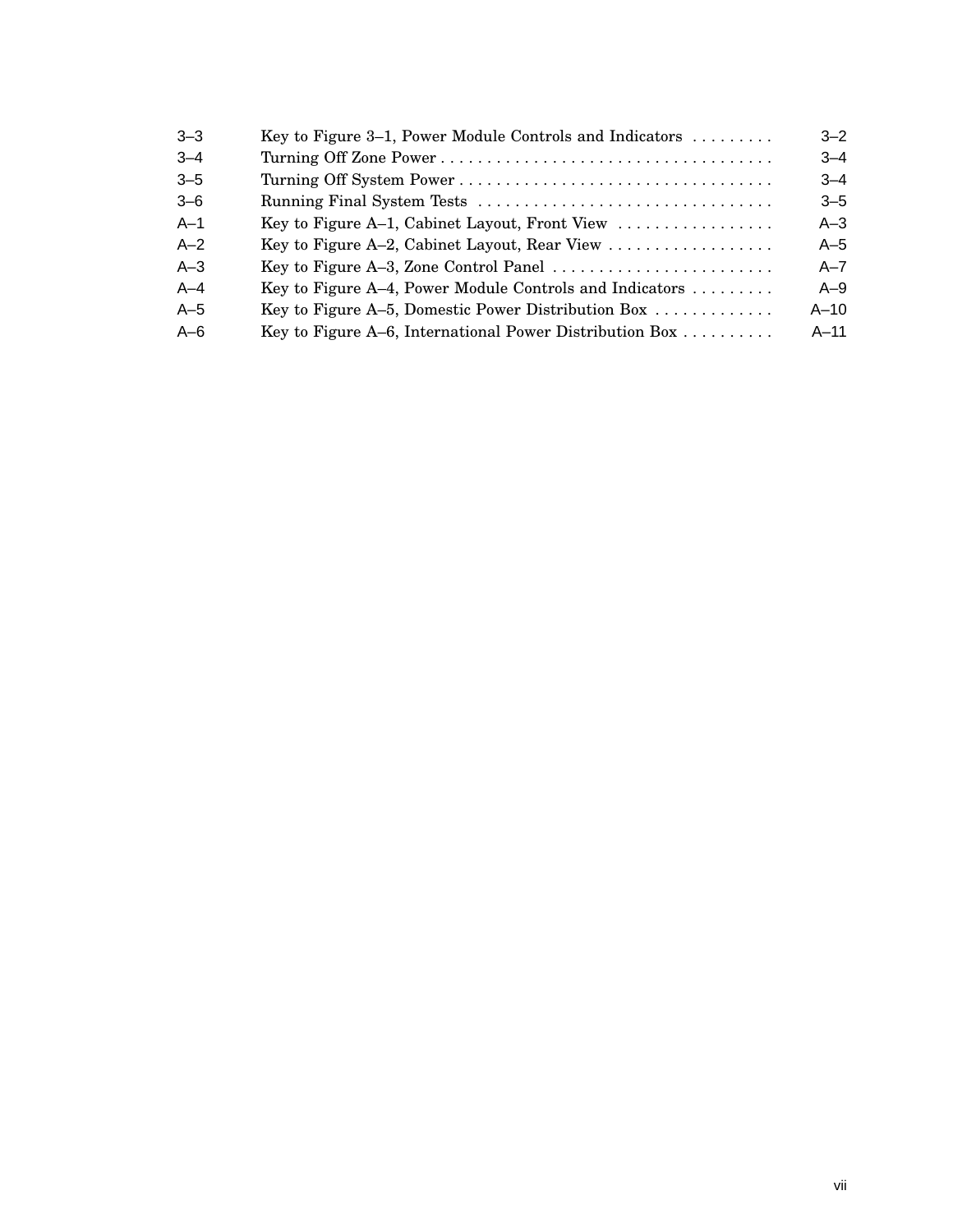| $3 - 3$<br>Key to Figure 3–1, Power Module Controls and Indicators $\dots \dots$               | $3 - 2$ |
|------------------------------------------------------------------------------------------------|---------|
| $3 - 4$                                                                                        | $3 - 4$ |
| $3 - 5$                                                                                        | $3 - 4$ |
| $3 - 6$                                                                                        | $3 - 5$ |
| $A-1$<br>Key to Figure A-1, Cabinet Layout, Front View                                         | $A-3$   |
| $A-2$<br>Key to Figure A-2, Cabinet Layout, Rear View                                          | $A-5$   |
| $A-3$<br>Key to Figure A-3, Zone Control Panel $\dots\dots\dots\dots\dots\dots\dots\dots\dots$ | $A - 7$ |
| $A-4$<br>Key to Figure A-4, Power Module Controls and Indicators $\dots \dots$                 | $A-9$   |
| $A-5$<br>Key to Figure A-5, Domestic Power Distribution Box $\dots \dots \dots$                | $A-10$  |
| $A-6$<br>Key to Figure A–6, International Power Distribution Box $\dots \dots$                 | $A-11$  |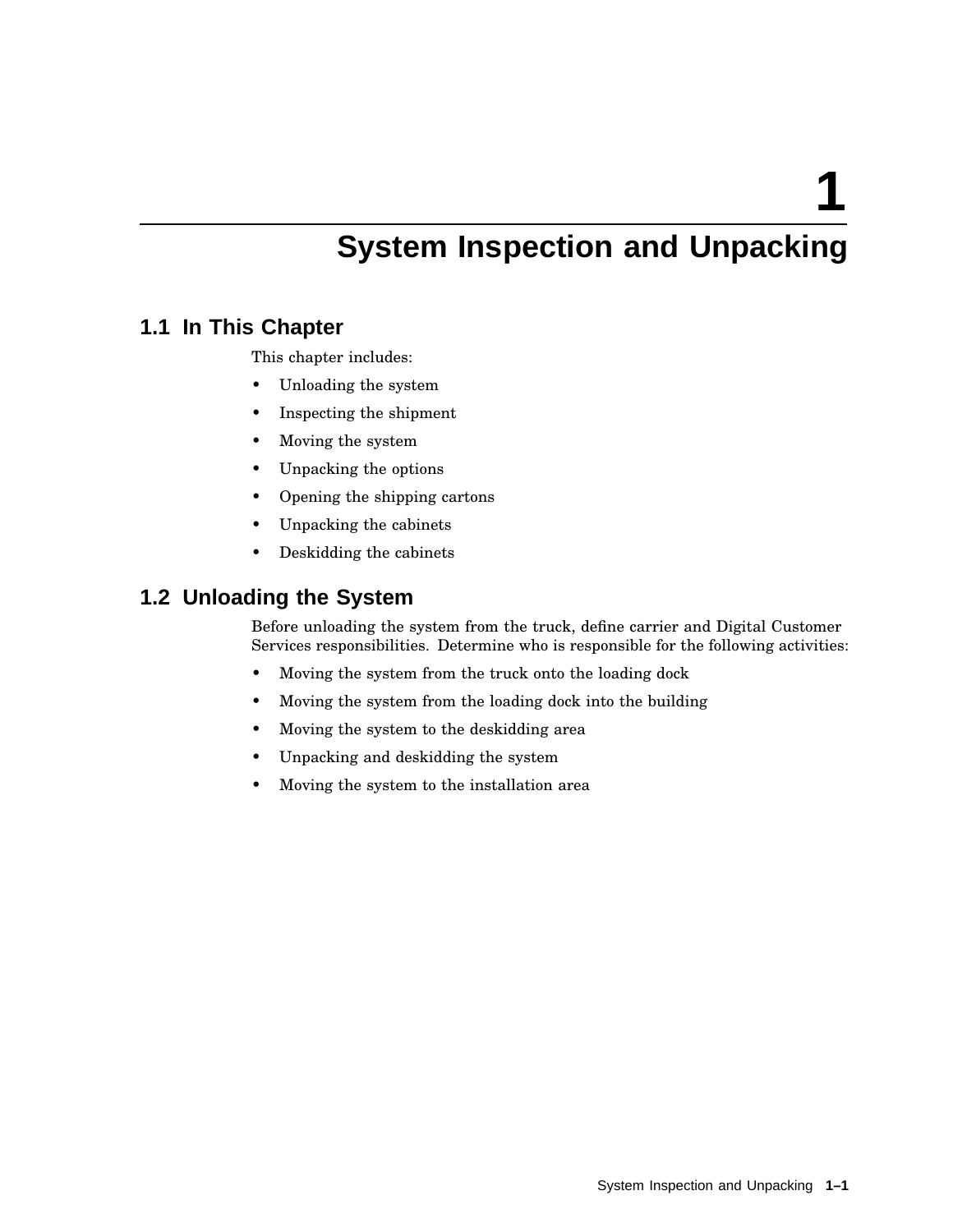**1**

## **System Inspection and Unpacking**

#### **1.1 In This Chapter**

This chapter includes:

- Unloading the system
- Inspecting the shipment
- Moving the system
- Unpacking the options
- Opening the shipping cartons
- Unpacking the cabinets
- Deskidding the cabinets

#### **1.2 Unloading the System**

Before unloading the system from the truck, define carrier and Digital Customer Services responsibilities. Determine who is responsible for the following activities:

- Moving the system from the truck onto the loading dock
- Moving the system from the loading dock into the building
- Moving the system to the deskidding area
- Unpacking and deskidding the system
- Moving the system to the installation area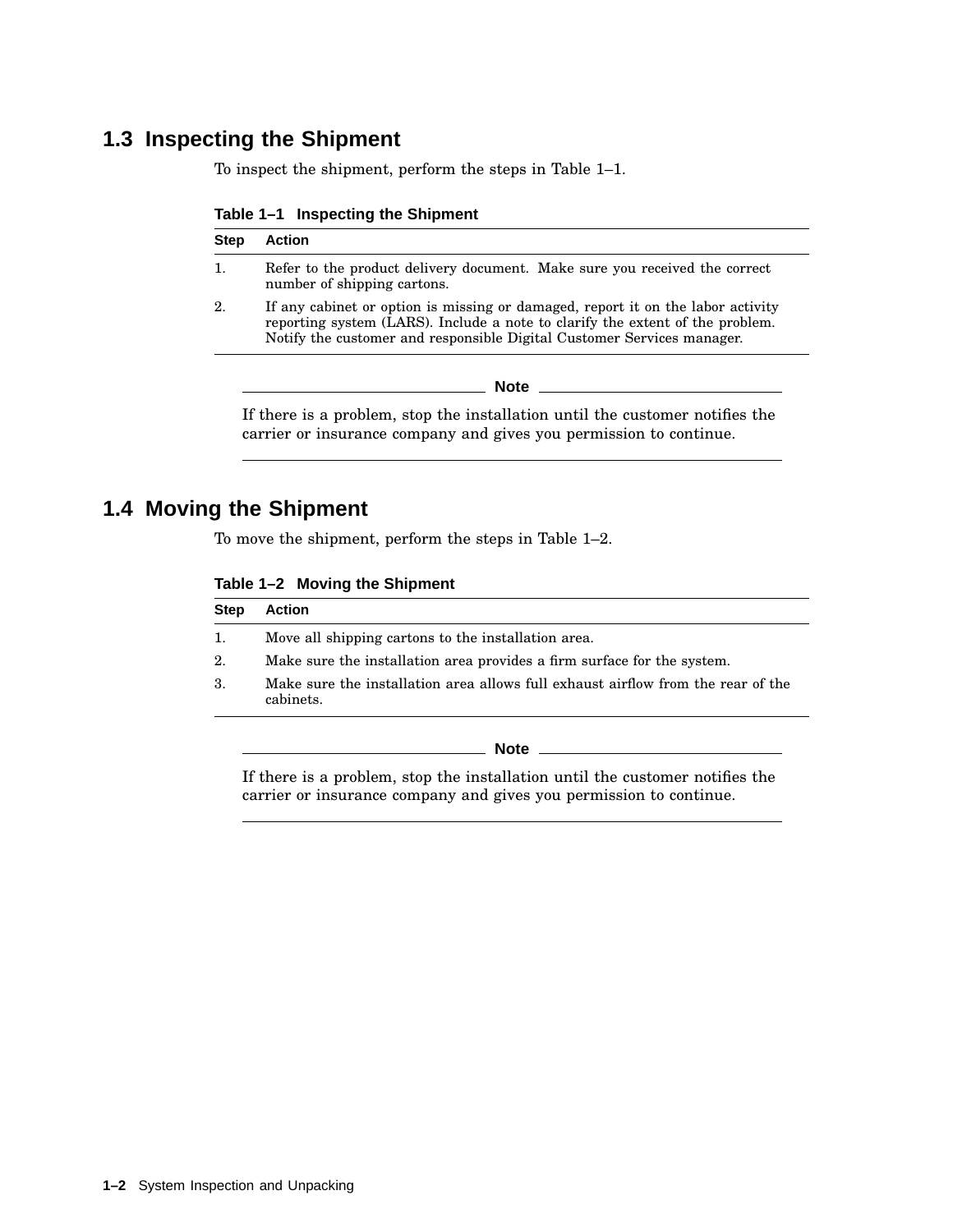## **1.3 Inspecting the Shipment**

To inspect the shipment, perform the steps in Table 1–1.

| Table 1-1 Inspecting the Shipment |  |  |  |  |  |  |
|-----------------------------------|--|--|--|--|--|--|
|-----------------------------------|--|--|--|--|--|--|

| <b>Step</b> | <b>Action</b>                                                                                                                                                                                                                              |  |
|-------------|--------------------------------------------------------------------------------------------------------------------------------------------------------------------------------------------------------------------------------------------|--|
| 1.          | Refer to the product delivery document. Make sure you received the correct<br>number of shipping cartons.                                                                                                                                  |  |
| 2.          | If any cabinet or option is missing or damaged, report it on the labor activity<br>reporting system (LARS). Include a note to clarify the extent of the problem.<br>Notify the customer and responsible Digital Customer Services manager. |  |
|             | <b>Note</b>                                                                                                                                                                                                                                |  |
|             | If there is a problem, stop the installation until the customer notifies the                                                                                                                                                               |  |

carrier or insurance company and gives you permission to continue.

#### **1.4 Moving the Shipment**

To move the shipment, perform the steps in Table 1–2.

| Table 1-2 Moving the Shipment |  |  |  |
|-------------------------------|--|--|--|
|-------------------------------|--|--|--|

| <b>Step</b> | <b>Action</b>                                                                                 |
|-------------|-----------------------------------------------------------------------------------------------|
| 1.          | Move all shipping cartons to the installation area.                                           |
| 2.          | Make sure the installation area provides a firm surface for the system.                       |
| 3.          | Make sure the installation area allows full exhaust airflow from the rear of the<br>cabinets. |
|             | <b>Note</b>                                                                                   |

If there is a problem, stop the installation until the customer notifies the carrier or insurance company and gives you permission to continue.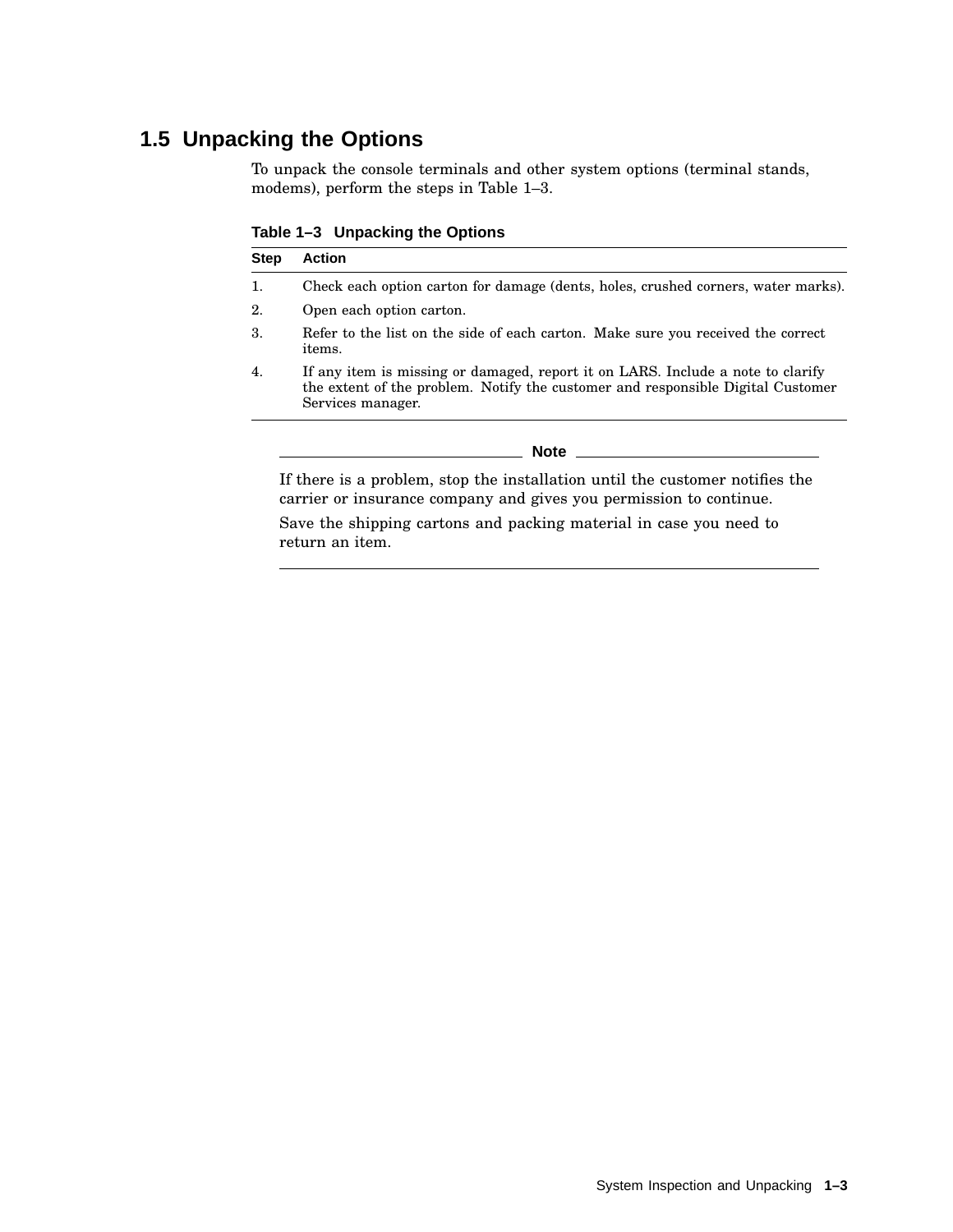## **1.5 Unpacking the Options**

To unpack the console terminals and other system options (terminal stands, modems), perform the steps in Table 1–3.

**Table 1–3 Unpacking the Options**

| <b>Step</b> | <b>Action</b>                                                                                                                                                                           |
|-------------|-----------------------------------------------------------------------------------------------------------------------------------------------------------------------------------------|
| 1.          | Check each option carton for damage (dents, holes, crushed corners, water marks).                                                                                                       |
| 2.          | Open each option carton.                                                                                                                                                                |
| 3.          | Refer to the list on the side of each carton. Make sure you received the correct<br><i>items.</i>                                                                                       |
| 4.          | If any item is missing or damaged, report it on LARS. Include a note to clarify<br>the extent of the problem. Notify the customer and responsible Digital Customer<br>Services manager. |
|             | <b>Note</b>                                                                                                                                                                             |
|             | If there is a problem, stop the installation until the customer notifies the                                                                                                            |

If there is a problem, stop the installation until the customer notifies the carrier or insurance company and gives you permission to continue.

Save the shipping cartons and packing material in case you need to return an item.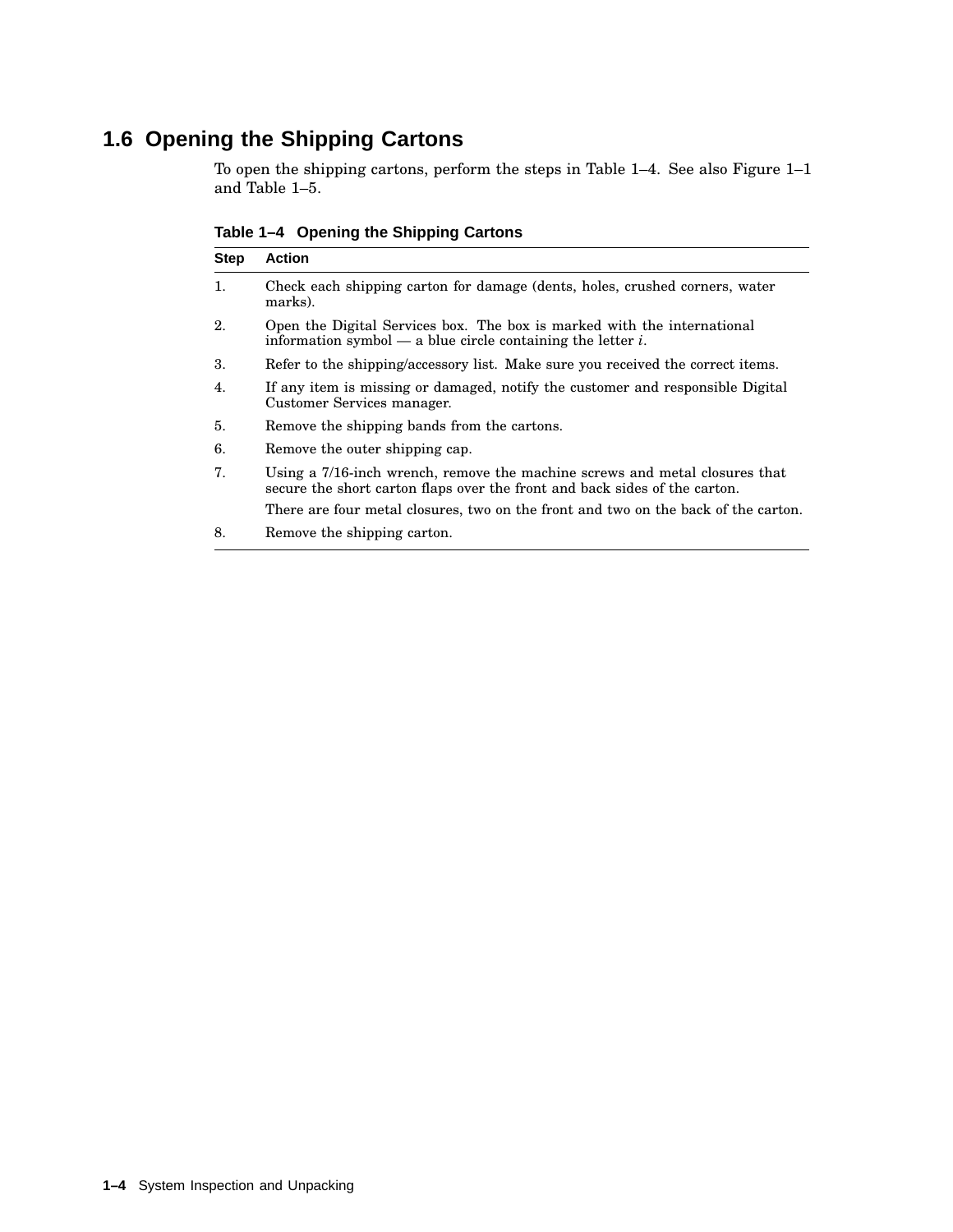## **1.6 Opening the Shipping Cartons**

To open the shipping cartons, perform the steps in Table 1–4. See also Figure 1–1 and Table 1–5.

**Table 1–4 Opening the Shipping Cartons**

| <b>Step</b> | <b>Action</b>                                                                                                                                             |  |
|-------------|-----------------------------------------------------------------------------------------------------------------------------------------------------------|--|
| 1.          | Check each shipping carton for damage (dents, holes, crushed corners, water<br>marks).                                                                    |  |
| 2.          | Open the Digital Services box. The box is marked with the international<br>information symbol — a blue circle containing the letter i.                    |  |
| 3.          | Refer to the shipping/accessory list. Make sure you received the correct items.                                                                           |  |
| 4.          | If any item is missing or damaged, notify the customer and responsible Digital<br>Customer Services manager.                                              |  |
| 5.          | Remove the shipping bands from the cartons.                                                                                                               |  |
| 6.          | Remove the outer shipping cap.                                                                                                                            |  |
| 7.          | Using a 7/16-inch wrench, remove the machine screws and metal closures that<br>secure the short carton flaps over the front and back sides of the carton. |  |
|             | There are four metal closures, two on the front and two on the back of the carton.                                                                        |  |
| 8.          | Remove the shipping carton.                                                                                                                               |  |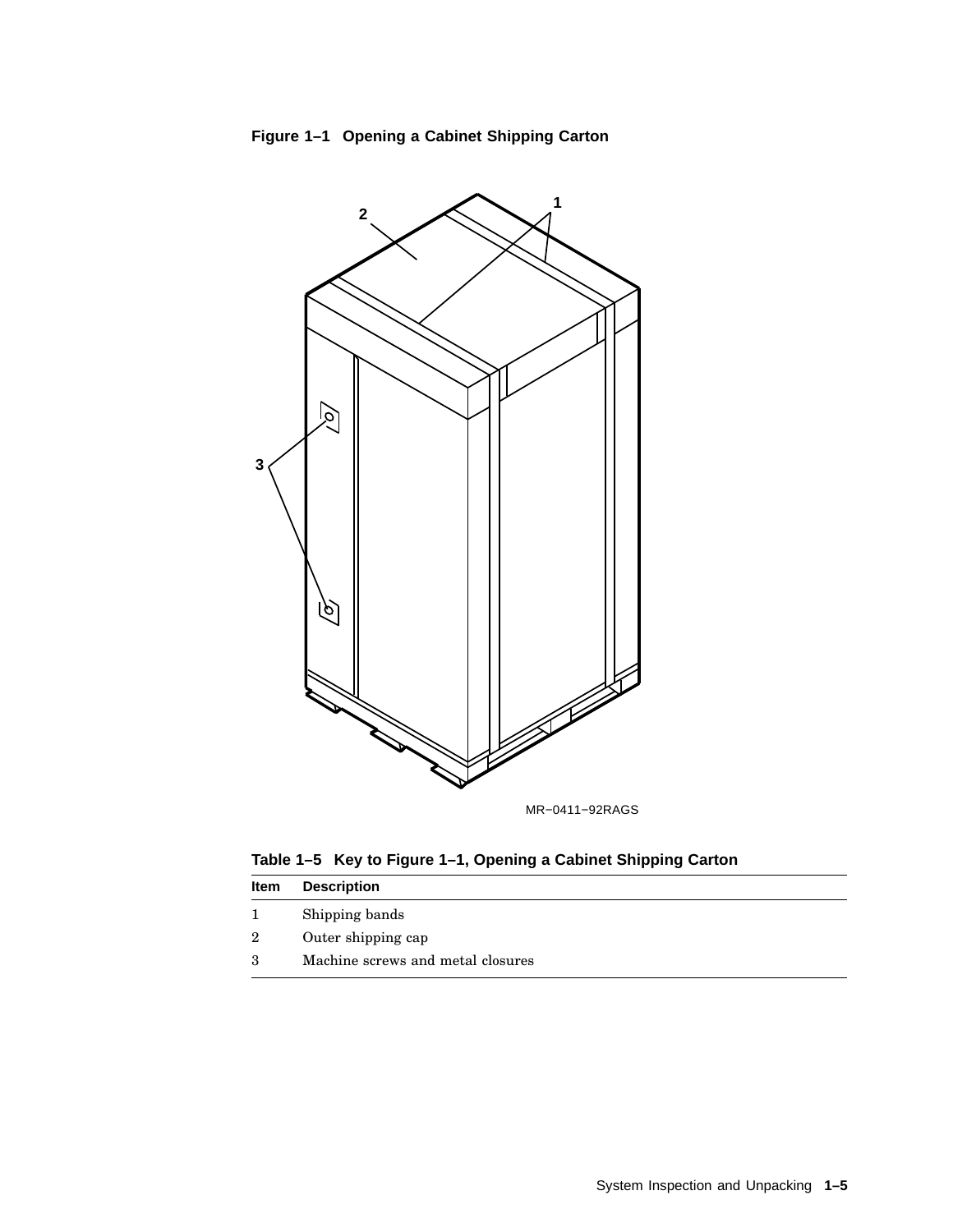

**Figure 1–1 Opening a Cabinet Shipping Carton**

**Table 1–5 Key to Figure 1–1, Opening a Cabinet Shipping Carton**

| ltem | <b>Description</b>                |
|------|-----------------------------------|
|      | Shipping bands                    |
| 2    | Outer shipping cap                |
| 3    | Machine screws and metal closures |
|      |                                   |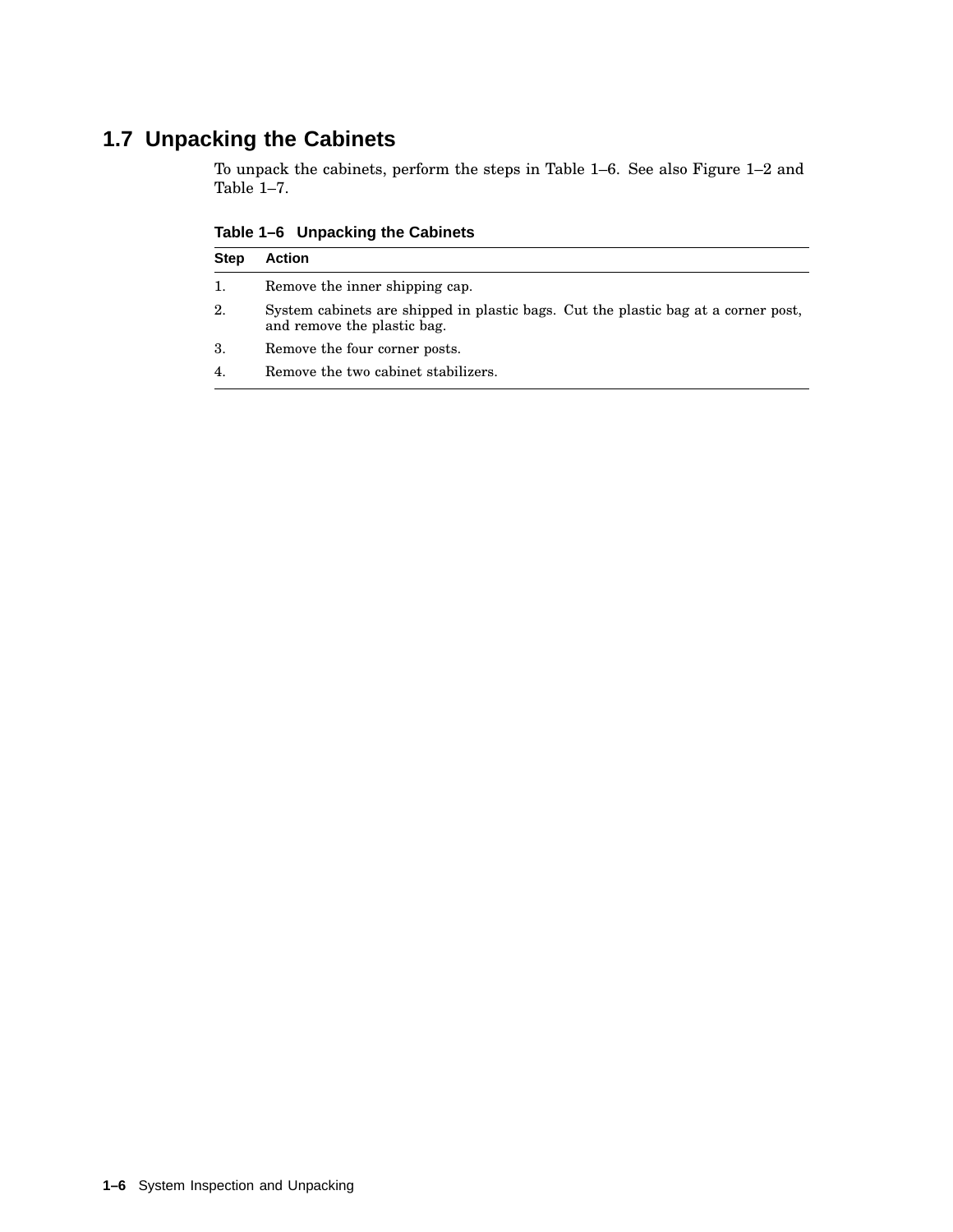## **1.7 Unpacking the Cabinets**

To unpack the cabinets, perform the steps in Table 1–6. See also Figure 1–2 and Table 1–7.

| rapic r o oripaching the oabinets |                                |
|-----------------------------------|--------------------------------|
|                                   | <b>Step Action</b>             |
|                                   | Remove the inner shipping cap. |

**Table 1–6 Unpacking the Cabinets**

- 2. System cabinets are shipped in plastic bags. Cut the plastic bag at a corner post, and remove the plastic bag.
- 3. Remove the four corner posts.
- 4. Remove the two cabinet stabilizers.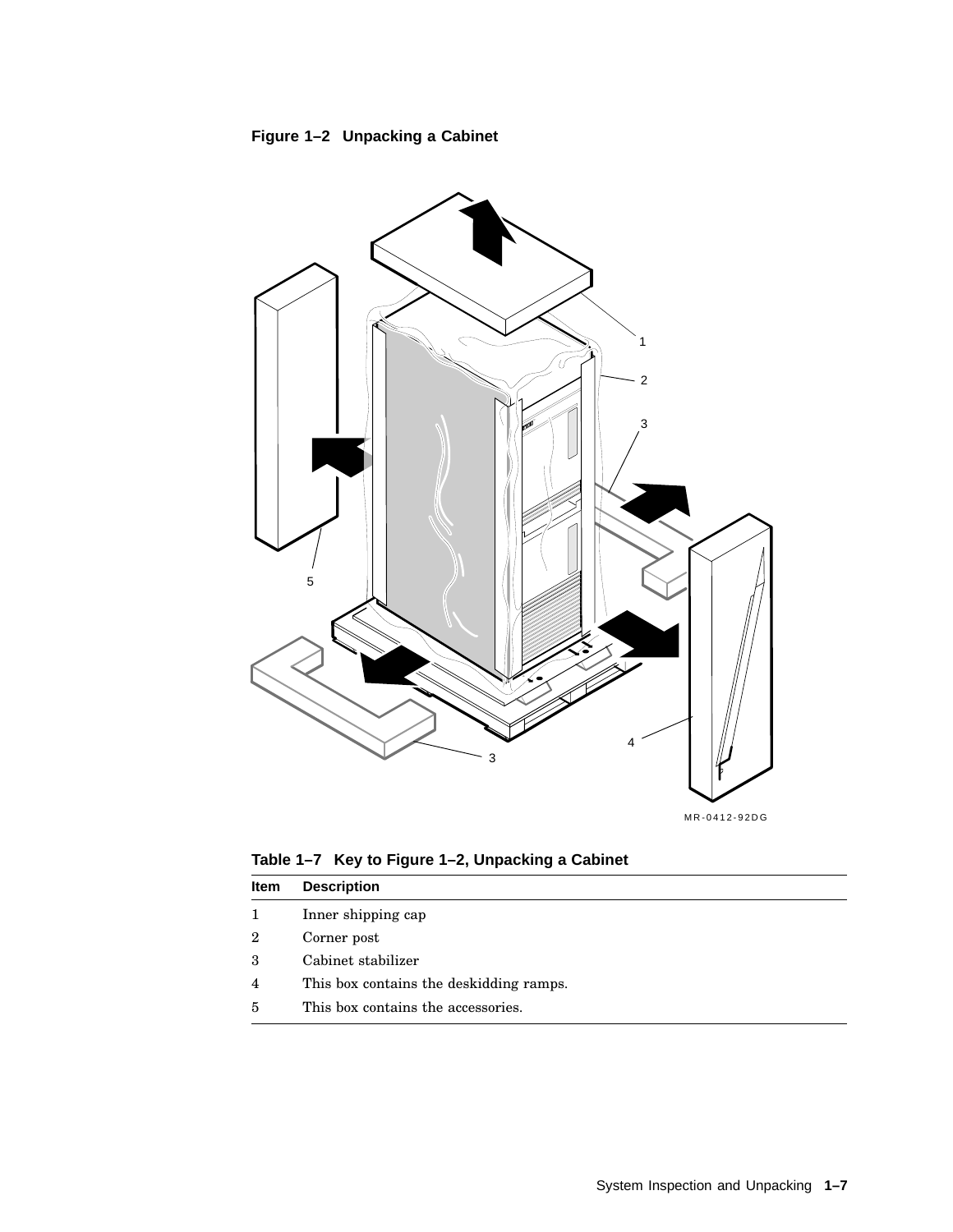



**Table 1–7 Key to Figure 1–2, Unpacking a Cabinet**

| ltem | <b>Description</b>                      |
|------|-----------------------------------------|
| 1    | Inner shipping cap                      |
| 2    | Corner post                             |
| 3    | Cabinet stabilizer                      |
| 4    | This box contains the deskidding ramps. |
| 5    | This box contains the accessories.      |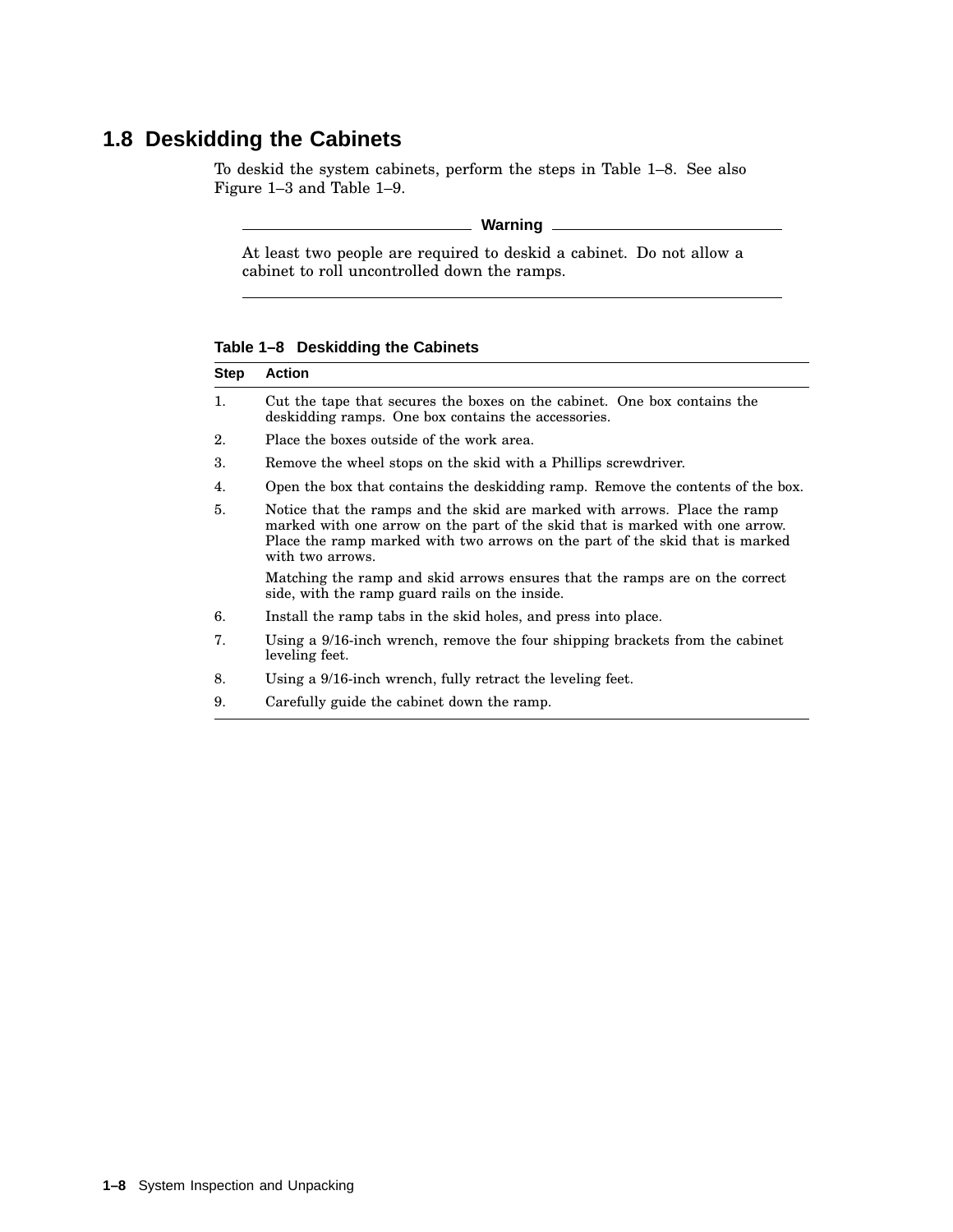## **1.8 Deskidding the Cabinets**

To deskid the system cabinets, perform the steps in Table 1–8. See also Figure 1–3 and Table 1–9.

#### **Warning**

At least two people are required to deskid a cabinet. Do not allow a cabinet to roll uncontrolled down the ramps.

**Table 1–8 Deskidding the Cabinets**

| Step | <b>Action</b>                                                                                                                                                                                                                                                 |
|------|---------------------------------------------------------------------------------------------------------------------------------------------------------------------------------------------------------------------------------------------------------------|
| 1.   | Cut the tape that secures the boxes on the cabinet. One box contains the<br>deskidding ramps. One box contains the accessories.                                                                                                                               |
| 2.   | Place the boxes outside of the work area.                                                                                                                                                                                                                     |
| 3.   | Remove the wheel stops on the skid with a Phillips screwdriver.                                                                                                                                                                                               |
| 4.   | Open the box that contains the deskidding ramp. Remove the contents of the box.                                                                                                                                                                               |
| 5.   | Notice that the ramps and the skid are marked with arrows. Place the ramp<br>marked with one arrow on the part of the skid that is marked with one arrow.<br>Place the ramp marked with two arrows on the part of the skid that is marked<br>with two arrows. |
|      | Matching the ramp and skid arrows ensures that the ramps are on the correct<br>side, with the ramp guard rails on the inside.                                                                                                                                 |
| 6.   | Install the ramp tabs in the skid holes, and press into place.                                                                                                                                                                                                |
| 7.   | Using a 9/16-inch wrench, remove the four shipping brackets from the cabinet<br>leveling feet.                                                                                                                                                                |
| 8.   | Using a 9/16-inch wrench, fully retract the leveling feet.                                                                                                                                                                                                    |
| 9.   | Carefully guide the cabinet down the ramp.                                                                                                                                                                                                                    |
|      |                                                                                                                                                                                                                                                               |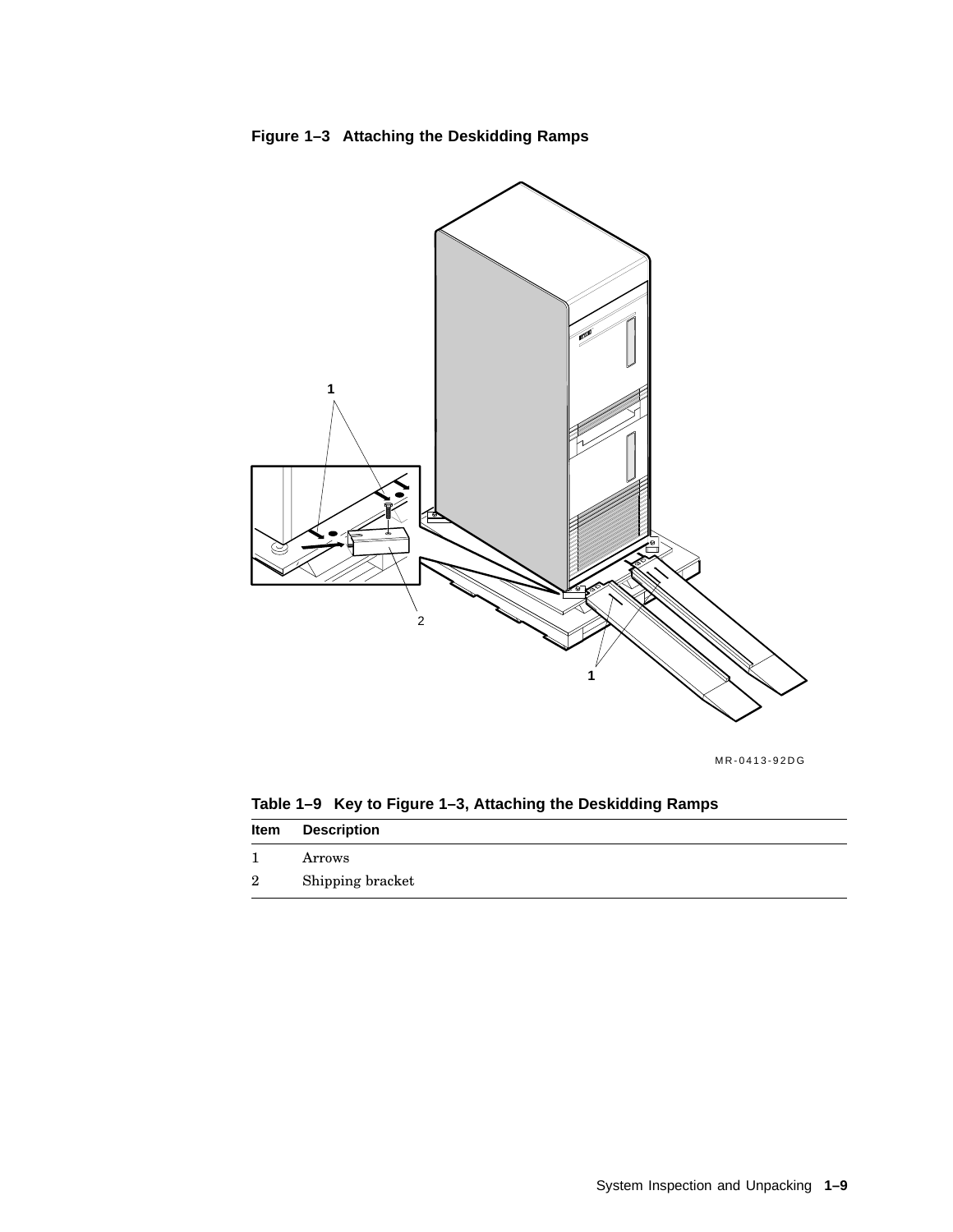



MR-0413-92DG

**Table 1–9 Key to Figure 1–3, Attaching the Deskidding Ramps Item Description**

|   | Arrows           |
|---|------------------|
| 2 | Shipping bracket |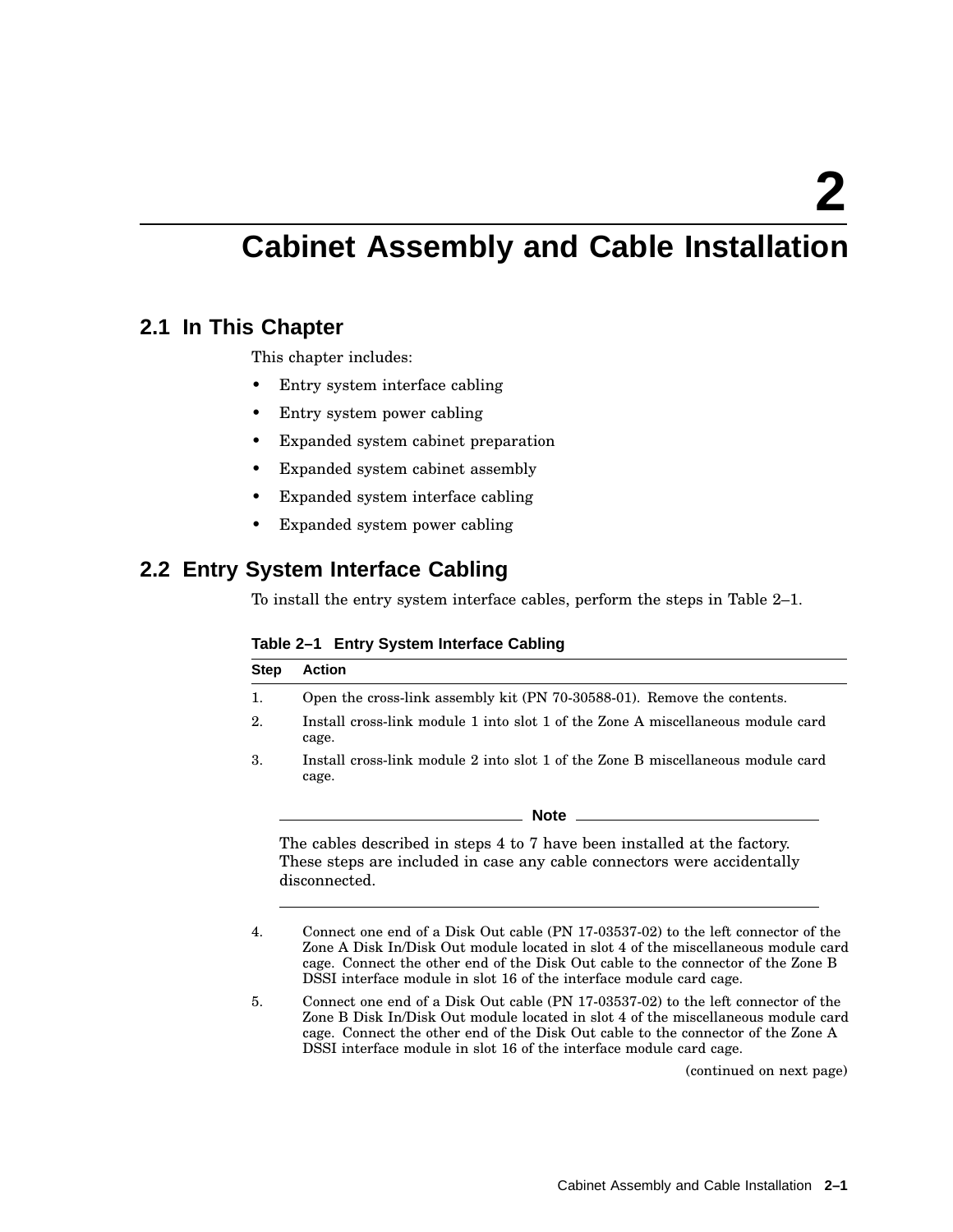## **Cabinet Assembly and Cable Installation**

#### **2.1 In This Chapter**

This chapter includes:

- Entry system interface cabling
- Entry system power cabling
- Expanded system cabinet preparation
- Expanded system cabinet assembly
- Expanded system interface cabling
- Expanded system power cabling

#### **2.2 Entry System Interface Cabling**

To install the entry system interface cables, perform the steps in Table 2–1.

|  | Table 2-1 Entry System Interface Cabling |  |  |
|--|------------------------------------------|--|--|
|--|------------------------------------------|--|--|

| <b>Step</b> | <b>Action</b>                                                                                                                                                                                                                                              |
|-------------|------------------------------------------------------------------------------------------------------------------------------------------------------------------------------------------------------------------------------------------------------------|
| 1.          | Open the cross-link assembly kit (PN 70-30588-01). Remove the contents.                                                                                                                                                                                    |
| 2.          | Install cross-link module 1 into slot 1 of the Zone A miscellaneous module card<br>cage.                                                                                                                                                                   |
| 3.          | Install cross-link module 2 into slot 1 of the Zone B miscellaneous module card<br>cage.                                                                                                                                                                   |
|             | Note                                                                                                                                                                                                                                                       |
|             | The cables described in steps 4 to 7 have been installed at the factory.<br>These steps are included in case any cable connectors were accidentally<br>disconnected.                                                                                       |
| 4.          | Connect one end of a Disk Out cable (PN 17-03537-02) to the left connector of the<br>Zone A Disk In/Disk Out module located in slot 4 of the miscellaneous module card<br>cage. Connect the other end of the Disk Out cable to the connector of the Zone B |

DSSI interface module in slot 16 of the interface module card cage. 5. Connect one end of a Disk Out cable (PN 17-03537-02) to the left connector of the Zone B Disk In/Disk Out module located in slot 4 of the miscellaneous module card cage. Connect the other end of the Disk Out cable to the connector of the Zone A DSSI interface module in slot 16 of the interface module card cage.

(continued on next page)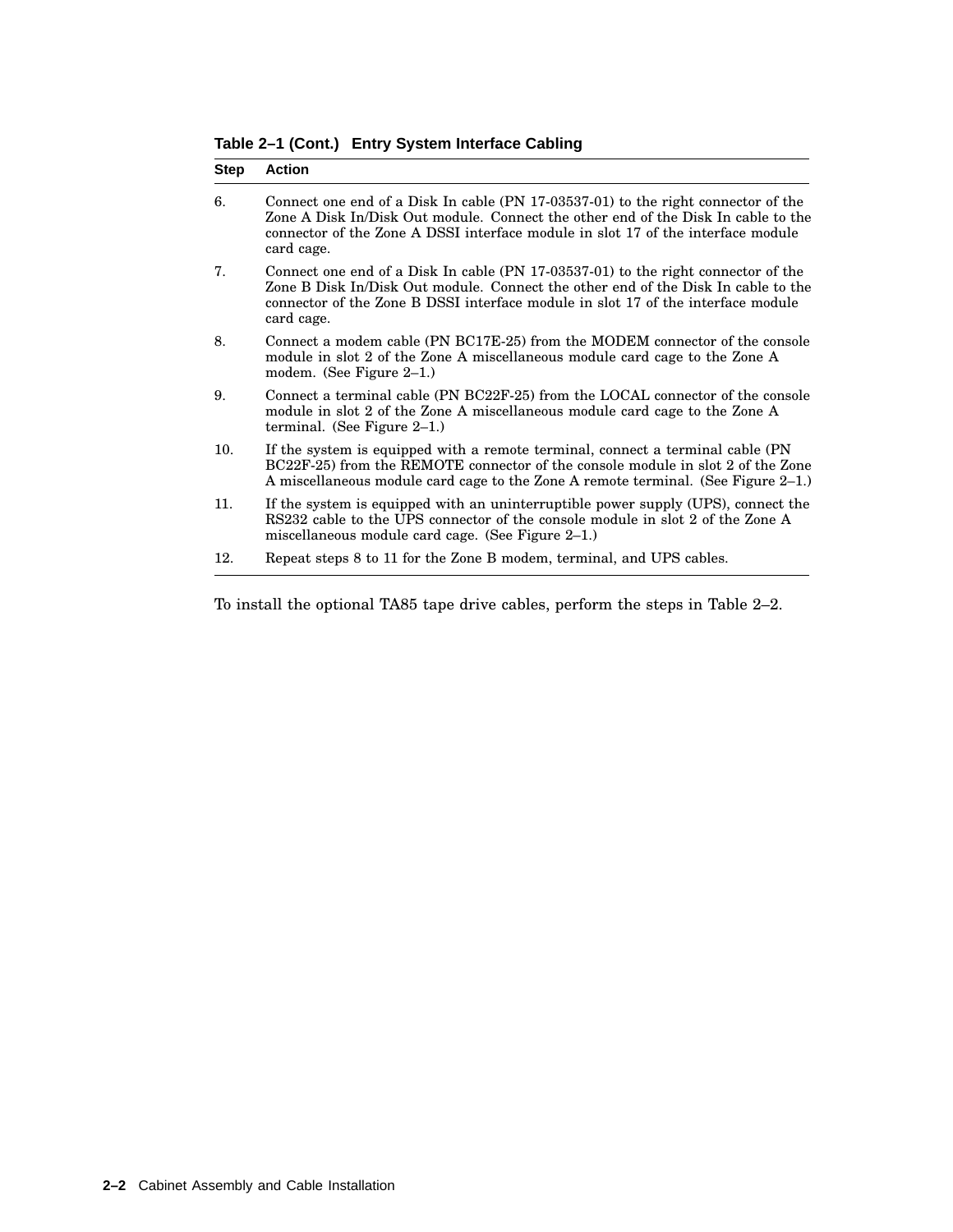**Table 2–1 (Cont.) Entry System Interface Cabling**

| <b>Step</b> | <b>Action</b>                                                                                                                                                                                                                                                            |
|-------------|--------------------------------------------------------------------------------------------------------------------------------------------------------------------------------------------------------------------------------------------------------------------------|
| 6.          | Connect one end of a Disk In cable (PN 17-03537-01) to the right connector of the<br>Zone A Disk In/Disk Out module. Connect the other end of the Disk In cable to the<br>connector of the Zone A DSSI interface module in slot 17 of the interface module<br>card cage. |
| 7.          | Connect one end of a Disk In cable (PN 17-03537-01) to the right connector of the<br>Zone B Disk In/Disk Out module. Connect the other end of the Disk In cable to the<br>connector of the Zone B DSSI interface module in slot 17 of the interface module<br>card cage. |
| 8.          | Connect a modem cable (PN BC17E-25) from the MODEM connector of the console<br>module in slot 2 of the Zone A miscellaneous module card cage to the Zone A<br>modem. (See Figure $2-1$ .)                                                                                |
| 9.          | Connect a terminal cable (PN BC22F-25) from the LOCAL connector of the console<br>module in slot 2 of the Zone A miscellaneous module card cage to the Zone A<br>terminal. (See Figure $2-1$ .)                                                                          |
| 10.         | If the system is equipped with a remote terminal, connect a terminal cable (PN)<br>BC22F-25) from the REMOTE connector of the console module in slot 2 of the Zone<br>A miscellaneous module card cage to the Zone A remote terminal. (See Figure 2–1.)                  |
| 11.         | If the system is equipped with an uninterruptible power supply (UPS), connect the<br>RS232 cable to the UPS connector of the console module in slot 2 of the Zone A<br>miscellaneous module card cage. (See Figure $2-1$ .)                                              |
| 12.         | Repeat steps 8 to 11 for the Zone B modem, terminal, and UPS cables.                                                                                                                                                                                                     |

To install the optional TA85 tape drive cables, perform the steps in Table 2–2.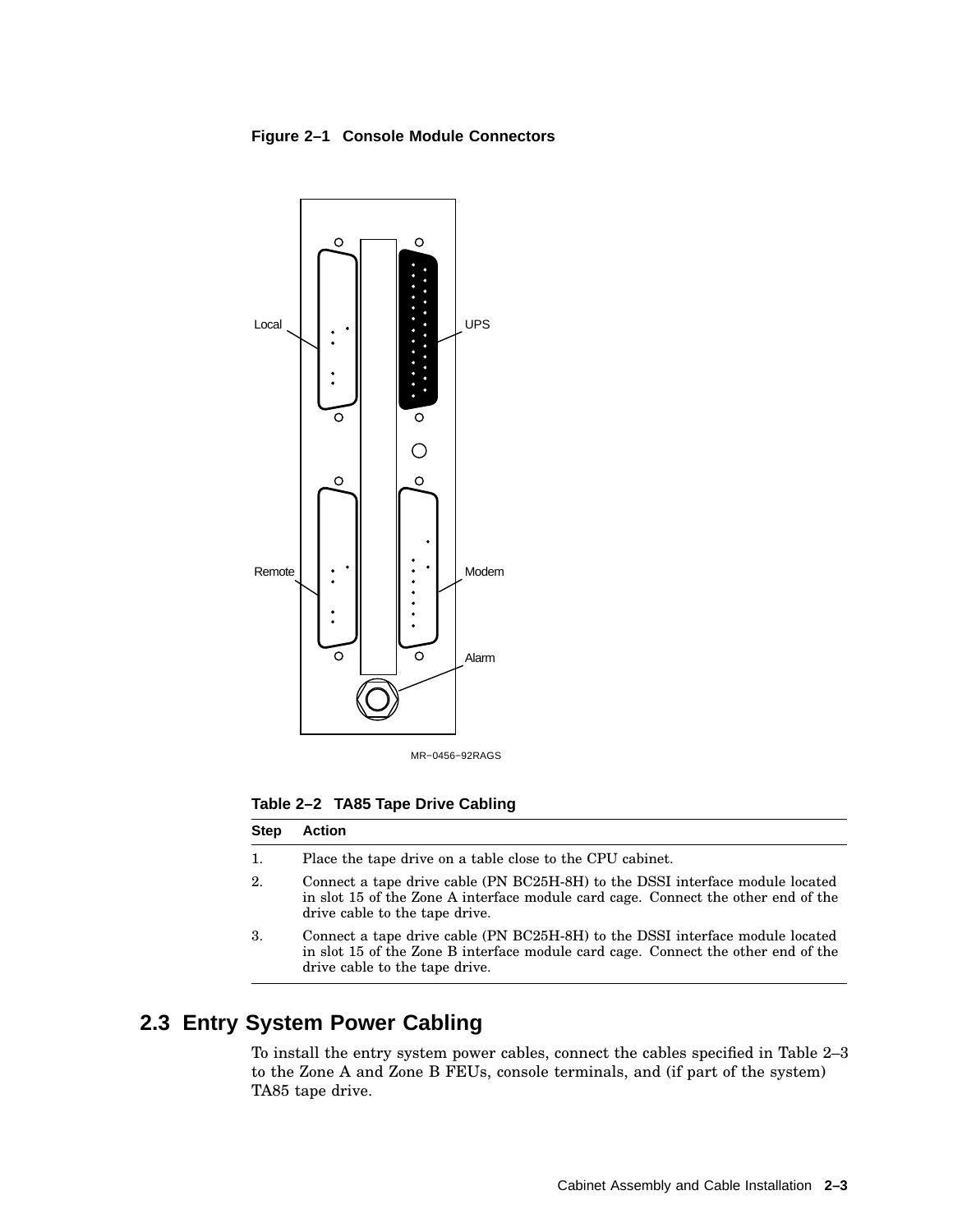#### **Figure 2–1 Console Module Connectors**



MR−0456−92RAGS

**Table 2–2 TA85 Tape Drive Cabling**

#### **Step Action**

- 1. Place the tape drive on a table close to the CPU cabinet.
- 2. Connect a tape drive cable (PN BC25H-8H) to the DSSI interface module located in slot 15 of the Zone A interface module card cage. Connect the other end of the drive cable to the tape drive.
- 3. Connect a tape drive cable (PN BC25H-8H) to the DSSI interface module located in slot 15 of the Zone B interface module card cage. Connect the other end of the drive cable to the tape drive.

#### **2.3 Entry System Power Cabling**

To install the entry system power cables, connect the cables specified in Table 2–3 to the Zone A and Zone B FEUs, console terminals, and (if part of the system) TA85 tape drive.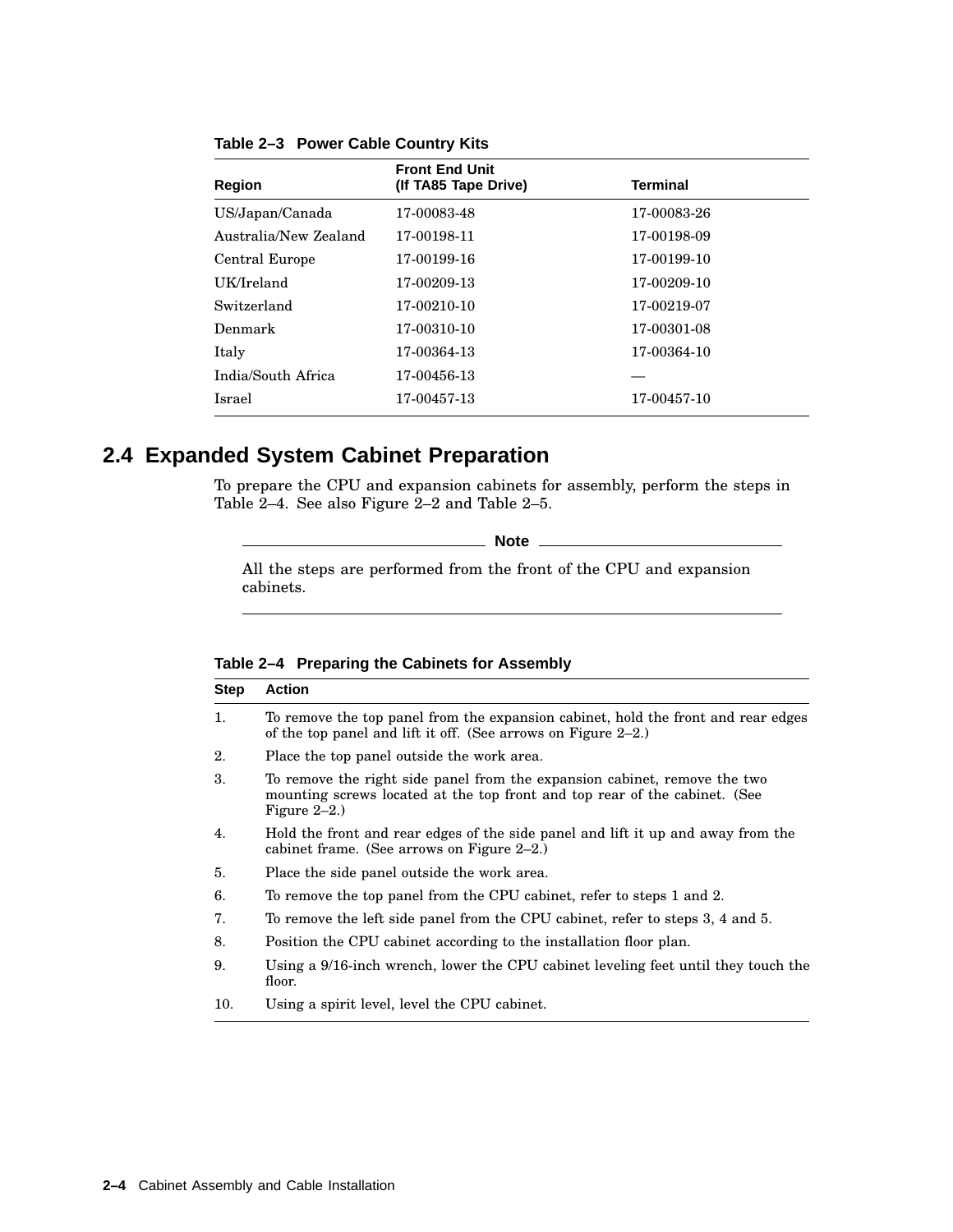| Region                | <b>Front End Unit</b><br>(If TA85 Tape Drive) | <b>Terminal</b> |
|-----------------------|-----------------------------------------------|-----------------|
|                       |                                               |                 |
| US/Japan/Canada       | 17-00083-48                                   | 17-00083-26     |
| Australia/New Zealand | 17-00198-11                                   | 17-00198-09     |
| Central Europe        | 17-00199-16                                   | 17-00199-10     |
| UK/Ireland            | 17-00209-13                                   | 17-00209-10     |
| Switzerland           | 17-00210-10                                   | 17-00219-07     |
| Denmark               | 17-00310-10                                   | 17-00301-08     |
| Italy                 | 17-00364-13                                   | 17-00364-10     |
| India/South Africa    | 17-00456-13                                   |                 |
| Israel                | 17-00457-13                                   | 17-00457-10     |
|                       |                                               |                 |

**Table 2–3 Power Cable Country Kits**

#### **2.4 Expanded System Cabinet Preparation**

To prepare the CPU and expansion cabinets for assembly, perform the steps in Table 2–4. See also Figure 2–2 and Table 2–5.

**Note** \_\_\_\_\_

All the steps are performed from the front of the CPU and expansion cabinets.

#### **Table 2–4 Preparing the Cabinets for Assembly**

| Step | <b>Action</b>                                                                                                                                                              |
|------|----------------------------------------------------------------------------------------------------------------------------------------------------------------------------|
| 1.   | To remove the top panel from the expansion cabinet, hold the front and rear edges<br>of the top panel and lift it off. (See arrows on Figure $2-2$ .)                      |
| 2.   | Place the top panel outside the work area.                                                                                                                                 |
| 3.   | To remove the right side panel from the expansion cabinet, remove the two<br>mounting screws located at the top front and top rear of the cabinet. (See<br>Figure $2-2.$ ) |
| 4.   | Hold the front and rear edges of the side panel and lift it up and away from the<br>cabinet frame. (See arrows on Figure $2-2$ .)                                          |
| 5.   | Place the side panel outside the work area.                                                                                                                                |
| 6.   | To remove the top panel from the CPU cabinet, refer to steps 1 and 2.                                                                                                      |
| 7.   | To remove the left side panel from the CPU cabinet, refer to steps 3, 4 and 5.                                                                                             |
| 8.   | Position the CPU cabinet according to the installation floor plan.                                                                                                         |
| 9.   | Using a 9/16-inch wrench, lower the CPU cabinet leveling feet until they touch the<br>floor.                                                                               |
| 10.  | Using a spirit level, level the CPU cabinet.                                                                                                                               |
|      |                                                                                                                                                                            |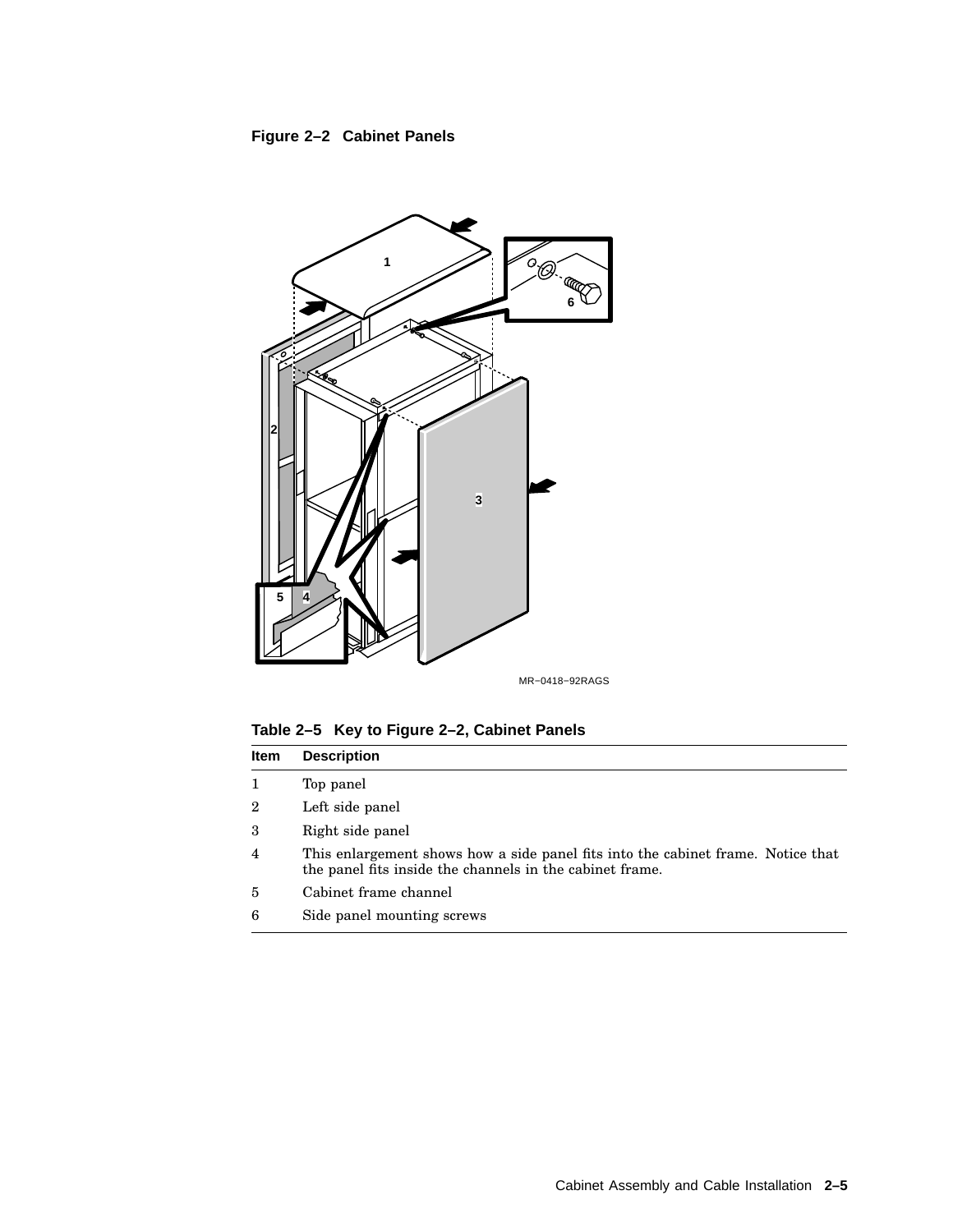**Figure 2–2 Cabinet Panels**



MR−0418−92RAGS

**Table 2–5 Key to Figure 2–2, Cabinet Panels**

| <b>Item</b>    | <b>Description</b>                                                                                                                           |
|----------------|----------------------------------------------------------------------------------------------------------------------------------------------|
| 1              | Top panel                                                                                                                                    |
| $\overline{2}$ | Left side panel                                                                                                                              |
| 3              | Right side panel                                                                                                                             |
| $\overline{4}$ | This enlargement shows how a side panel fits into the cabinet frame. Notice that<br>the panel fits inside the channels in the cabinet frame. |
| 5              | Cabinet frame channel                                                                                                                        |
| 6              | Side panel mounting screws                                                                                                                   |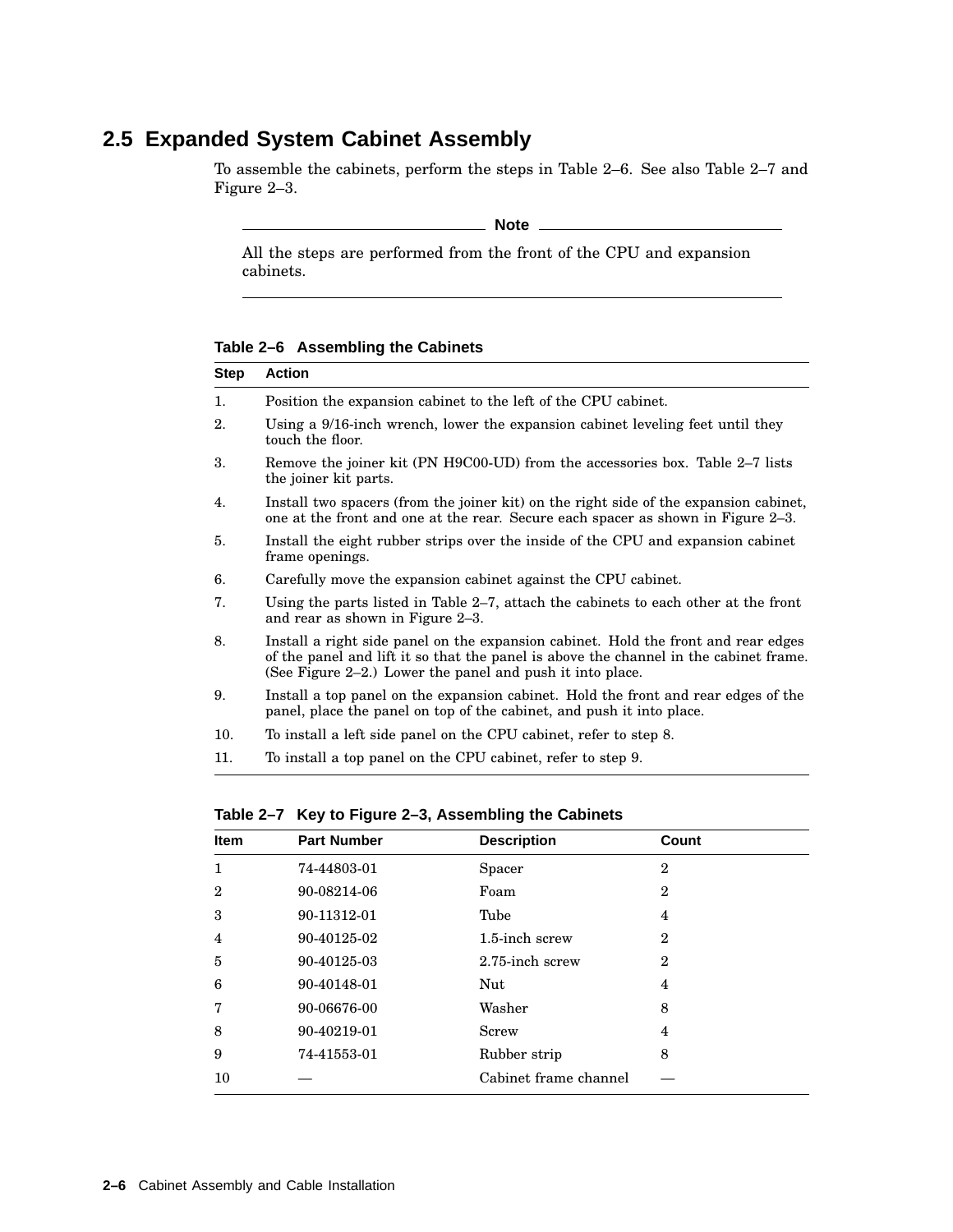## **2.5 Expanded System Cabinet Assembly**

To assemble the cabinets, perform the steps in Table 2–6. See also Table 2–7 and Figure 2–3.

**Note**

All the steps are performed from the front of the CPU and expansion cabinets.

**Table 2–6 Assembling the Cabinets**

| <b>Step</b> | <b>Action</b>                                                                                                                                                                                                                            |
|-------------|------------------------------------------------------------------------------------------------------------------------------------------------------------------------------------------------------------------------------------------|
| 1.          | Position the expansion cabinet to the left of the CPU cabinet.                                                                                                                                                                           |
| 2.          | Using a 9/16-inch wrench, lower the expansion cabinet leveling feet until they<br>touch the floor.                                                                                                                                       |
| 3.          | Remove the joiner kit (PN H9C00-UD) from the accessories box. Table 2-7 lists<br>the joiner kit parts.                                                                                                                                   |
| 4.          | Install two spacers (from the joiner kit) on the right side of the expansion cabinet,<br>one at the front and one at the rear. Secure each spacer as shown in Figure 2–3.                                                                |
| 5.          | Install the eight rubber strips over the inside of the CPU and expansion cabinet<br>frame openings.                                                                                                                                      |
| 6.          | Carefully move the expansion cabinet against the CPU cabinet.                                                                                                                                                                            |
| 7.          | Using the parts listed in Table 2–7, attach the cabinets to each other at the front<br>and rear as shown in Figure 2–3.                                                                                                                  |
| 8.          | Install a right side panel on the expansion cabinet. Hold the front and rear edges<br>of the panel and lift it so that the panel is above the channel in the cabinet frame.<br>(See Figure 2–2.) Lower the panel and push it into place. |
| 9.          | Install a top panel on the expansion cabinet. Hold the front and rear edges of the<br>panel, place the panel on top of the cabinet, and push it into place.                                                                              |
| 10.         | To install a left side panel on the CPU cabinet, refer to step 8.                                                                                                                                                                        |

11. To install a top panel on the CPU cabinet, refer to step 9.

| $1800$ $\leq$ $\leq$ 1 $180$ to 1 igure $\leq$ 0, Assumbling the Oddiners |                    |                       |              |  |
|---------------------------------------------------------------------------|--------------------|-----------------------|--------------|--|
| <b>Item</b>                                                               | <b>Part Number</b> | <b>Description</b>    | Count        |  |
| 1                                                                         | 74-44803-01        | Spacer                | $\mathbf{2}$ |  |
| $\mathbf{2}$                                                              | 90-08214-06        | Foam                  | $\mathbf 2$  |  |
| 3                                                                         | 90-11312-01        | Tube                  | 4            |  |
| 4                                                                         | 90-40125-02        | 1.5-inch screw        | $\mathbf 2$  |  |
| 5                                                                         | 90-40125-03        | 2.75-inch screw       | $\mathbf 2$  |  |
| 6                                                                         | 90-40148-01        | Nut                   | 4            |  |
| 7                                                                         | 90-06676-00        | Washer                | 8            |  |
| 8                                                                         | 90-40219-01        | Screw                 | 4            |  |
| 9                                                                         | 74-41553-01        | Rubber strip          | 8            |  |
| 10                                                                        |                    | Cabinet frame channel |              |  |
|                                                                           |                    |                       |              |  |

**Table 2–7 Key to Figure 2–3, Assembling the Cabinets**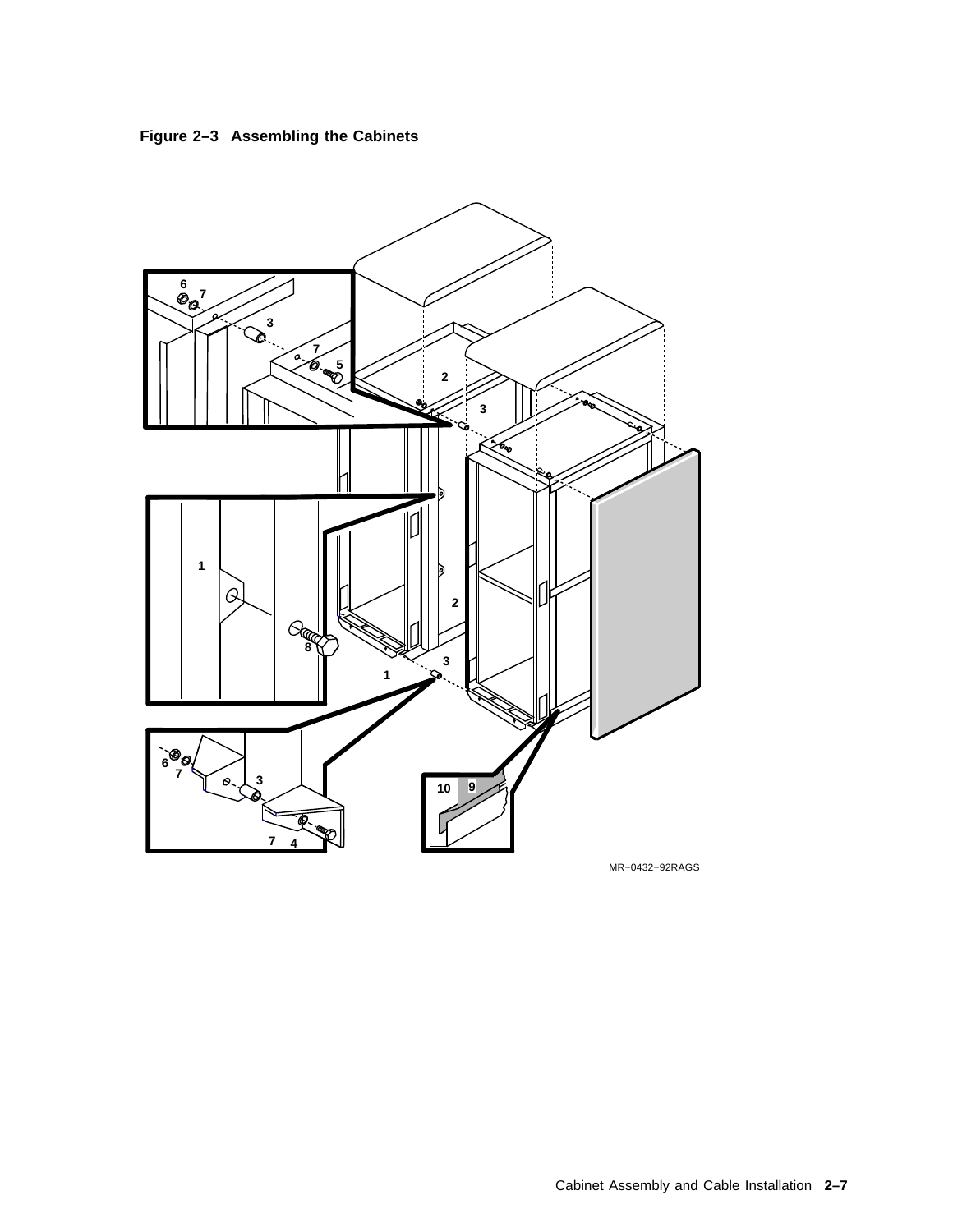



MR−0432−92RAGS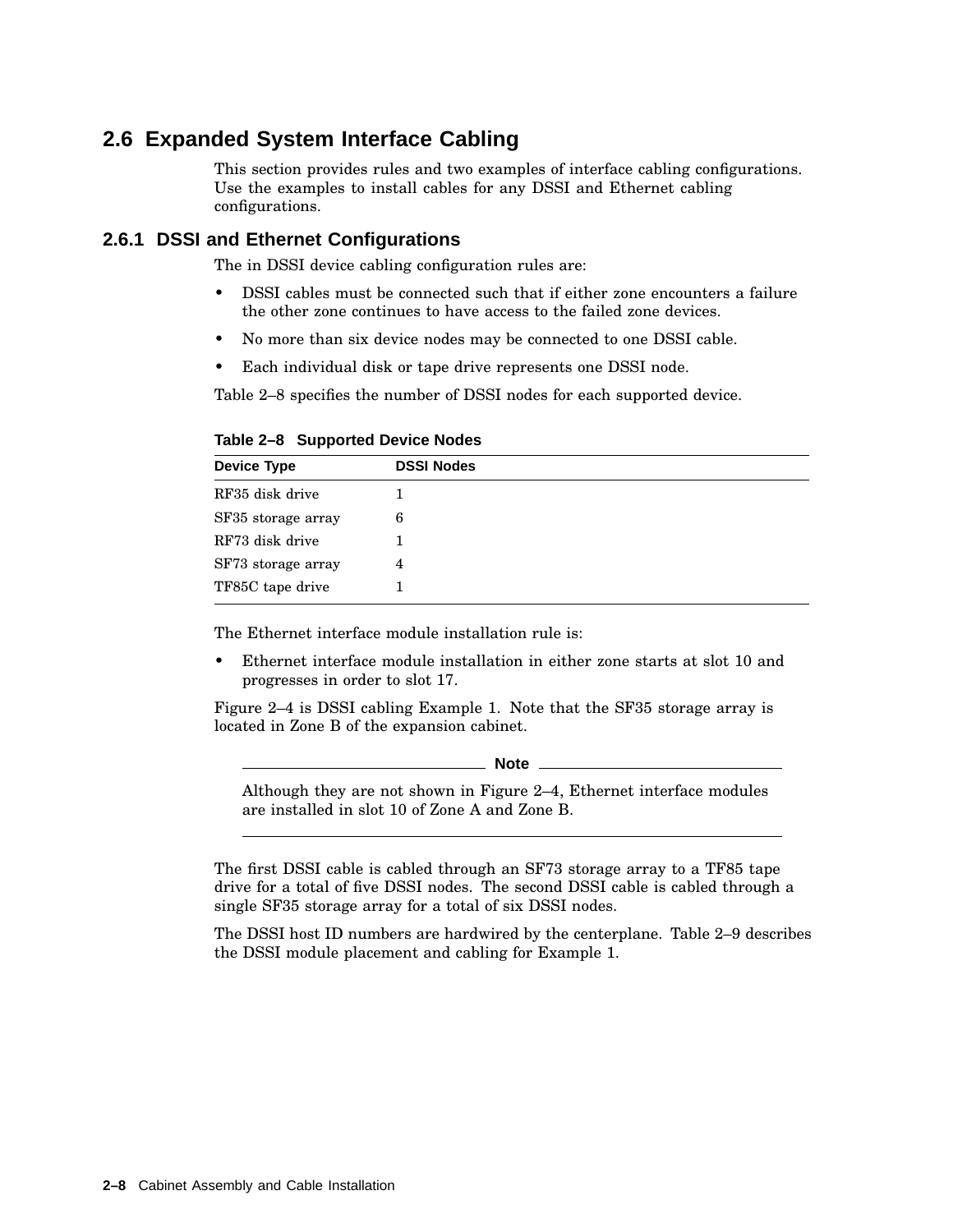#### **2.6 Expanded System Interface Cabling**

This section provides rules and two examples of interface cabling configurations. Use the examples to install cables for any DSSI and Ethernet cabling configurations.

#### **2.6.1 DSSI and Ethernet Configurations**

The in DSSI device cabling configuration rules are:

- DSSI cables must be connected such that if either zone encounters a failure the other zone continues to have access to the failed zone devices.
- No more than six device nodes may be connected to one DSSI cable.
- Each individual disk or tape drive represents one DSSI node.

Table 2–8 specifies the number of DSSI nodes for each supported device.

**Table 2–8 Supported Device Nodes**

| <b>Device Type</b> | <b>DSSI Nodes</b> |  |
|--------------------|-------------------|--|
| RF35 disk drive    |                   |  |
| SF35 storage array | 6                 |  |
| RF73 disk drive    |                   |  |
| SF73 storage array | 4                 |  |
| TF85C tape drive   |                   |  |

The Ethernet interface module installation rule is:

• Ethernet interface module installation in either zone starts at slot 10 and progresses in order to slot 17.

Figure 2–4 is DSSI cabling Example 1. Note that the SF35 storage array is located in Zone B of the expansion cabinet.

**Note**

Although they are not shown in Figure 2–4, Ethernet interface modules are installed in slot 10 of Zone A and Zone B.

The first DSSI cable is cabled through an SF73 storage array to a TF85 tape drive for a total of five DSSI nodes. The second DSSI cable is cabled through a single SF35 storage array for a total of six DSSI nodes.

The DSSI host ID numbers are hardwired by the centerplane. Table 2–9 describes the DSSI module placement and cabling for Example 1.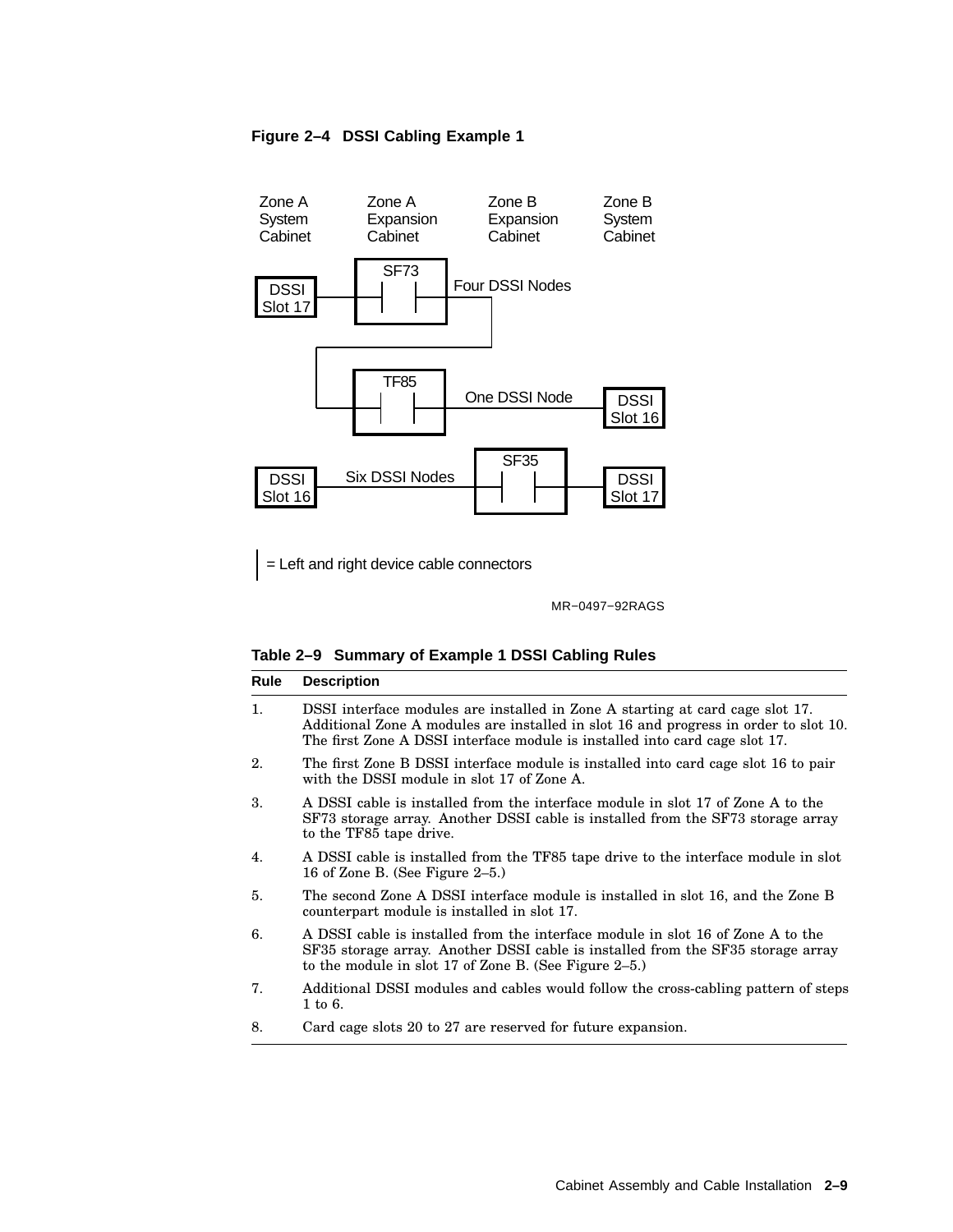#### **Figure 2–4 DSSI Cabling Example 1**



= Left and right device cable connectors

MR−0497−92RAGS

#### **Table 2–9 Summary of Example 1 DSSI Cabling Rules**

| Rule         | <b>Description</b>                                                                                                                                                                                                                                   |
|--------------|------------------------------------------------------------------------------------------------------------------------------------------------------------------------------------------------------------------------------------------------------|
| 1.           | DSSI interface modules are installed in Zone A starting at card cage slot 17.<br>Additional Zone A modules are installed in slot 16 and progress in order to slot 10.<br>The first Zone A DSSI interface module is installed into card cage slot 17. |
| 2.           | The first Zone B DSSI interface module is installed into card cage slot 16 to pair<br>with the DSSI module in slot 17 of Zone A.                                                                                                                     |
| 3.           | A DSSI cable is installed from the interface module in slot 17 of Zone A to the<br>SF73 storage array. Another DSSI cable is installed from the SF73 storage array<br>to the TF85 tape drive.                                                        |
| 4.           | A DSSI cable is installed from the TF85 tape drive to the interface module in slot<br>16 of Zone B. (See Figure 2-5.)                                                                                                                                |
| 5.           | The second Zone A DSSI interface module is installed in slot 16, and the Zone B<br>counterpart module is installed in slot 17.                                                                                                                       |
| 6.           | A DSSI cable is installed from the interface module in slot 16 of Zone A to the<br>SF35 storage array. Another DSSI cable is installed from the SF35 storage array<br>to the module in slot 17 of Zone B. (See Figure 2-5.)                          |
| 7.           | Additional DSSI modules and cables would follow the cross-cabling pattern of steps<br>1 to 6.                                                                                                                                                        |
| <sup>o</sup> | $0.01 \pm 0.01$ and $0.01 \pm 0.07 \pm 0.01$ and $0.01 \pm 0.01 \pm 0.01$                                                                                                                                                                            |

8. Card cage slots 20 to 27 are reserved for future expansion.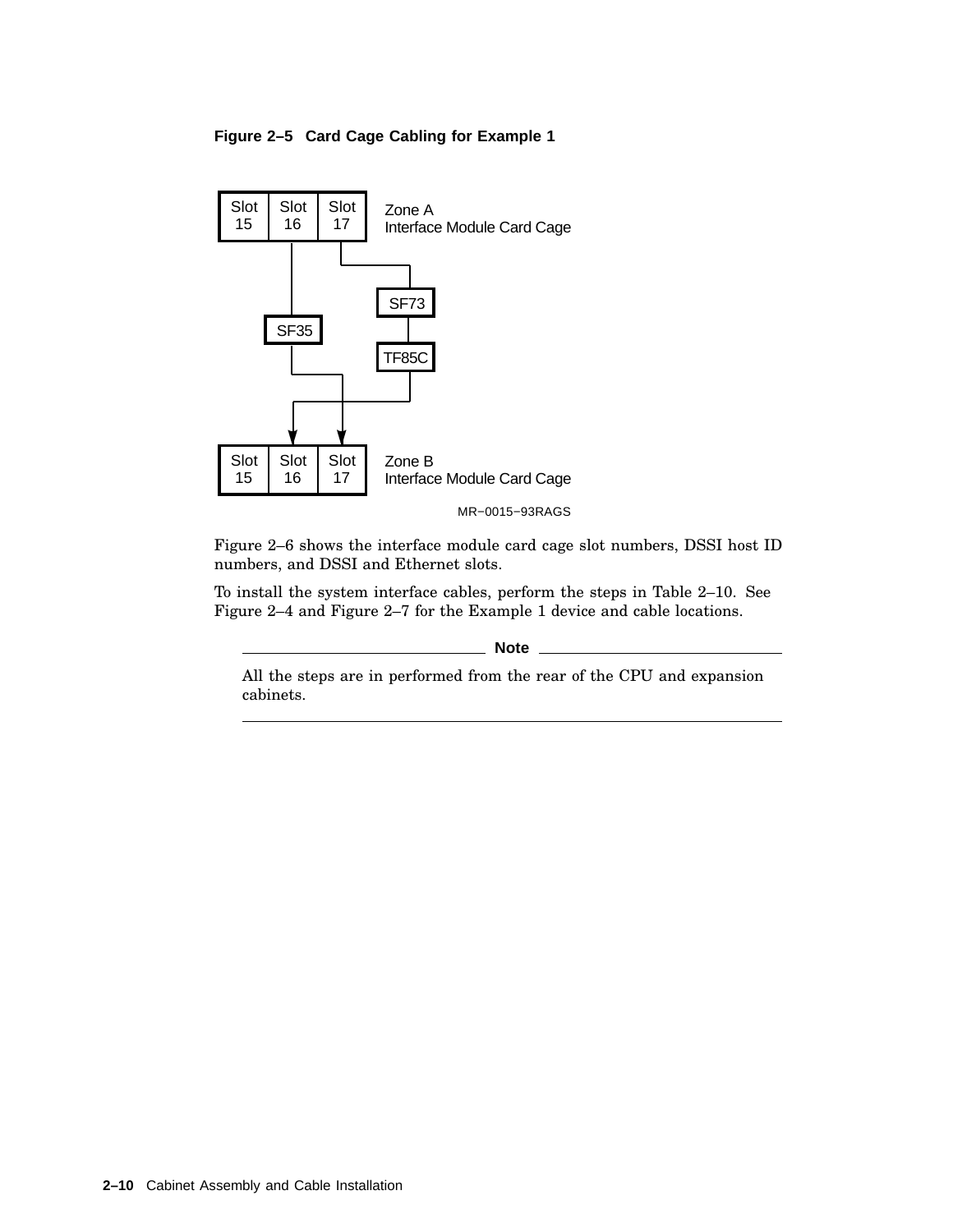#### **Figure 2–5 Card Cage Cabling for Example 1**



Figure 2–6 shows the interface module card cage slot numbers, DSSI host ID numbers, and DSSI and Ethernet slots.

To install the system interface cables, perform the steps in Table 2–10. See Figure 2–4 and Figure 2–7 for the Example 1 device and cable locations.

**Note**

All the steps are in performed from the rear of the CPU and expansion cabinets.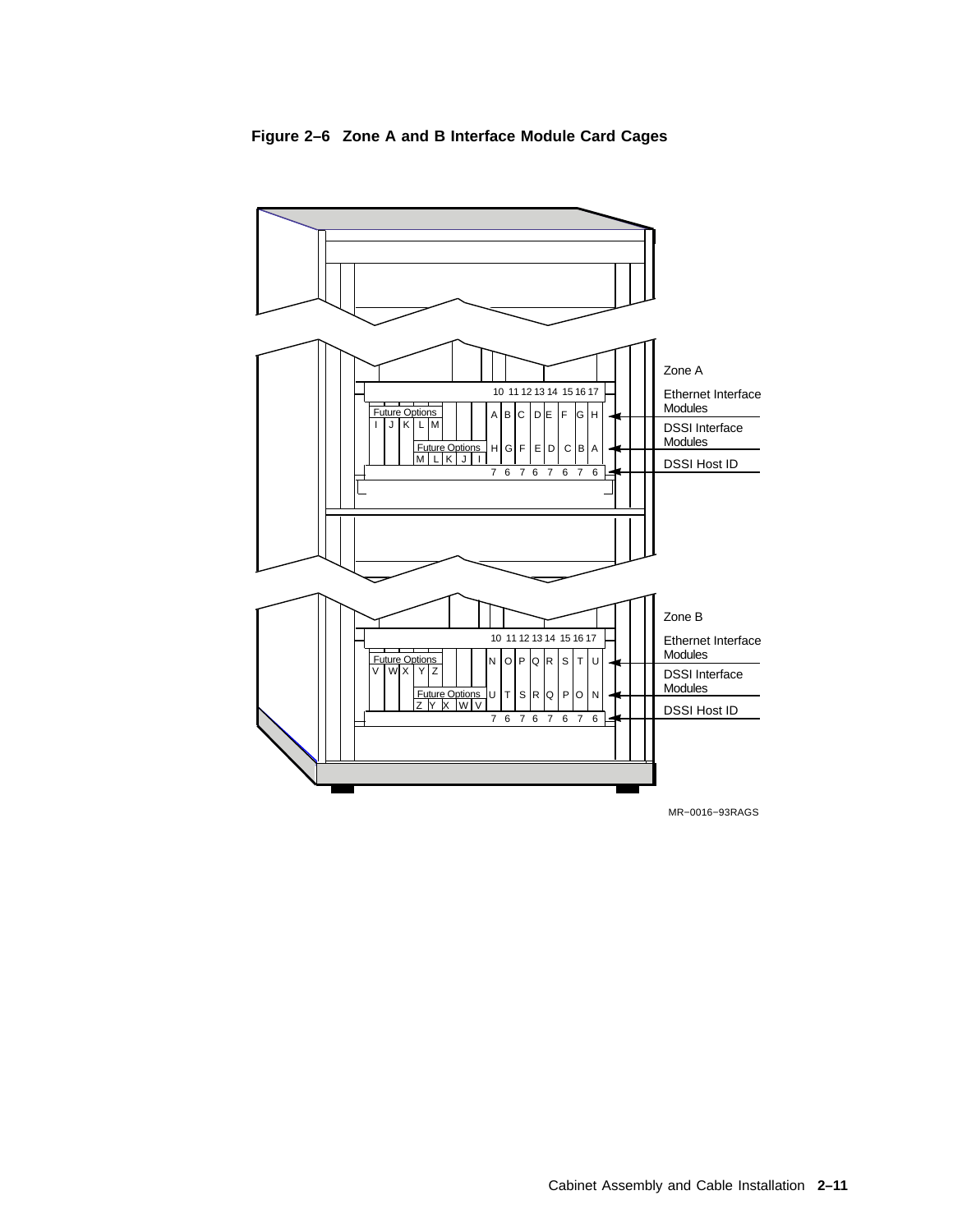

**Figure 2–6 Zone A and B Interface Module Card Cages**

Cabinet Assembly and Cable Installation **2–11**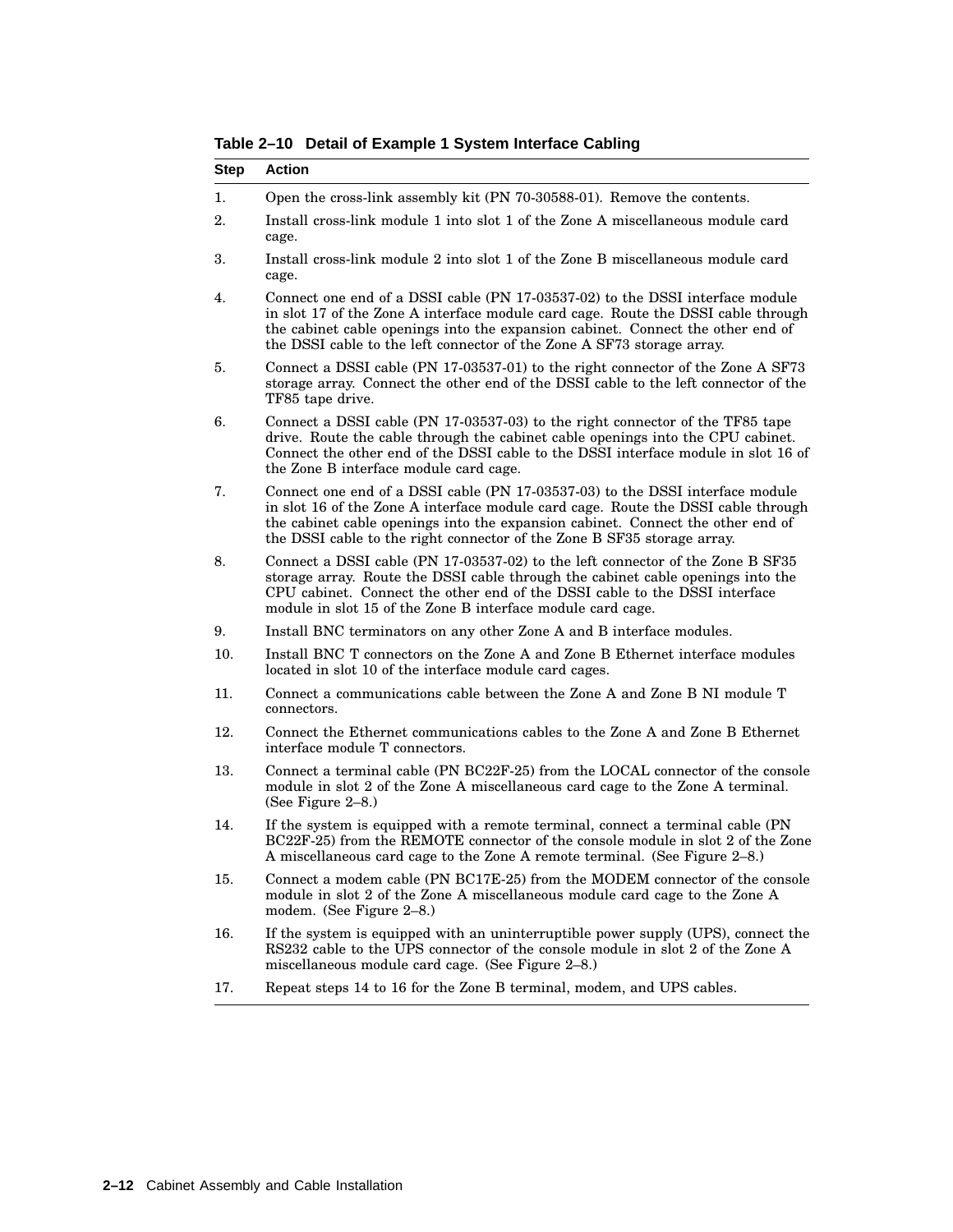| <b>Step</b> | <b>Action</b>                                                                                                                                                                                                                                                                                                                    |
|-------------|----------------------------------------------------------------------------------------------------------------------------------------------------------------------------------------------------------------------------------------------------------------------------------------------------------------------------------|
| 1.          | Open the cross-link assembly kit (PN 70-30588-01). Remove the contents.                                                                                                                                                                                                                                                          |
| 2.          | Install cross-link module 1 into slot 1 of the Zone A miscellaneous module card<br>cage.                                                                                                                                                                                                                                         |
| 3.          | Install cross-link module 2 into slot 1 of the Zone B miscellaneous module card<br>cage.                                                                                                                                                                                                                                         |
| 4.          | Connect one end of a DSSI cable (PN 17-03537-02) to the DSSI interface module<br>in slot 17 of the Zone A interface module card cage. Route the DSSI cable through<br>the cabinet cable openings into the expansion cabinet. Connect the other end of<br>the DSSI cable to the left connector of the Zone A SF73 storage array.  |
| 5.          | Connect a DSSI cable (PN 17-03537-01) to the right connector of the Zone A SF73<br>storage array. Connect the other end of the DSSI cable to the left connector of the<br>TF85 tape drive.                                                                                                                                       |
| 6.          | Connect a DSSI cable (PN 17-03537-03) to the right connector of the TF85 tape<br>drive. Route the cable through the cabinet cable openings into the CPU cabinet.<br>Connect the other end of the DSSI cable to the DSSI interface module in slot 16 of<br>the Zone B interface module card cage.                                 |
| 7.          | Connect one end of a DSSI cable (PN 17-03537-03) to the DSSI interface module<br>in slot 16 of the Zone A interface module card cage. Route the DSSI cable through<br>the cabinet cable openings into the expansion cabinet. Connect the other end of<br>the DSSI cable to the right connector of the Zone B SF35 storage array. |
| 8.          | Connect a DSSI cable (PN 17-03537-02) to the left connector of the Zone B SF35<br>storage array. Route the DSSI cable through the cabinet cable openings into the<br>CPU cabinet. Connect the other end of the DSSI cable to the DSSI interface<br>module in slot 15 of the Zone B interface module card cage.                   |
| 9.          | Install BNC terminators on any other Zone A and B interface modules.                                                                                                                                                                                                                                                             |
| 10.         | Install BNC T connectors on the Zone A and Zone B Ethernet interface modules<br>located in slot 10 of the interface module card cages.                                                                                                                                                                                           |
| 11.         | Connect a communications cable between the Zone A and Zone B NI module T<br>connectors.                                                                                                                                                                                                                                          |
| 12.         | Connect the Ethernet communications cables to the Zone A and Zone B Ethernet<br>interface module T connectors.                                                                                                                                                                                                                   |
| 13.         | Connect a terminal cable (PN BC22F-25) from the LOCAL connector of the console<br>module in slot 2 of the Zone A miscellaneous card cage to the Zone A terminal.<br>(See Figure $2-8$ .)                                                                                                                                         |
| 14.         | If the system is equipped with a remote terminal, connect a terminal cable (PN)<br>BC22F-25) from the REMOTE connector of the console module in slot 2 of the Zone<br>A miscellaneous card cage to the Zone A remote terminal. (See Figure 2-8.)                                                                                 |
| 15.         | Connect a modem cable (PN BC17E-25) from the MODEM connector of the console<br>module in slot 2 of the Zone A miscellaneous module card cage to the Zone A<br>modem. (See Figure 2–8.)                                                                                                                                           |
| 16.         | If the system is equipped with an uninterruptible power supply (UPS), connect the<br>RS232 cable to the UPS connector of the console module in slot 2 of the Zone A<br>miscellaneous module card cage. (See Figure 2-8.)                                                                                                         |
| 17.         | Repeat steps 14 to 16 for the Zone B terminal, modem, and UPS cables.                                                                                                                                                                                                                                                            |

**Table 2–10 Detail of Example 1 System Interface Cabling**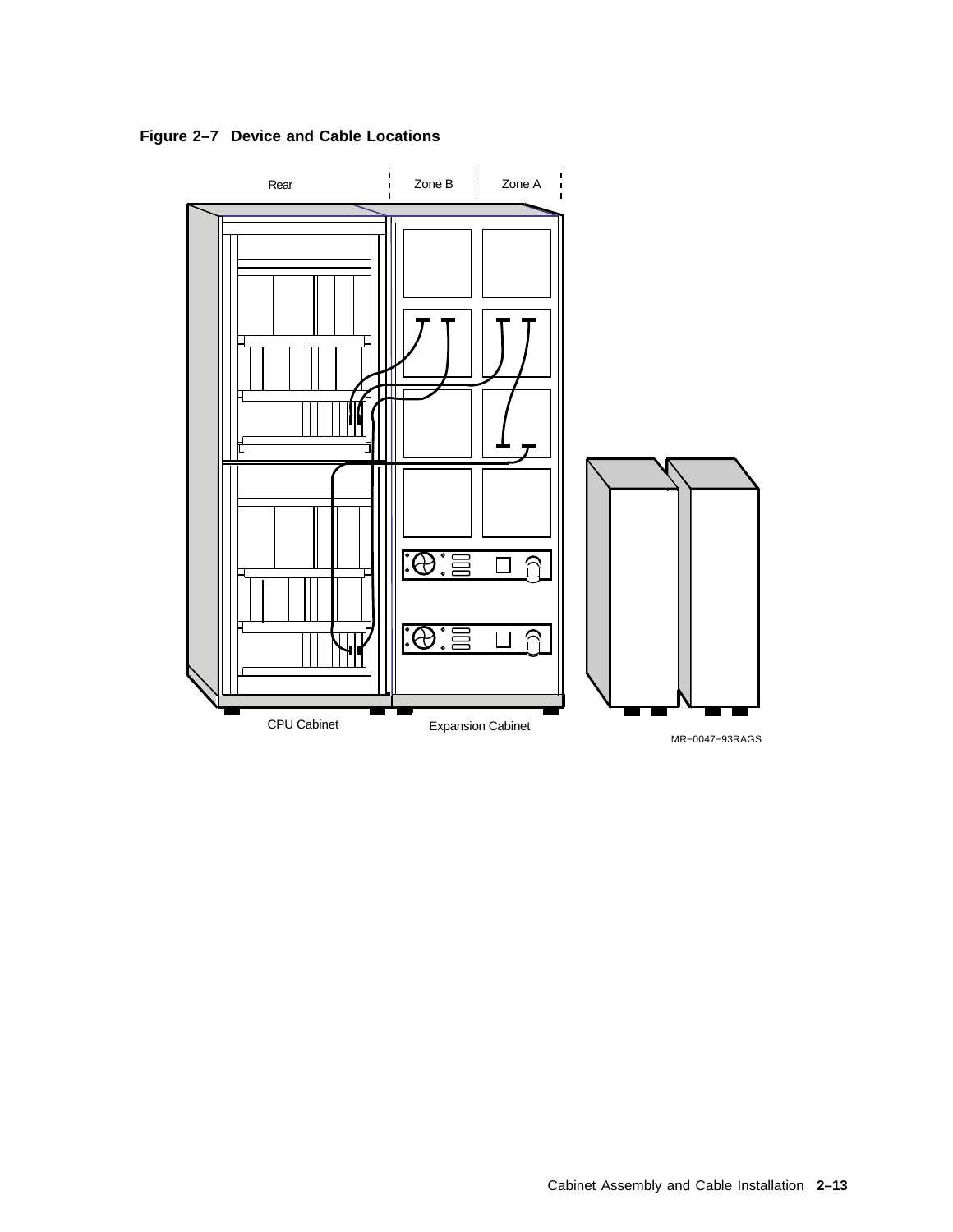**Figure 2–7 Device and Cable Locations**

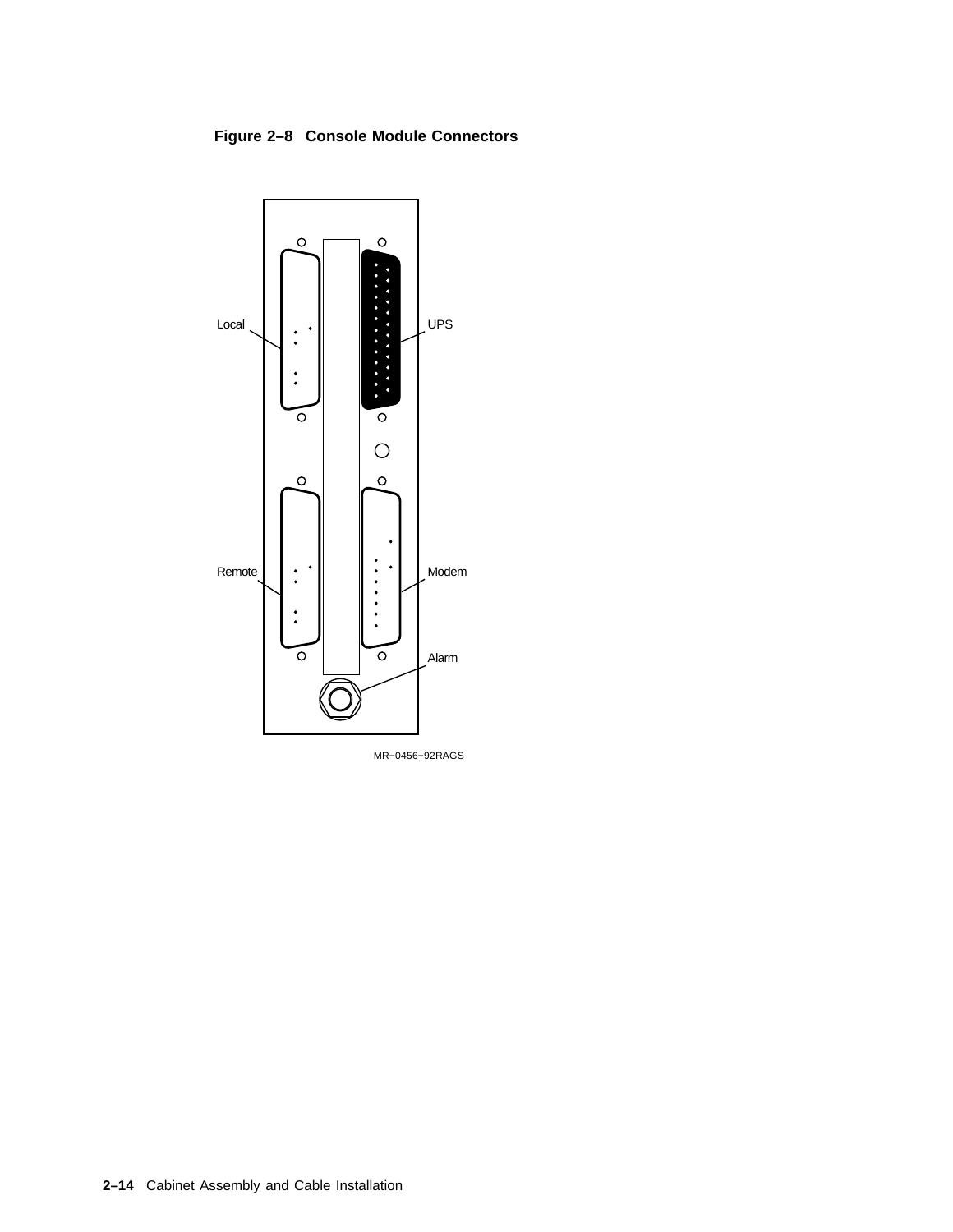#### **Figure 2–8 Console Module Connectors**



MR−0456−92RAGS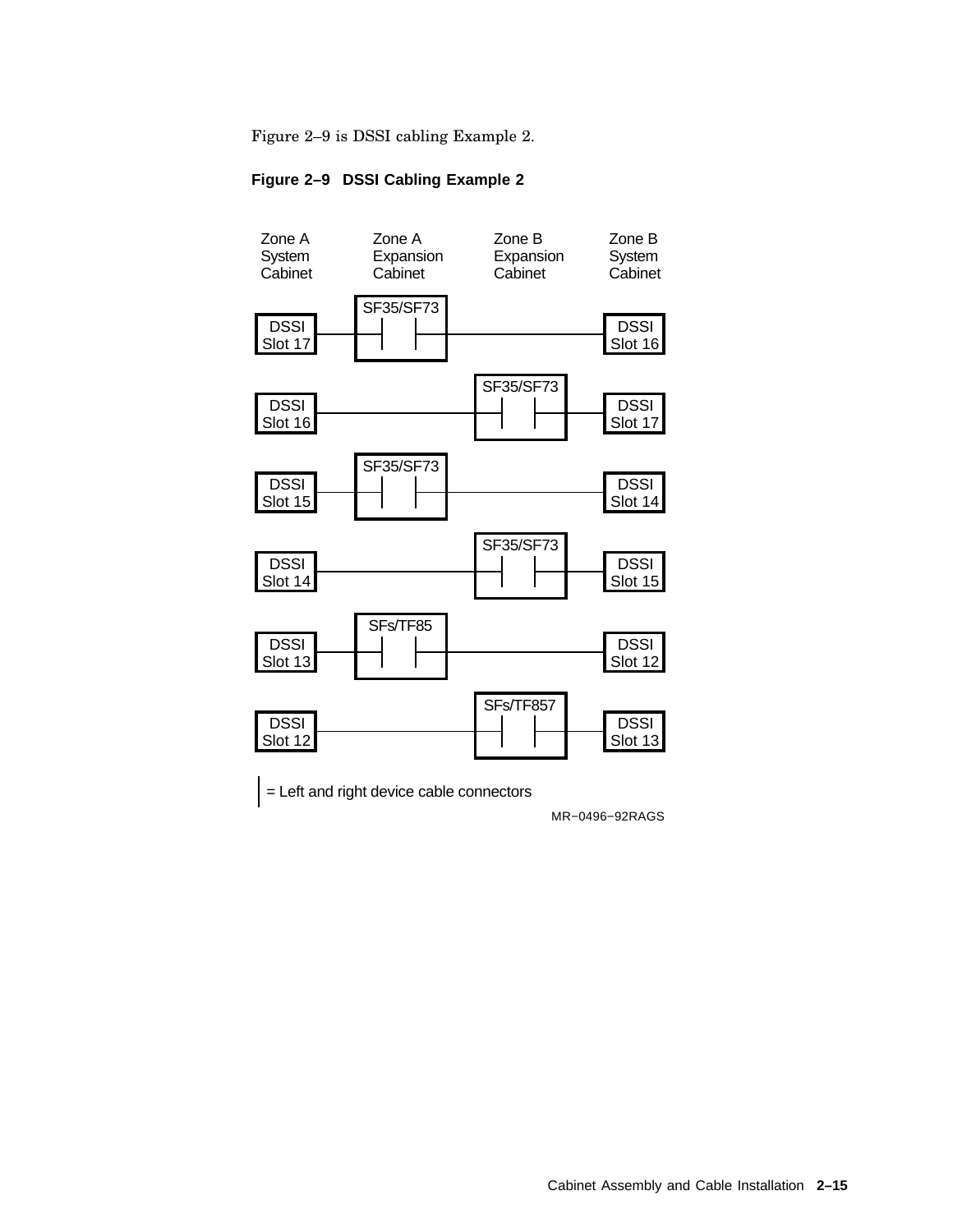Figure 2–9 is DSSI cabling Example 2.

#### **Figure 2–9 DSSI Cabling Example 2**



MR−0496−92RAGS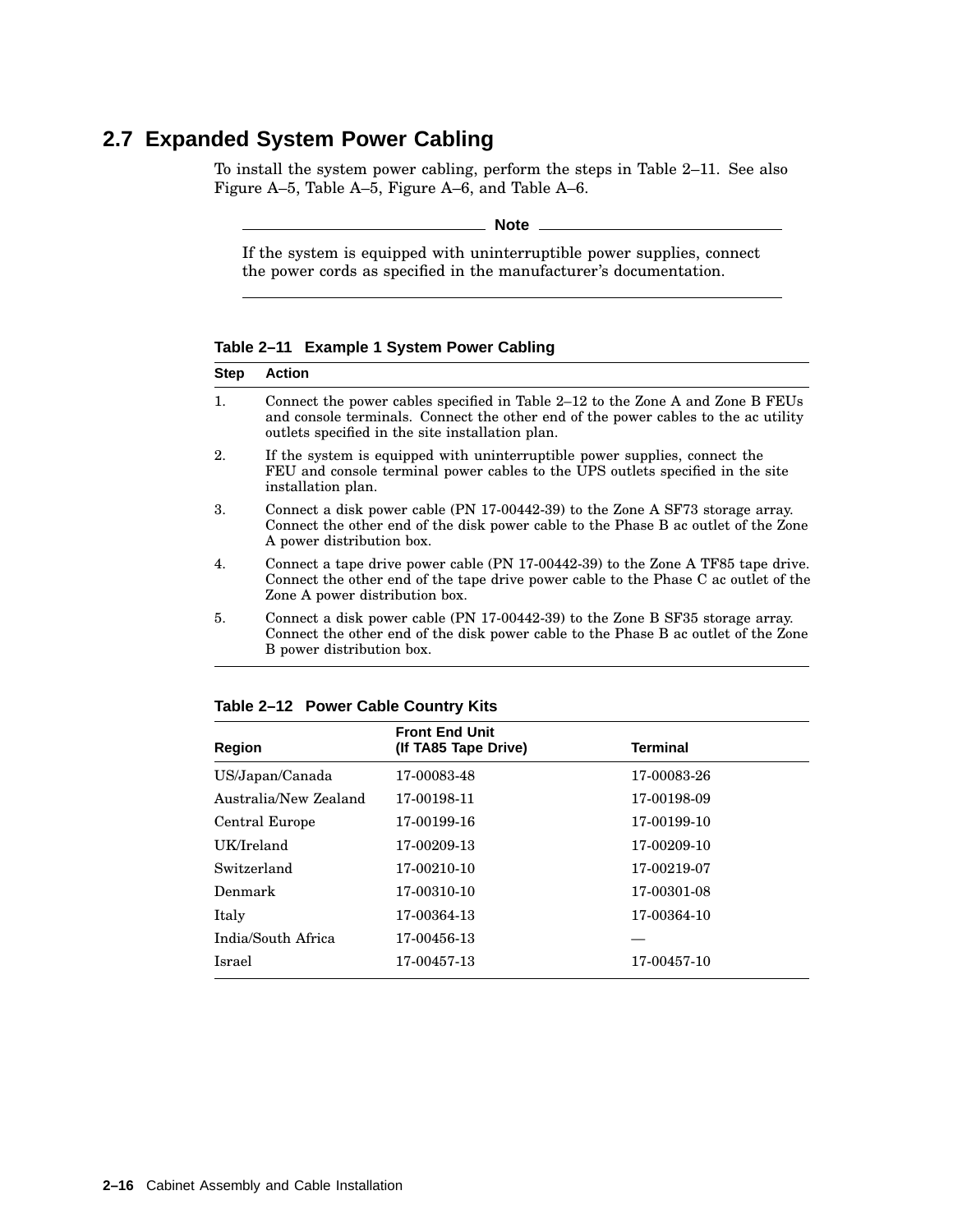## **2.7 Expanded System Power Cabling**

To install the system power cabling, perform the steps in Table 2–11. See also Figure A–5, Table A–5, Figure A–6, and Table A–6.

**Note**

If the system is equipped with uninterruptible power supplies, connect the power cords as specified in the manufacturer's documentation.

**Table 2–11 Example 1 System Power Cabling**

| <b>Step</b> | <b>Action</b>                                                                                                                                                                                                            |
|-------------|--------------------------------------------------------------------------------------------------------------------------------------------------------------------------------------------------------------------------|
|             |                                                                                                                                                                                                                          |
| 1.          | Connect the power cables specified in Table 2–12 to the Zone A and Zone B FEUs<br>and console terminals. Connect the other end of the power cables to the ac utility<br>outlets specified in the site installation plan. |
| 2.          | If the system is equipped with uninterruptible power supplies, connect the<br>FEU and console terminal power cables to the UPS outlets specified in the site<br>installation plan.                                       |
| 3.          | Connect a disk power cable (PN 17-00442-39) to the Zone A SF73 storage array.<br>Connect the other end of the disk power cable to the Phase B ac outlet of the Zone<br>A power distribution box.                         |
| 4.          | Connect a tape drive power cable (PN 17-00442-39) to the Zone A TF85 tape drive.<br>Connect the other end of the tape drive power cable to the Phase C ac outlet of the<br>Zone A power distribution box.                |
| 5.          | Connect a disk power cable (PN 17-00442-39) to the Zone B SF35 storage array.<br>Connect the other end of the disk power cable to the Phase B ac outlet of the Zone                                                      |

| Table 2-12 Power Cable Country Kits |  |  |  |  |
|-------------------------------------|--|--|--|--|
|-------------------------------------|--|--|--|--|

B power distribution box.

| <b>Region</b>         | <b>Front End Unit</b><br>(If TA85 Tape Drive) | <b>Terminal</b> |  |
|-----------------------|-----------------------------------------------|-----------------|--|
| US/Japan/Canada       | 17-00083-48                                   | 17-00083-26     |  |
| Australia/New Zealand | 17-00198-11                                   | 17-00198-09     |  |
| Central Europe        | 17-00199-16                                   | 17-00199-10     |  |
| UK/Ireland            | 17-00209-13                                   | 17-00209-10     |  |
| Switzerland           | 17-00210-10                                   | 17-00219-07     |  |
| Denmark               | 17-00310-10                                   | 17-00301-08     |  |
| Italy                 | 17-00364-13                                   | 17-00364-10     |  |
| India/South Africa    | 17-00456-13                                   |                 |  |
| Israel                | 17-00457-13                                   | 17-00457-10     |  |
|                       |                                               |                 |  |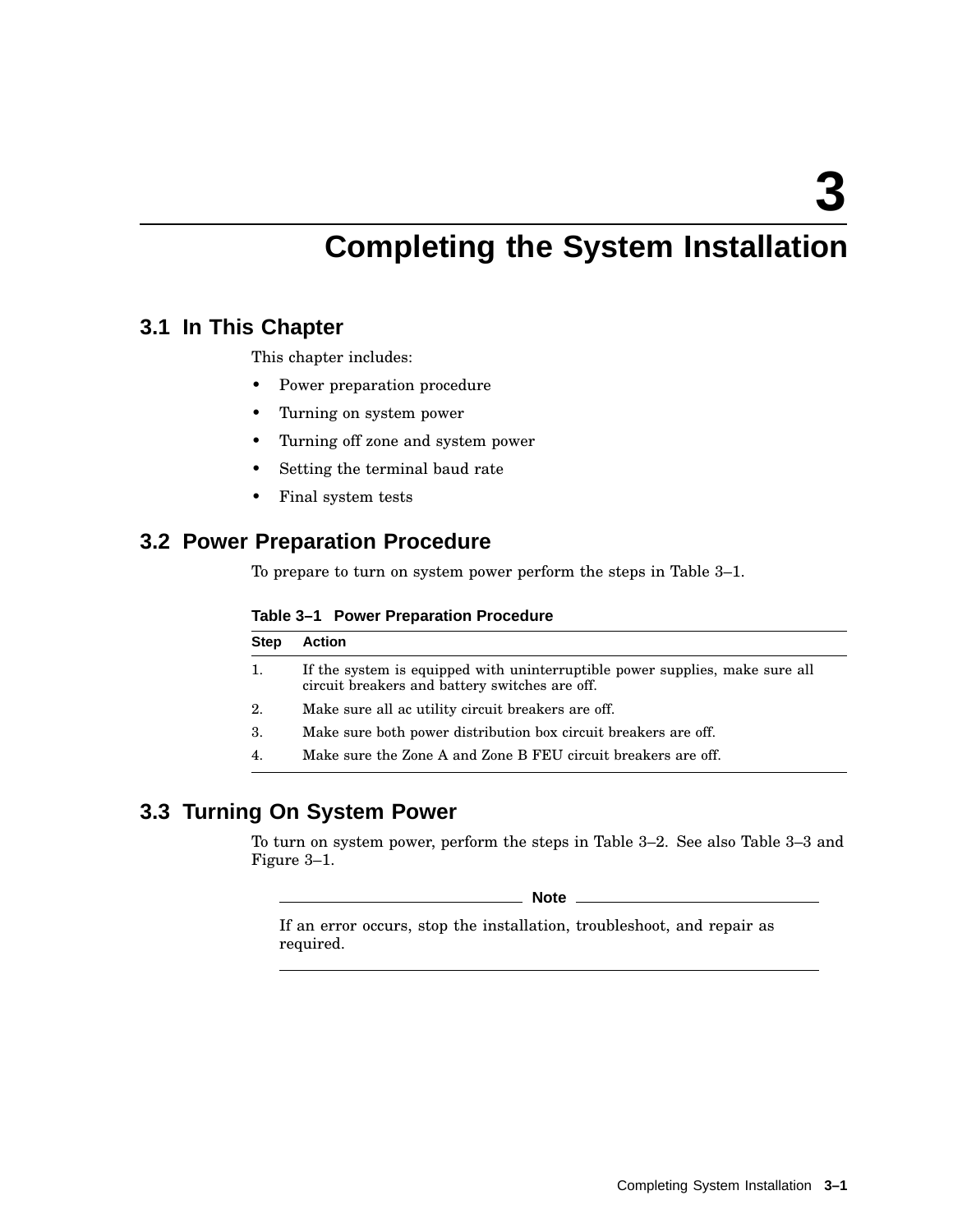**3**

## **Completing the System Installation**

#### **3.1 In This Chapter**

This chapter includes:

- Power preparation procedure
- Turning on system power
- Turning off zone and system power
- Setting the terminal baud rate
- Final system tests

#### **3.2 Power Preparation Procedure**

To prepare to turn on system power perform the steps in Table 3–1.

#### **Table 3–1 Power Preparation Procedure**

| <b>Step</b> | <b>Action</b>                                                                                                                  |
|-------------|--------------------------------------------------------------------------------------------------------------------------------|
| 1.          | If the system is equipped with uninterruptible power supplies, make sure all<br>circuit breakers and battery switches are off. |
| 2.          | Make sure all ac utility circuit breakers are off.                                                                             |
| 3.          | Make sure both power distribution box circuit breakers are off.                                                                |
| 4.          | Make sure the Zone A and Zone B FEU circuit breakers are off.                                                                  |

#### **3.3 Turning On System Power**

To turn on system power, perform the steps in Table 3–2. See also Table 3–3 and Figure 3–1.

**Note** 1

If an error occurs, stop the installation, troubleshoot, and repair as required.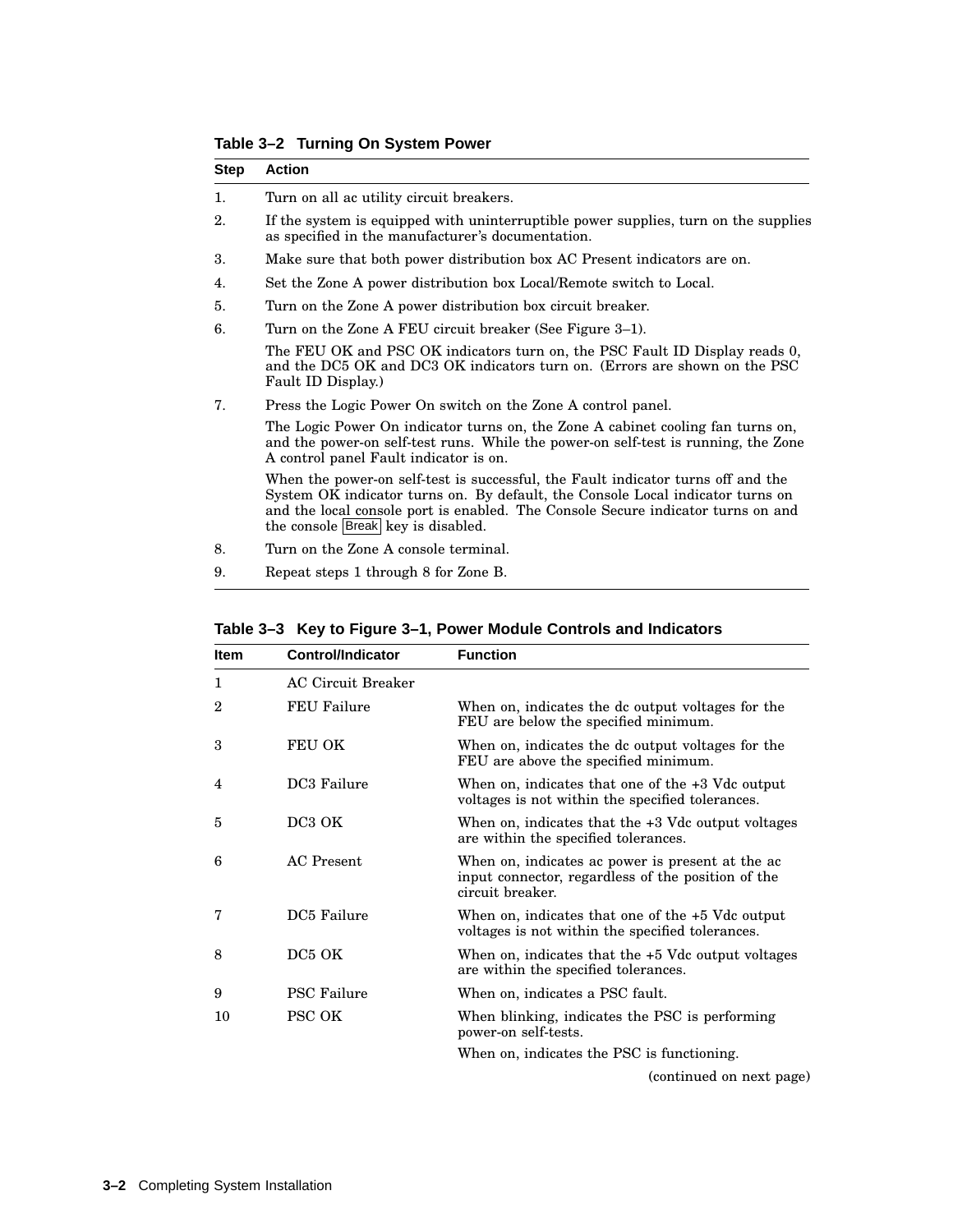**Table 3–2 Turning On System Power**

| <b>Step</b> | <b>Action</b>                                                                                                                                                                                                                                                                                |  |
|-------------|----------------------------------------------------------------------------------------------------------------------------------------------------------------------------------------------------------------------------------------------------------------------------------------------|--|
| 1.          | Turn on all ac utility circuit breakers.                                                                                                                                                                                                                                                     |  |
| 2.          | If the system is equipped with uninterruptible power supplies, turn on the supplies<br>as specified in the manufacturer's documentation.                                                                                                                                                     |  |
| 3.          | Make sure that both power distribution box AC Present indicators are on.                                                                                                                                                                                                                     |  |
| 4.          | Set the Zone A power distribution box Local/Remote switch to Local.                                                                                                                                                                                                                          |  |
| 5.          | Turn on the Zone A power distribution box circuit breaker.                                                                                                                                                                                                                                   |  |
| 6.          | Turn on the Zone A FEU circuit breaker (See Figure 3–1).                                                                                                                                                                                                                                     |  |
|             | The FEU OK and PSC OK indicators turn on, the PSC Fault ID Display reads 0,<br>and the DC5 OK and DC3 OK indicators turn on. (Errors are shown on the PSC<br>Fault ID Display.)                                                                                                              |  |
| 7.          | Press the Logic Power On switch on the Zone A control panel.                                                                                                                                                                                                                                 |  |
|             | The Logic Power On indicator turns on, the Zone A cabinet cooling fan turns on,<br>and the power-on self-test runs. While the power-on self-test is running, the Zone<br>A control panel Fault indicator is on.                                                                              |  |
|             | When the power-on self-test is successful, the Fault indicator turns off and the<br>System OK indicator turns on. By default, the Console Local indicator turns on<br>and the local console port is enabled. The Console Secure indicator turns on and<br>the console Break key is disabled. |  |

- 8. Turn on the Zone A console terminal.
- 9. Repeat steps 1 through 8 for Zone B.

| <b>Item</b> | <b>Control/Indicator</b>  | <b>Function</b>                                                                                                            |
|-------------|---------------------------|----------------------------------------------------------------------------------------------------------------------------|
| 1           | <b>AC Circuit Breaker</b> |                                                                                                                            |
| 2           | <b>FEU Failure</b>        | When on, indicates the dc output voltages for the<br>FEU are below the specified minimum.                                  |
| 3           | FEU OK                    | When on, indicates the dc output voltages for the<br>FEU are above the specified minimum.                                  |
| 4           | DC3 Failure               | When on, indicates that one of the $+3$ Vdc output<br>voltages is not within the specified tolerances.                     |
| 5           | DC <sub>3</sub> OK        | When on, indicates that the $+3$ Vdc output voltages<br>are within the specified tolerances.                               |
| 6           | AC Present                | When on, indicates ac power is present at the ac<br>input connector, regardless of the position of the<br>circuit breaker. |
| 7           | DC5 Failure               | When on, indicates that one of the $+5$ Vdc output<br>voltages is not within the specified tolerances.                     |
| 8           | DC5 OK                    | When on, indicates that the $+5$ Vdc output voltages<br>are within the specified tolerances.                               |
| 9           | <b>PSC Failure</b>        | When on, indicates a PSC fault.                                                                                            |
| 10          | <b>PSC OK</b>             | When blinking, indicates the PSC is performing<br>power-on self-tests.                                                     |
|             |                           | When on, indicates the PSC is functioning.                                                                                 |

**Table 3–3 Key to Figure 3–1, Power Module Controls and Indicators**

(continued on next page)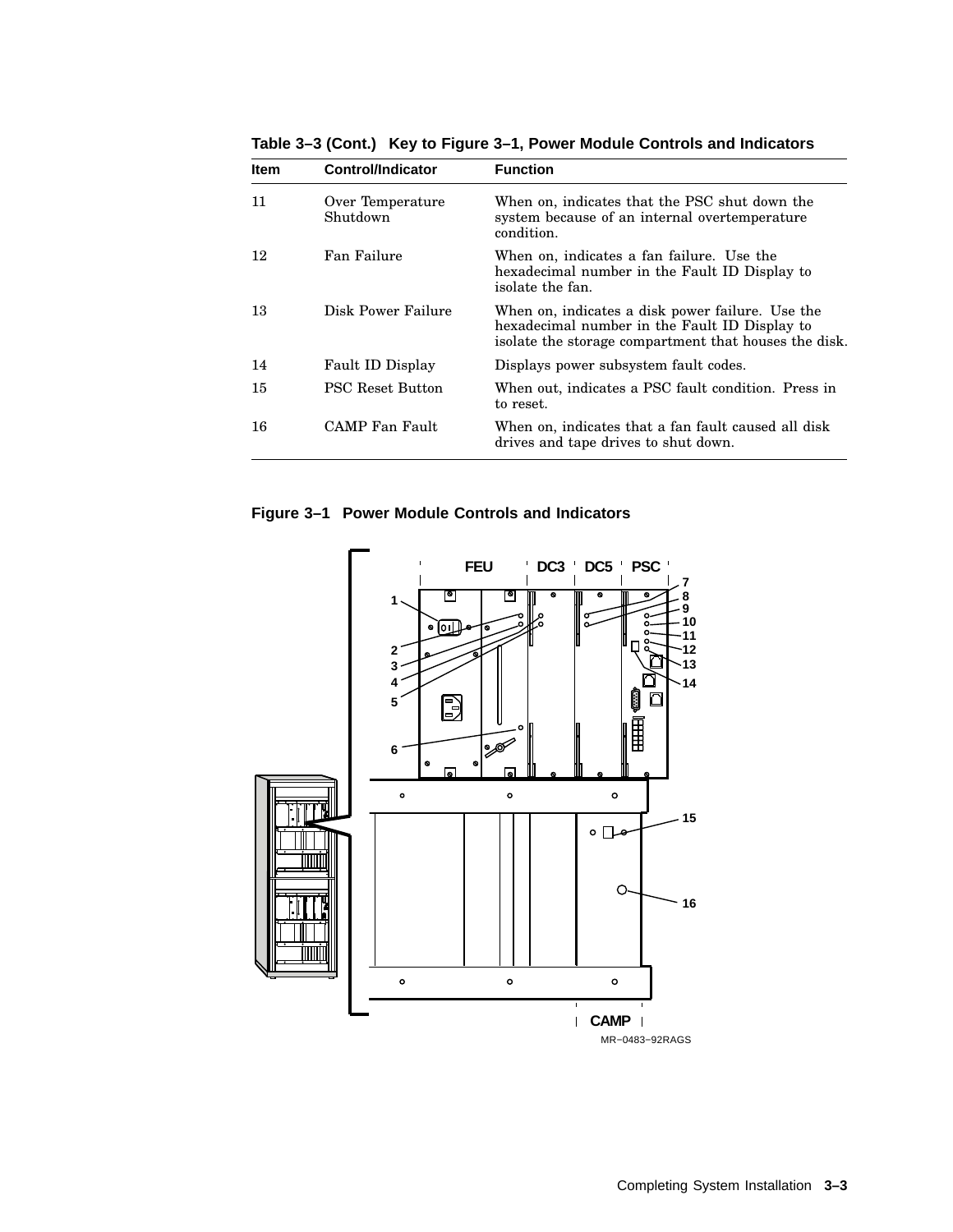| <b>Item</b> | Control/Indicator            | <b>Function</b>                                                                                                                                            |
|-------------|------------------------------|------------------------------------------------------------------------------------------------------------------------------------------------------------|
| 11          | Over Temperature<br>Shutdown | When on, indicates that the PSC shut down the<br>system because of an internal overtemperature<br>condition.                                               |
| 12          | Fan Failure                  | When on, indicates a fan failure. Use the<br>hexadecimal number in the Fault ID Display to<br>isolate the fan.                                             |
| 13          | Disk Power Failure           | When on, indicates a disk power failure. Use the<br>hexadecimal number in the Fault ID Display to<br>isolate the storage compartment that houses the disk. |
| 14          | Fault ID Display             | Displays power subsystem fault codes.                                                                                                                      |
| 15          | <b>PSC Reset Button</b>      | When out, indicates a PSC fault condition. Press in<br>to reset.                                                                                           |
| 16          | CAMP Fan Fault               | When on, indicates that a fan fault caused all disk<br>drives and tape drives to shut down.                                                                |
|             |                              |                                                                                                                                                            |

**Table 3–3 (Cont.) Key to Figure 3–1, Power Module Controls and Indicators**

**Figure 3–1 Power Module Controls and Indicators**

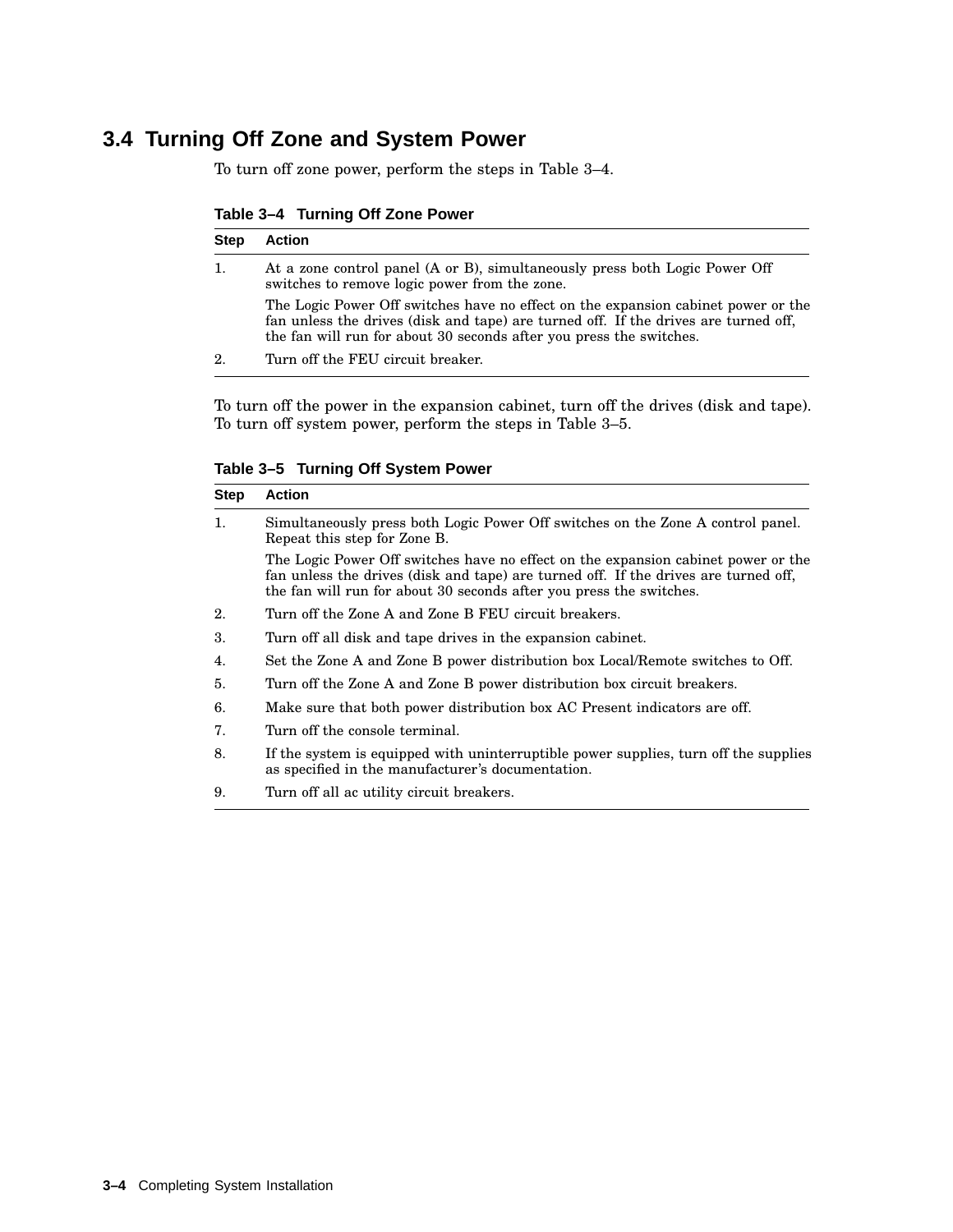## **3.4 Turning Off Zone and System Power**

To turn off zone power, perform the steps in Table 3–4.

**Table 3–4 Turning Off Zone Power**

| <b>Step</b> | <b>Action</b>                                                                                                                                                                                                                                   |
|-------------|-------------------------------------------------------------------------------------------------------------------------------------------------------------------------------------------------------------------------------------------------|
| 1.          | At a zone control panel (A or B), simultaneously press both Logic Power Off<br>switches to remove logic power from the zone.                                                                                                                    |
|             | The Logic Power Off switches have no effect on the expansion cabinet power or the<br>fan unless the drives (disk and tape) are turned off. If the drives are turned off,<br>the fan will run for about 30 seconds after you press the switches. |
| 2.          | Turn off the FEU circuit breaker.                                                                                                                                                                                                               |

To turn off the power in the expansion cabinet, turn off the drives (disk and tape). To turn off system power, perform the steps in Table 3–5.

**Table 3–5 Turning Off System Power**

| <b>Step</b> | <b>Action</b>                                                                                                                                                                                                                                   |  |
|-------------|-------------------------------------------------------------------------------------------------------------------------------------------------------------------------------------------------------------------------------------------------|--|
| 1.          | Simultaneously press both Logic Power Off switches on the Zone A control panel.<br>Repeat this step for Zone B.                                                                                                                                 |  |
|             | The Logic Power Off switches have no effect on the expansion cabinet power or the<br>fan unless the drives (disk and tape) are turned off. If the drives are turned off,<br>the fan will run for about 30 seconds after you press the switches. |  |
| 2.          | Turn off the Zone A and Zone B FEU circuit breakers.                                                                                                                                                                                            |  |
| 3.          | Turn off all disk and tape drives in the expansion cabinet.                                                                                                                                                                                     |  |
| 4.          | Set the Zone A and Zone B power distribution box Local/Remote switches to Off.                                                                                                                                                                  |  |
| 5.          | Turn off the Zone A and Zone B power distribution box circuit breakers.                                                                                                                                                                         |  |
| 6.          | Make sure that both power distribution box AC Present indicators are off.                                                                                                                                                                       |  |
| 7.          | Turn off the console terminal.                                                                                                                                                                                                                  |  |
| 8.          | If the system is equipped with uninterruptible power supplies, turn off the supplies<br>as specified in the manufacturer's documentation.                                                                                                       |  |
| 9.          | Turn off all ac utility circuit breakers.                                                                                                                                                                                                       |  |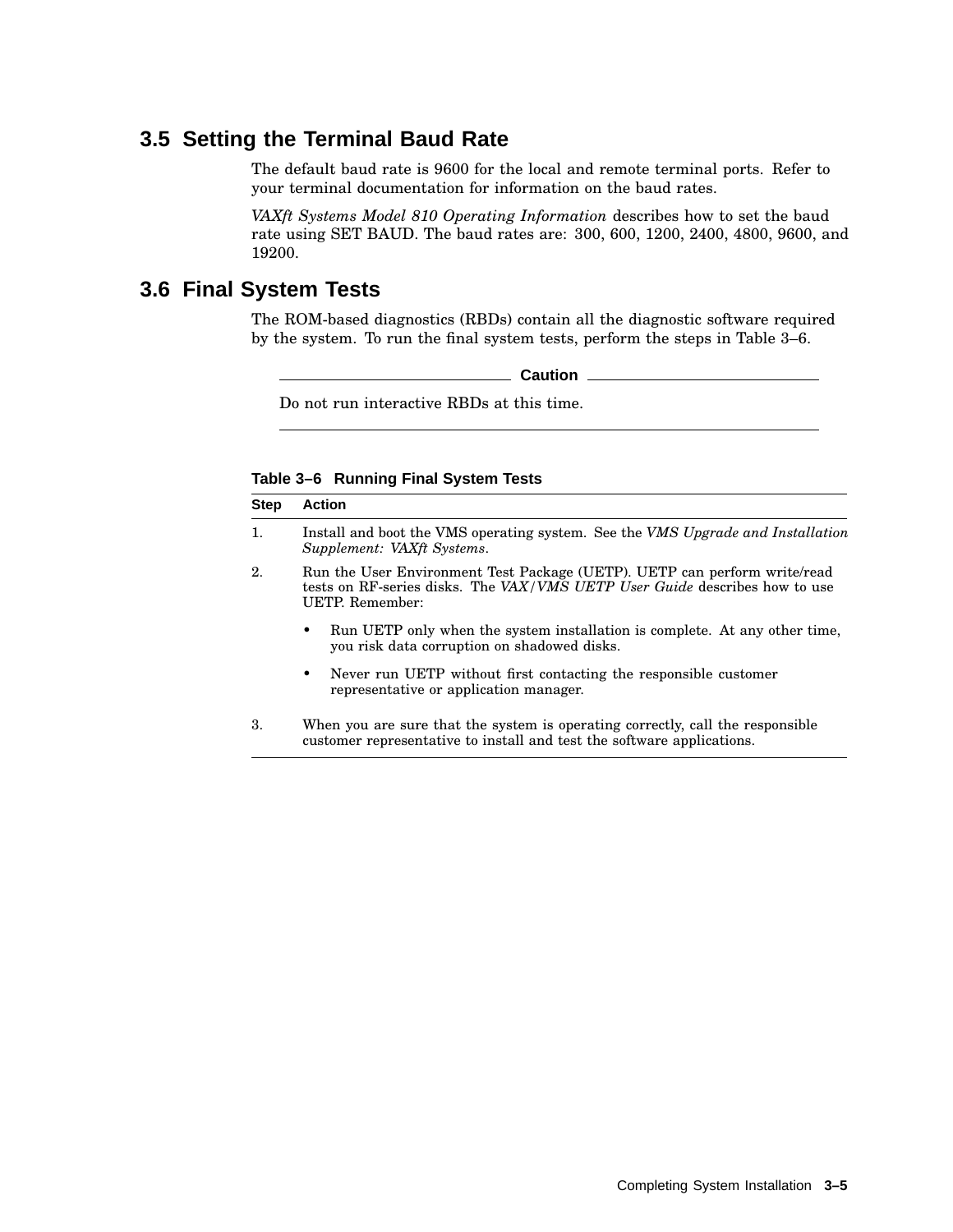#### **3.5 Setting the Terminal Baud Rate**

The default baud rate is 9600 for the local and remote terminal ports. Refer to your terminal documentation for information on the baud rates.

*VAXft Systems Model 810 Operating Information* describes how to set the baud rate using SET BAUD. The baud rates are: 300, 600, 1200, 2400, 4800, 9600, and 19200.

#### **3.6 Final System Tests**

The ROM-based diagnostics (RBDs) contain all the diagnostic software required by the system. To run the final system tests, perform the steps in Table 3–6.

**Caution**

Do not run interactive RBDs at this time.

**Table 3–6 Running Final System Tests**

| <b>Step</b>    | <b>Action</b>                                                                                                                                                              |  |
|----------------|----------------------------------------------------------------------------------------------------------------------------------------------------------------------------|--|
| $\mathbf{1}$ . | Install and boot the VMS operating system. See the VMS Upgrade and Installation<br>Supplement: VAXft Systems.                                                              |  |
| 2.             | Run the User Environment Test Package (UETP). UETP can perform write/read<br>tests on RF-series disks. The VAX/VMS UETP User Guide describes how to use<br>UETP. Remember: |  |
|                | Run UETP only when the system installation is complete. At any other time,<br>٠<br>you risk data corruption on shadowed disks.                                             |  |
|                | Never run UETP without first contacting the responsible customer<br>$\bullet$<br>representative or application manager.                                                    |  |
| 3.             | When you are sure that the system is operating correctly, call the responsible<br>customer representative to install and test the software applications.                   |  |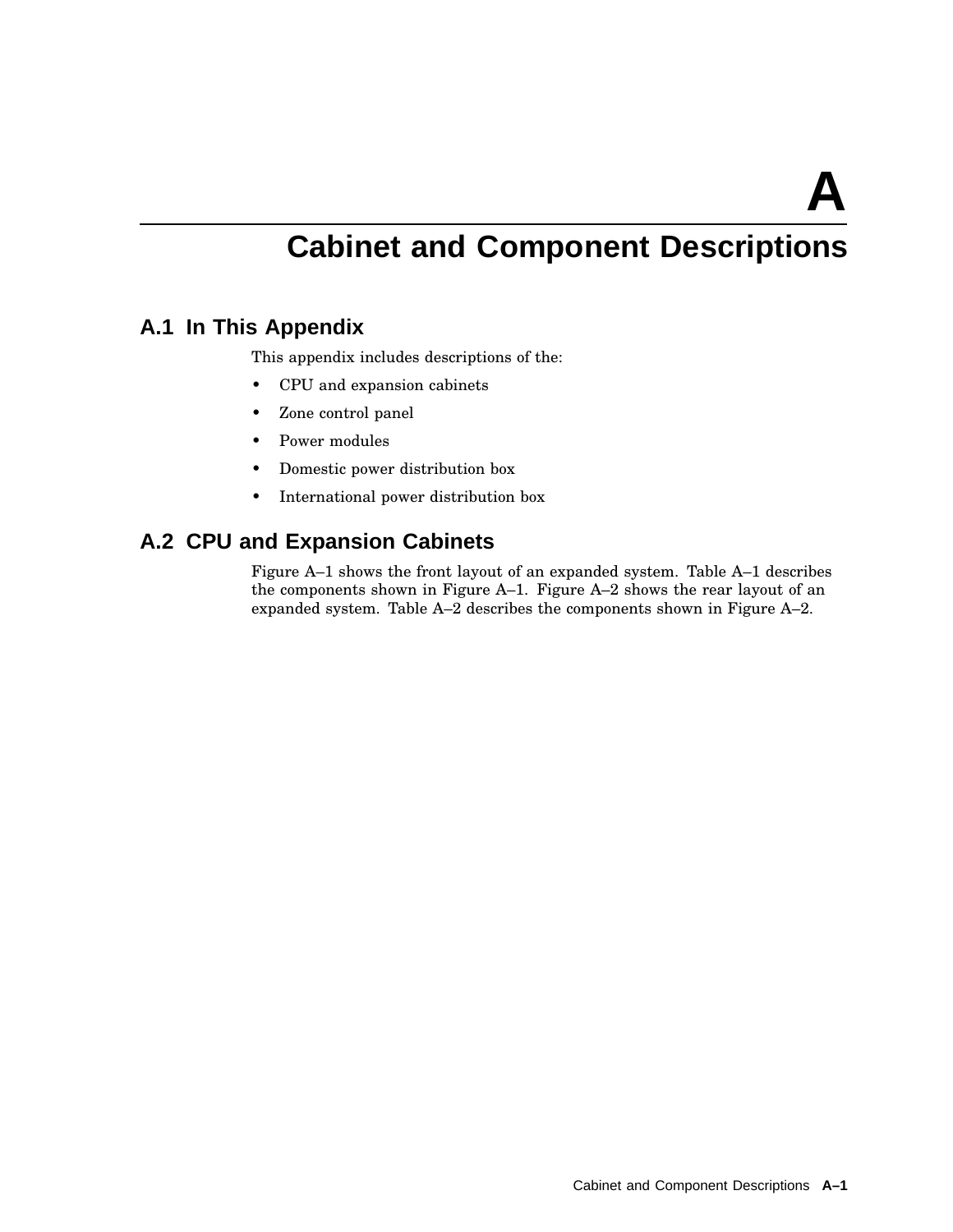**A**

## **Cabinet and Component Descriptions**

#### **A.1 In This Appendix**

This appendix includes descriptions of the:

- CPU and expansion cabinets
- Zone control panel
- Power modules
- Domestic power distribution box
- International power distribution box

## **A.2 CPU and Expansion Cabinets**

Figure A–1 shows the front layout of an expanded system. Table A–1 describes the components shown in Figure A–1. Figure A–2 shows the rear layout of an expanded system. Table A–2 describes the components shown in Figure A–2.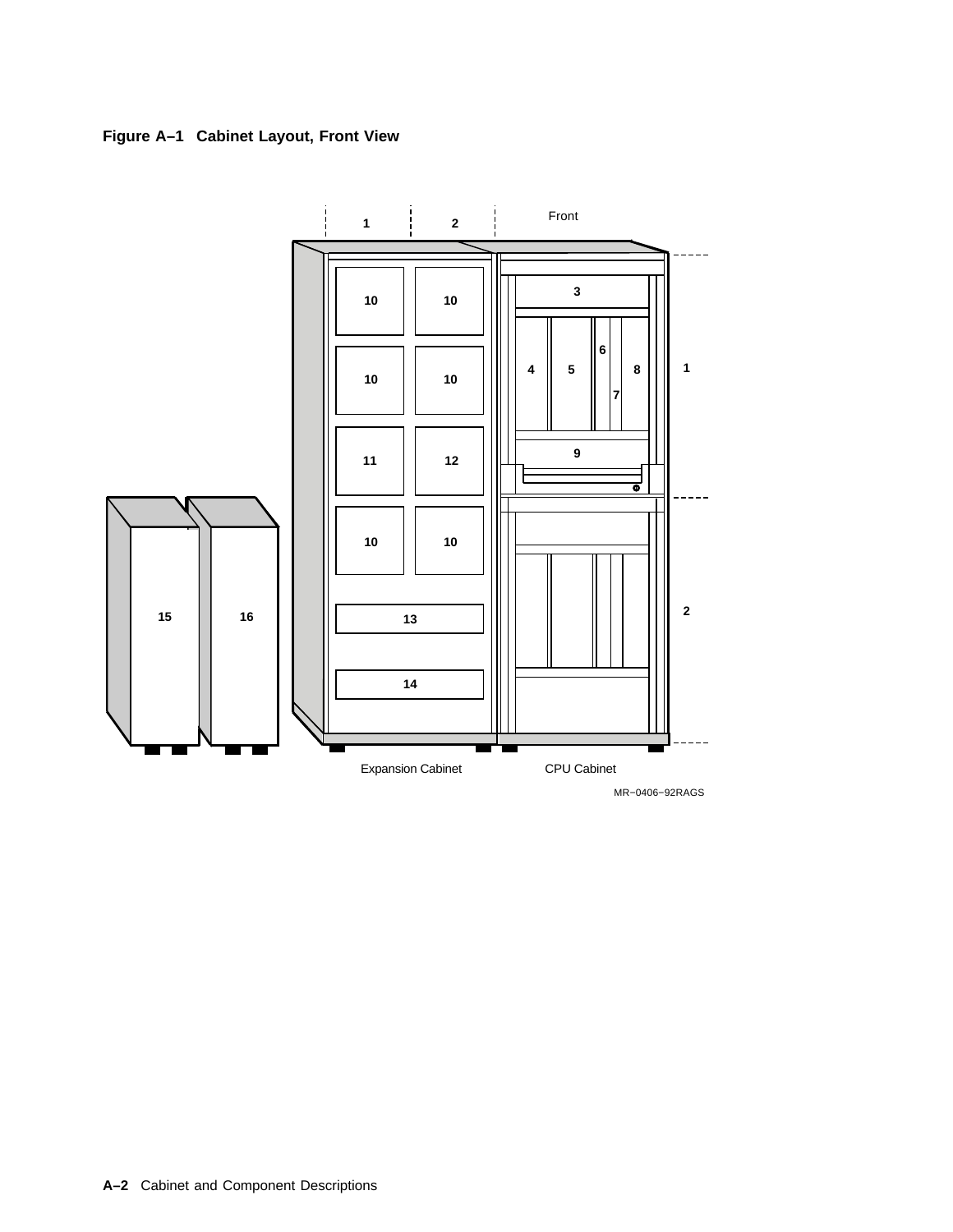



MR−0406−92RAGS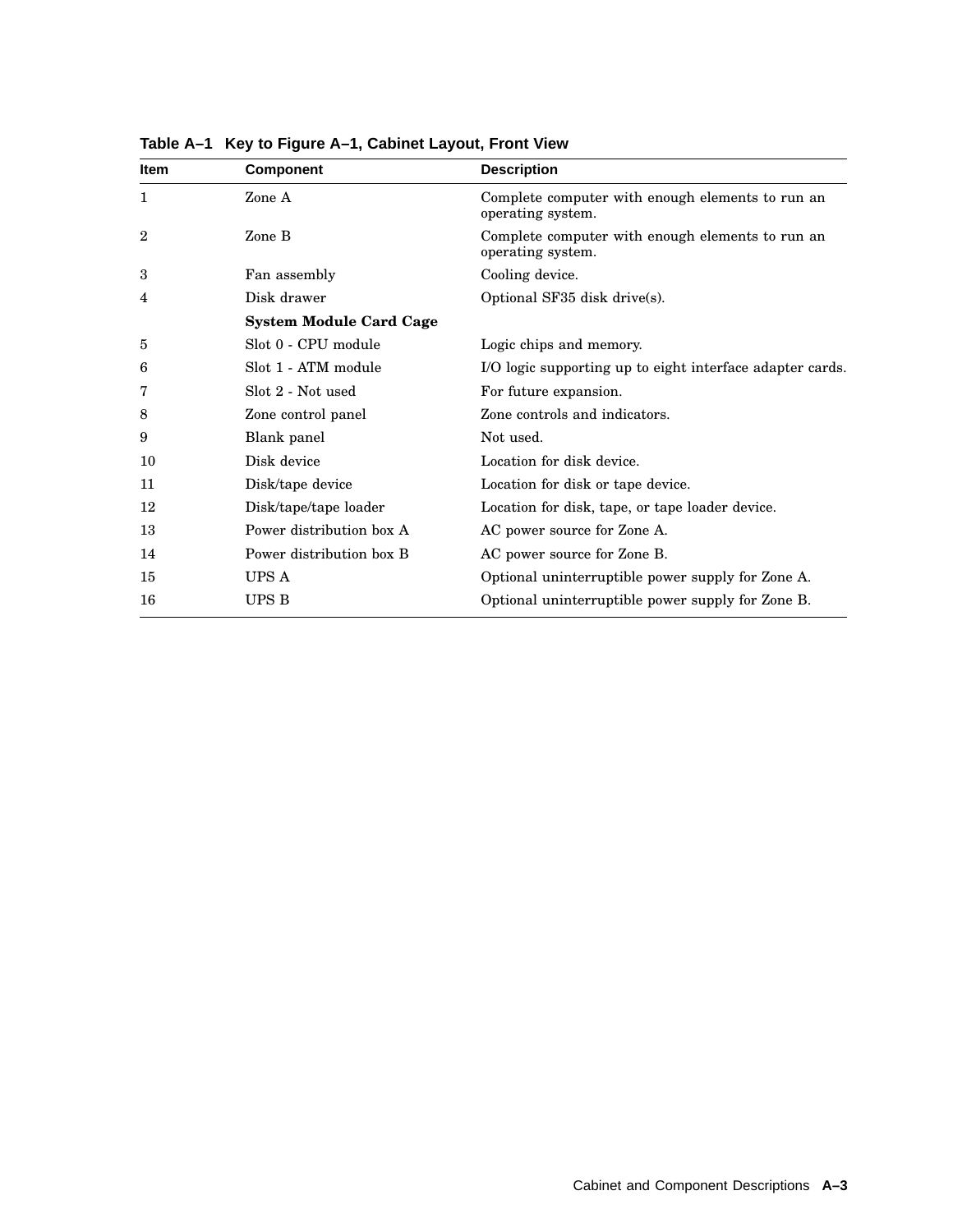| <b>Item</b>    | Component                      | <b>Description</b>                                                    |
|----------------|--------------------------------|-----------------------------------------------------------------------|
| 1              | Zone A                         | Complete computer with enough elements to run an<br>operating system. |
| $\overline{2}$ | Zone B                         | Complete computer with enough elements to run an<br>operating system. |
| 3              | Fan assembly                   | Cooling device.                                                       |
| 4              | Disk drawer                    | Optional SF35 disk drive(s).                                          |
|                | <b>System Module Card Cage</b> |                                                                       |
| 5              | Slot 0 - CPU module            | Logic chips and memory.                                               |
| 6              | Slot 1 - ATM module            | I/O logic supporting up to eight interface adapter cards.             |
| 7              | Slot 2 - Not used              | For future expansion.                                                 |
| 8              | Zone control panel             | Zone controls and indicators.                                         |
| 9              | Blank panel                    | Not used.                                                             |
| 10             | Disk device                    | Location for disk device.                                             |
| 11             | Disk/tape device               | Location for disk or tape device.                                     |
| 12             | Disk/tape/tape loader          | Location for disk, tape, or tape loader device.                       |
| 13             | Power distribution box A       | AC power source for Zone A.                                           |
| 14             | Power distribution box B       | AC power source for Zone B.                                           |
| 15             | UPS A                          | Optional uninterruptible power supply for Zone A.                     |
| 16             | UPS B                          | Optional uninterruptible power supply for Zone B.                     |

**Table A–1 Key to Figure A–1, Cabinet Layout, Front View**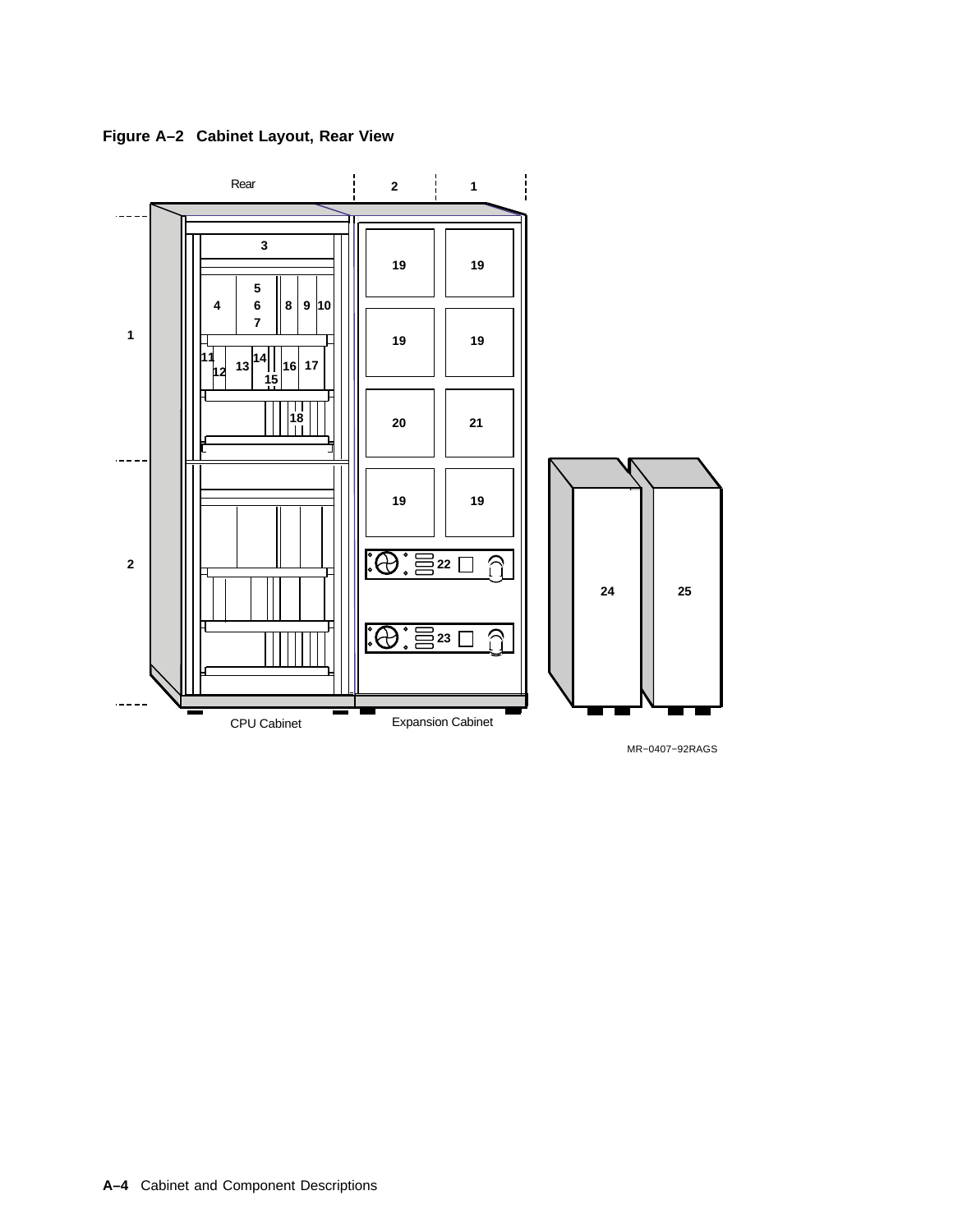**Figure A–2 Cabinet Layout, Rear View**



MR−0407−92RAGS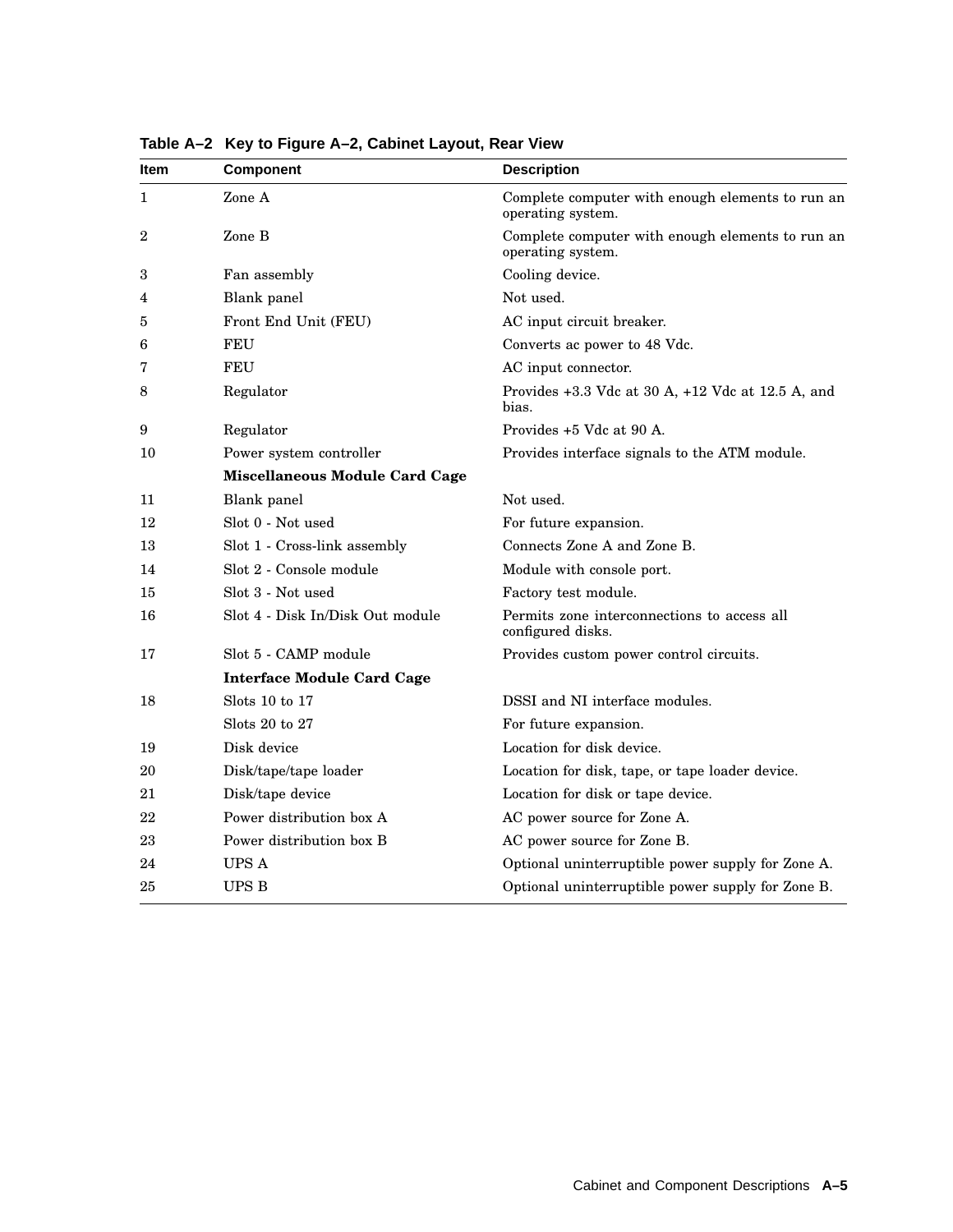| ltem           | Component                             | <b>Description</b>                                                    |
|----------------|---------------------------------------|-----------------------------------------------------------------------|
| 1              | Zone A                                | Complete computer with enough elements to run an<br>operating system. |
| $\overline{2}$ | Zone B                                | Complete computer with enough elements to run an<br>operating system. |
| 3              | Fan assembly                          | Cooling device.                                                       |
| 4              | Blank panel                           | Not used.                                                             |
| 5              | Front End Unit (FEU)                  | AC input circuit breaker.                                             |
| 6              | FEU                                   | Converts ac power to 48 Vdc.                                          |
| 7              | FEU                                   | AC input connector.                                                   |
| 8              | Regulator                             | Provides $+3.3$ Vdc at 30 A, $+12$ Vdc at 12.5 A, and<br>bias.        |
| 9              | Regulator                             | Provides +5 Vdc at 90 A.                                              |
| 10             | Power system controller               | Provides interface signals to the ATM module.                         |
|                | <b>Miscellaneous Module Card Cage</b> |                                                                       |
| 11             | Blank panel                           | Not used.                                                             |
| 12             | Slot 0 - Not used                     | For future expansion.                                                 |
| 13             | Slot 1 - Cross-link assembly          | Connects Zone A and Zone B.                                           |
| 14             | Slot 2 - Console module               | Module with console port.                                             |
| 15             | Slot 3 - Not used                     | Factory test module.                                                  |
| 16             | Slot 4 - Disk In/Disk Out module      | Permits zone interconnections to access all<br>configured disks.      |
| 17             | Slot 5 - CAMP module                  | Provides custom power control circuits.                               |
|                | <b>Interface Module Card Cage</b>     |                                                                       |
| 18             | Slots 10 to 17                        | DSSI and NI interface modules.                                        |
|                | Slots $20$ to $27$                    | For future expansion.                                                 |
| 19             | Disk device                           | Location for disk device.                                             |
| 20             | Disk/tape/tape loader                 | Location for disk, tape, or tape loader device.                       |
| 21             | Disk/tape device                      | Location for disk or tape device.                                     |
| 22             | Power distribution box A              | AC power source for Zone A.                                           |
| 23             | Power distribution box B              | AC power source for Zone B.                                           |
| 24             | UPS A                                 | Optional uninterruptible power supply for Zone A.                     |
| 25             | <b>UPS B</b>                          | Optional uninterruptible power supply for Zone B.                     |

**Table A–2 Key to Figure A–2, Cabinet Layout, Rear View**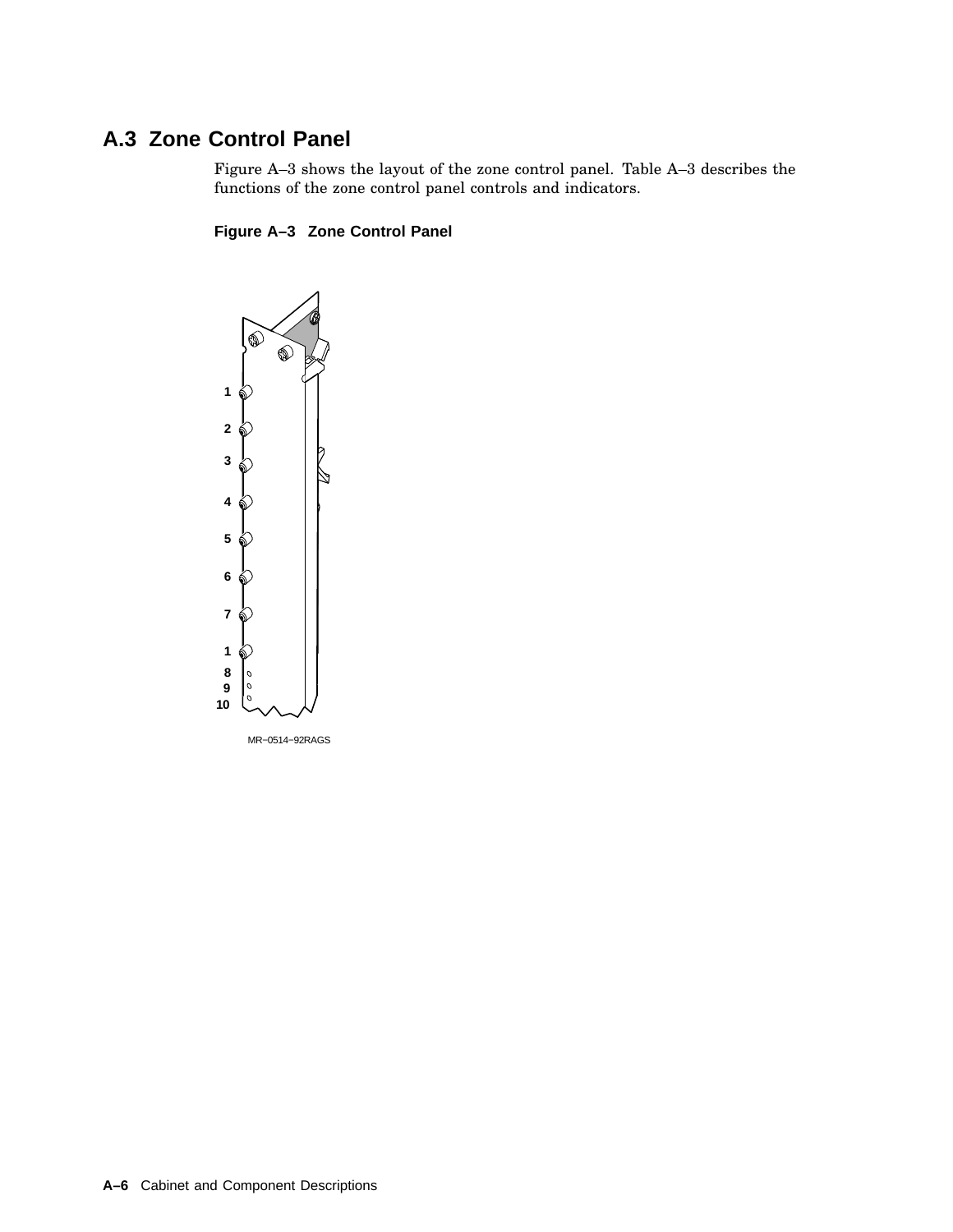## **A.3 Zone Control Panel**

Figure A–3 shows the layout of the zone control panel. Table A–3 describes the functions of the zone control panel controls and indicators.

#### **Figure A–3 Zone Control Panel**

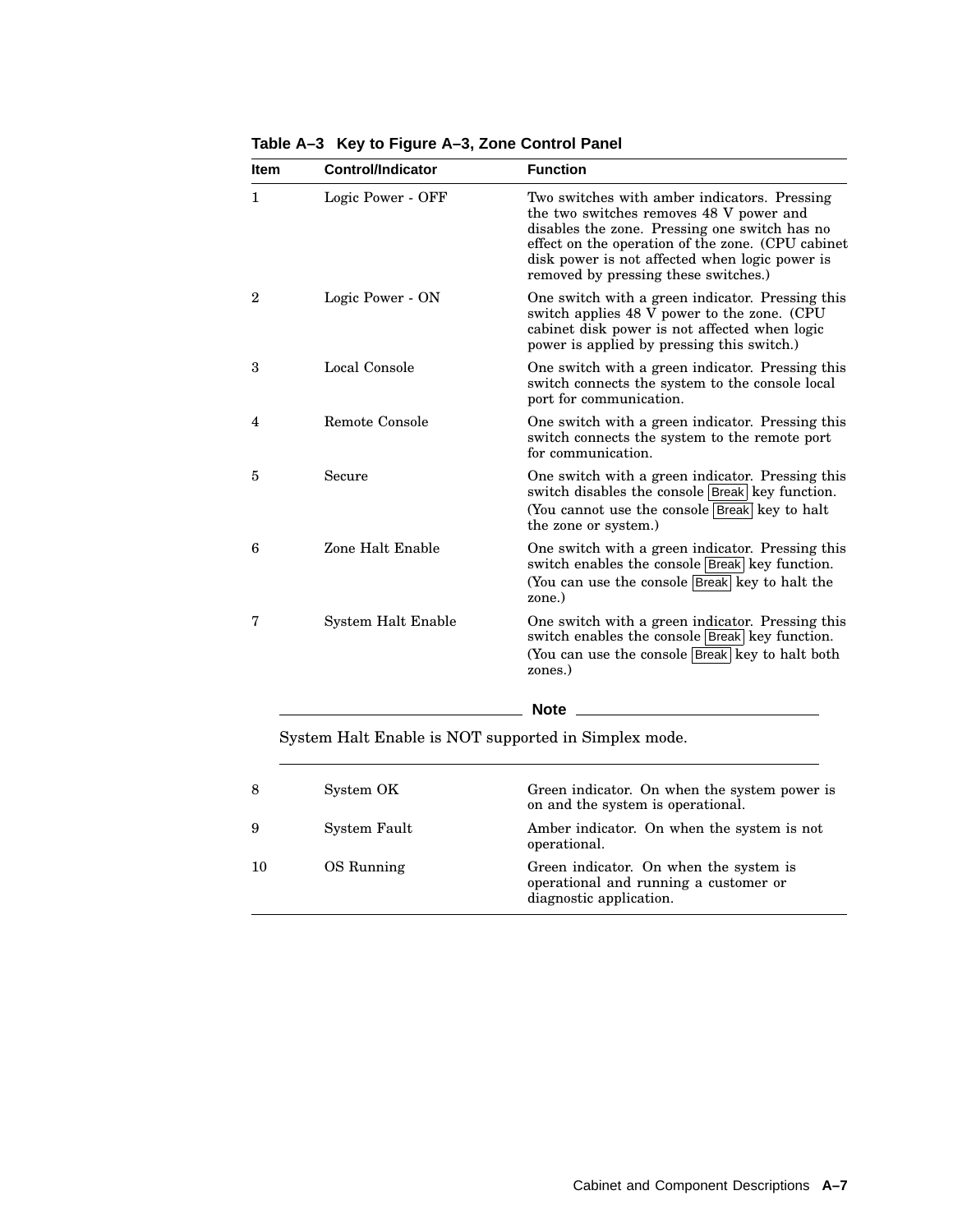| <b>Item</b>  | <b>Control/Indicator</b> | <b>Function</b>                                                                                                                                                                                                                                                                         |
|--------------|--------------------------|-----------------------------------------------------------------------------------------------------------------------------------------------------------------------------------------------------------------------------------------------------------------------------------------|
| 1            | Logic Power - OFF        | Two switches with amber indicators. Pressing<br>the two switches removes 48 V power and<br>disables the zone. Pressing one switch has no<br>effect on the operation of the zone. (CPU cabinet<br>disk power is not affected when logic power is<br>removed by pressing these switches.) |
| $\mathbf{2}$ | Logic Power - ON         | One switch with a green indicator. Pressing this<br>switch applies 48 V power to the zone. (CPU<br>cabinet disk power is not affected when logic<br>power is applied by pressing this switch.)                                                                                          |
| 3            | Local Console            | One switch with a green indicator. Pressing this<br>switch connects the system to the console local<br>port for communication.                                                                                                                                                          |
| 4            | Remote Console           | One switch with a green indicator. Pressing this<br>switch connects the system to the remote port<br>for communication.                                                                                                                                                                 |
| 5            | Secure                   | One switch with a green indicator. Pressing this<br>switch disables the console Break key function.<br>(You cannot use the console  Break  key to halt<br>the zone or system.)                                                                                                          |
| 6            | Zone Halt Enable         | One switch with a green indicator. Pressing this<br>switch enables the console Break key function.<br>(You can use the console Break key to halt the<br>zone.)                                                                                                                          |
| 7            | System Halt Enable       | One switch with a green indicator. Pressing this<br>switch enables the console Break key function.<br>(You can use the console Break key to halt both<br>zones.)                                                                                                                        |
|              |                          | <b>Note</b>                                                                                                                                                                                                                                                                             |

**Table A–3 Key to Figure A–3, Zone Control Panel**

System Halt Enable is NOT supported in Simplex mode.

| 8  | System OK    | Green indicator. On when the system power is<br>on and the system is operational.                          |
|----|--------------|------------------------------------------------------------------------------------------------------------|
| 9  | System Fault | Amber indicator. On when the system is not<br>operational.                                                 |
| 10 | OS Running   | Green indicator. On when the system is<br>operational and running a customer or<br>diagnostic application. |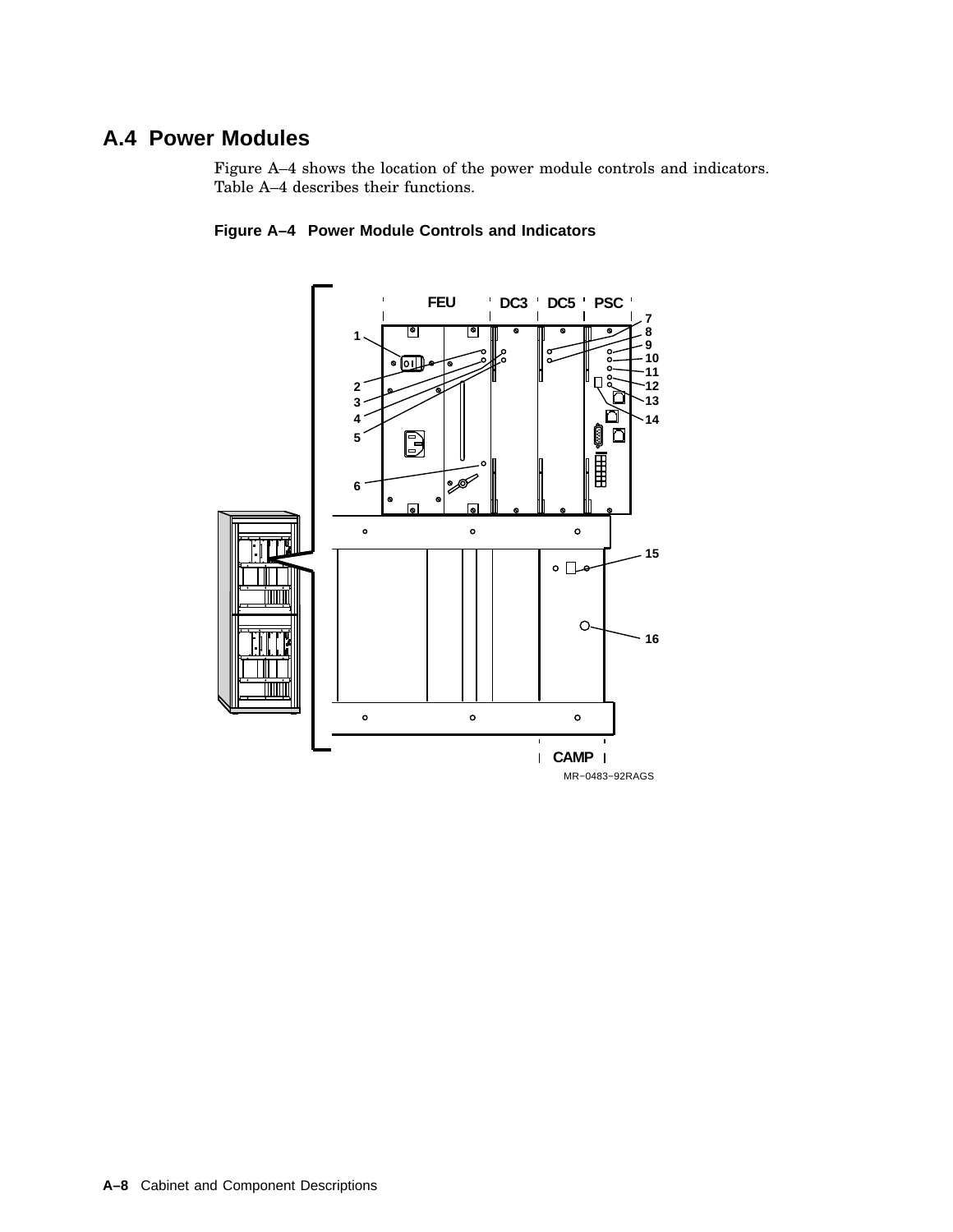### **A.4 Power Modules**

Figure A–4 shows the location of the power module controls and indicators. Table A–4 describes their functions.



#### **Figure A–4 Power Module Controls and Indicators**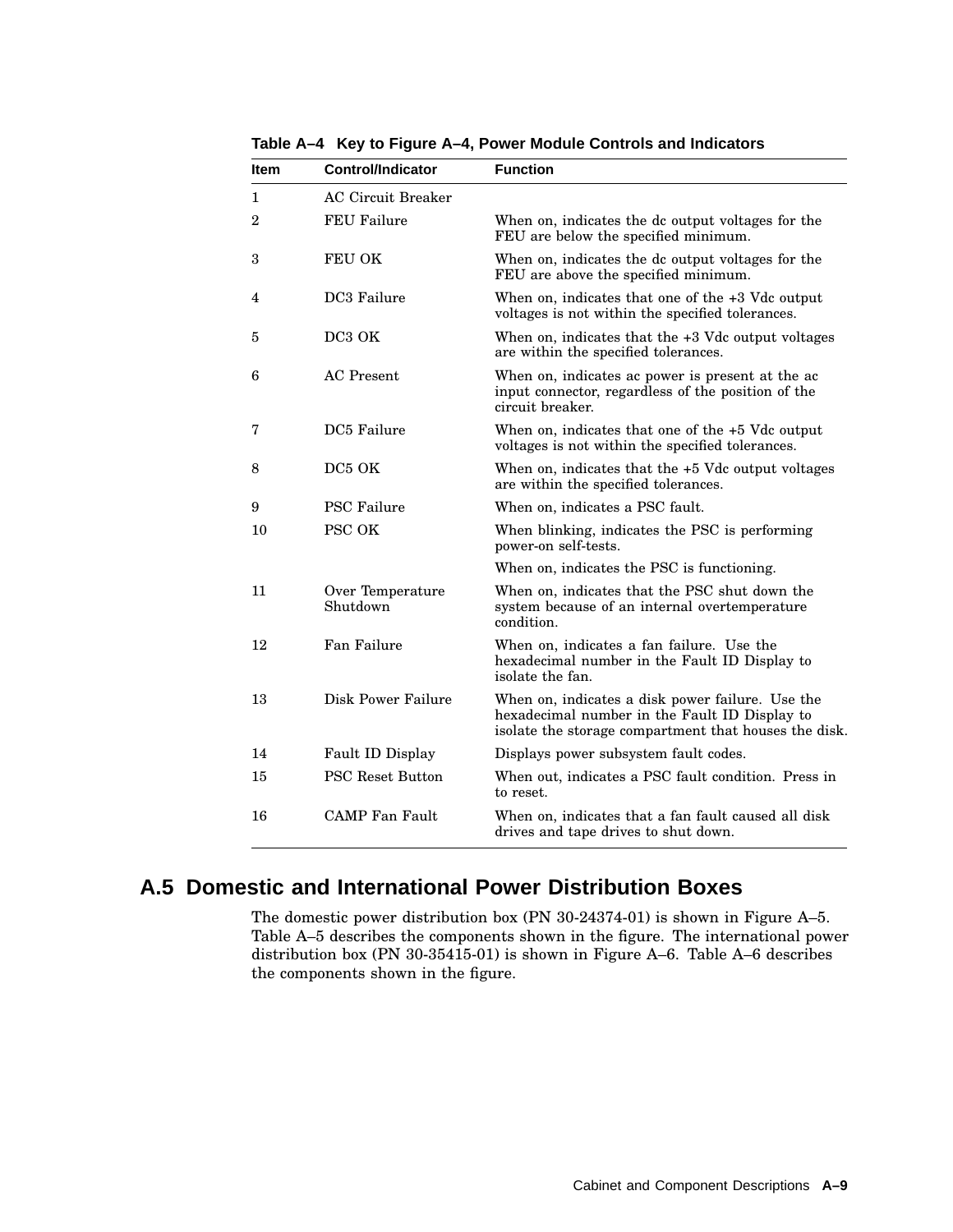| ltem | <b>Control/Indicator</b>     | <b>Function</b>                                                                                                                                            |
|------|------------------------------|------------------------------------------------------------------------------------------------------------------------------------------------------------|
| 1    | <b>AC Circuit Breaker</b>    |                                                                                                                                                            |
| 2    | <b>FEU Failure</b>           | When on, indicates the dc output voltages for the<br>FEU are below the specified minimum.                                                                  |
| 3    | FEU OK                       | When on, indicates the dc output voltages for the<br>FEU are above the specified minimum.                                                                  |
| 4    | DC3 Failure                  | When on, indicates that one of the $+3$ Vdc output<br>voltages is not within the specified tolerances.                                                     |
| 5    | DC3 OK                       | When on, indicates that the $+3$ Vdc output voltages<br>are within the specified tolerances.                                                               |
| 6    | <b>AC</b> Present            | When on, indicates ac power is present at the ac<br>input connector, regardless of the position of the<br>circuit breaker.                                 |
| 7    | DC5 Failure                  | When on, indicates that one of the +5 Vdc output<br>voltages is not within the specified tolerances.                                                       |
| 8    | DC5 OK                       | When on, indicates that the $+5$ Vdc output voltages<br>are within the specified tolerances.                                                               |
| 9    | <b>PSC Failure</b>           | When on, indicates a PSC fault.                                                                                                                            |
| 10   | <b>PSC OK</b>                | When blinking, indicates the PSC is performing<br>power-on self-tests.                                                                                     |
|      |                              | When on, indicates the PSC is functioning.                                                                                                                 |
| 11   | Over Temperature<br>Shutdown | When on, indicates that the PSC shut down the<br>system because of an internal overtemperature<br>condition.                                               |
| 12   | Fan Failure                  | When on, indicates a fan failure. Use the<br>hexadecimal number in the Fault ID Display to<br>isolate the fan.                                             |
| 13   | Disk Power Failure           | When on, indicates a disk power failure. Use the<br>hexadecimal number in the Fault ID Display to<br>isolate the storage compartment that houses the disk. |
| 14   | Fault ID Display             | Displays power subsystem fault codes.                                                                                                                      |
| 15   | <b>PSC Reset Button</b>      | When out, indicates a PSC fault condition. Press in<br>to reset.                                                                                           |
| 16   | <b>CAMP</b> Fan Fault        | When on, indicates that a fan fault caused all disk<br>drives and tape drives to shut down.                                                                |

**Table A–4 Key to Figure A–4, Power Module Controls and Indicators**

## **A.5 Domestic and International Power Distribution Boxes**

The domestic power distribution box (PN 30-24374-01) is shown in Figure A–5. Table A–5 describes the components shown in the figure. The international power distribution box (PN 30-35415-01) is shown in Figure A–6. Table A–6 describes the components shown in the figure.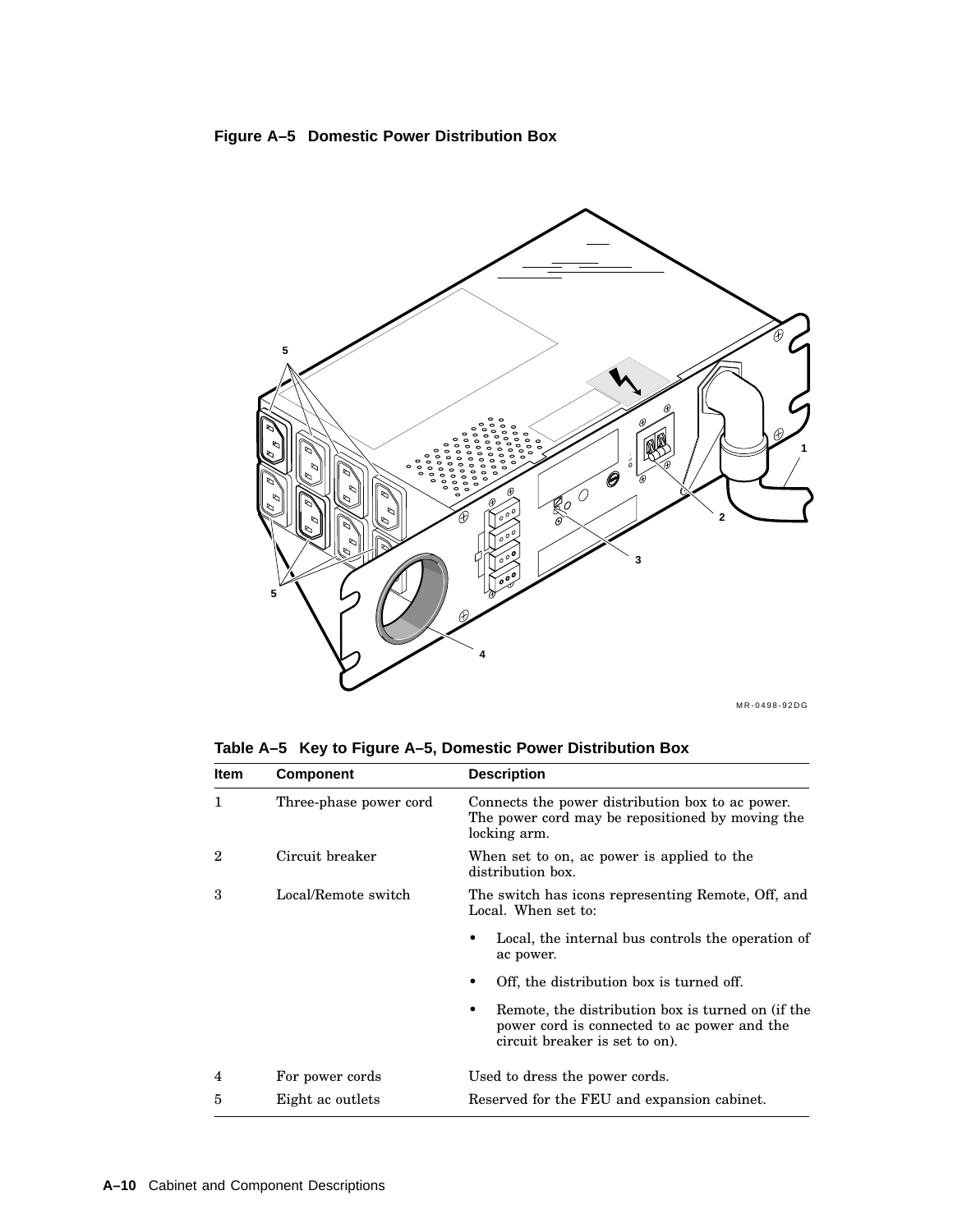



MR-0498-92DG

**Table A–5 Key to Figure A–5, Domestic Power Distribution Box**

| <b>Item</b> | <b>Component</b>       | <b>Description</b>                                                                                                                 |
|-------------|------------------------|------------------------------------------------------------------------------------------------------------------------------------|
| 1           | Three-phase power cord | Connects the power distribution box to ac power.<br>The power cord may be repositioned by moving the<br>locking arm.               |
| $\mathbf 2$ | Circuit breaker        | When set to on, ac power is applied to the<br>distribution box.                                                                    |
| 3           | Local/Remote switch    | The switch has icons representing Remote, Off, and<br>Local. When set to:                                                          |
|             |                        | Local, the internal bus controls the operation of<br>ac power.                                                                     |
|             |                        | Off, the distribution box is turned off.                                                                                           |
|             |                        | Remote, the distribution box is turned on (if the<br>power cord is connected to ac power and the<br>circuit breaker is set to on). |
| 4           | For power cords        | Used to dress the power cords.                                                                                                     |
| 5           | Eight ac outlets       | Reserved for the FEU and expansion cabinet.                                                                                        |